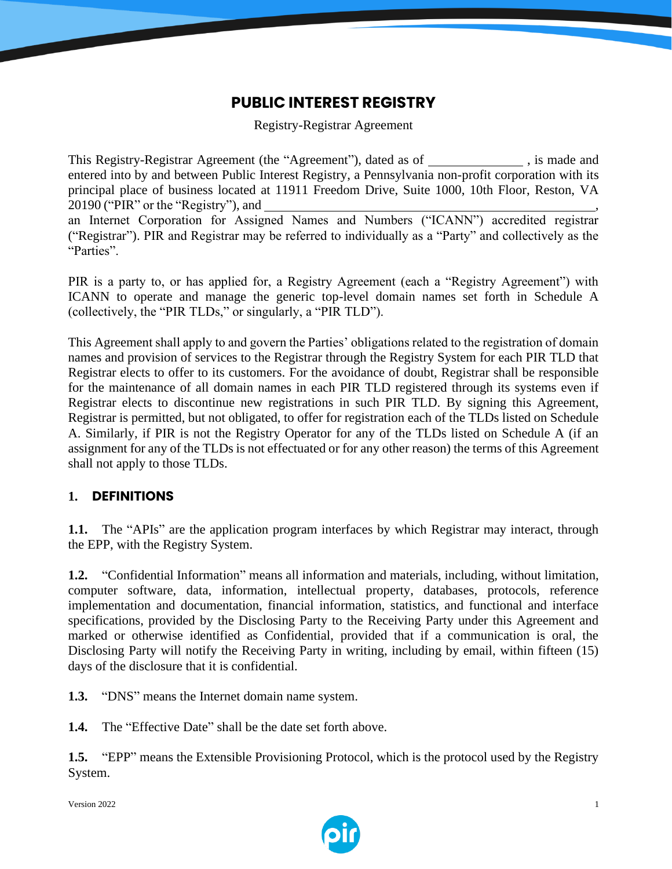# **PUBLIC INTEREST REGISTRY**

Registry-Registrar Agreement

This Registry-Registrar Agreement (the "Agreement"), dated as of  $\qquad \qquad$ , is made and entered into by and between Public Interest Registry, a Pennsylvania non-profit corporation with its principal place of business located at 11911 Freedom Drive, Suite 1000, 10th Floor, Reston, VA 20190 ("PIR" or the "Registry"), and

an Internet Corporation for Assigned Names and Numbers ("ICANN") accredited registrar ("Registrar"). PIR and Registrar may be referred to individually as a "Party" and collectively as the "Parties".

PIR is a party to, or has applied for, a Registry Agreement (each a "Registry Agreement") with ICANN to operate and manage the generic top-level domain names set forth in Schedule A (collectively, the "PIR TLDs," or singularly, a "PIR TLD").

This Agreement shall apply to and govern the Parties' obligations related to the registration of domain names and provision of services to the Registrar through the Registry System for each PIR TLD that Registrar elects to offer to its customers. For the avoidance of doubt, Registrar shall be responsible for the maintenance of all domain names in each PIR TLD registered through its systems even if Registrar elects to discontinue new registrations in such PIR TLD. By signing this Agreement, Registrar is permitted, but not obligated, to offer for registration each of the TLDs listed on Schedule A. Similarly, if PIR is not the Registry Operator for any of the TLDs listed on Schedule A (if an assignment for any of the TLDs is not effectuated or for any other reason) the terms of this Agreement shall not apply to those TLDs.

# **1. DEFINITIONS**

**1.1.** The "APIs" are the application program interfaces by which Registrar may interact, through the EPP, with the Registry System.

**1.2.** "Confidential Information" means all information and materials, including, without limitation, computer software, data, information, intellectual property, databases, protocols, reference implementation and documentation, financial information, statistics, and functional and interface specifications, provided by the Disclosing Party to the Receiving Party under this Agreement and marked or otherwise identified as Confidential, provided that if a communication is oral, the Disclosing Party will notify the Receiving Party in writing, including by email, within fifteen (15) days of the disclosure that it is confidential.

**1.3.** "DNS" means the Internet domain name system.

**1.4.** The "Effective Date" shall be the date set forth above.

**1.5.** "EPP" means the Extensible Provisioning Protocol, which is the protocol used by the Registry System.

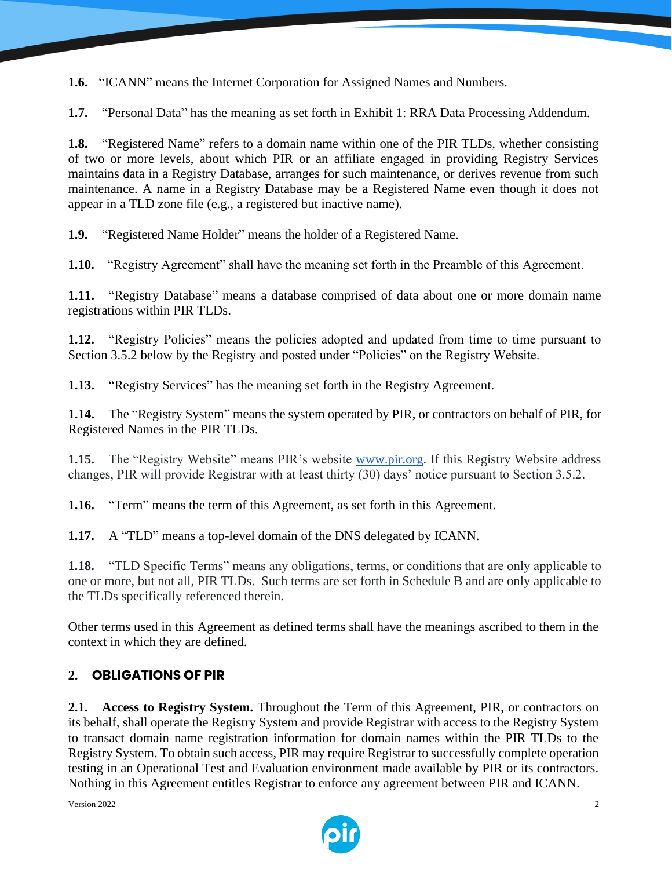**1.6.** "ICANN" means the Internet Corporation for Assigned Names and Numbers.

**1.7.** "Personal Data" has the meaning as set forth in Exhibit 1: RRA Data Processing Addendum.

**1.8.** "Registered Name" refers to a domain name within one of the PIR TLDs, whether consisting of two or more levels, about which PIR or an affiliate engaged in providing Registry Services maintains data in a Registry Database, arranges for such maintenance, or derives revenue from such maintenance. A name in a Registry Database may be a Registered Name even though it does not appear in a TLD zone file (e.g., a registered but inactive name).

**1.9.** "Registered Name Holder" means the holder of a Registered Name.

**1.10.** "Registry Agreement" shall have the meaning set forth in the Preamble of this Agreement.

**1.11.** "Registry Database" means a database comprised of data about one or more domain name registrations within PIR TLDs.

**1.12.** "Registry Policies" means the policies adopted and updated from time to time pursuant to Section 3.5.2 below by the Registry and posted under "Policies" on the Registry Website.

**1.13.** "Registry Services" has the meaning set forth in the Registry Agreement.

**1.14.** The "Registry System" means the system operated by PIR, or contractors on behalf of PIR, for Registered Names in the PIR TLDs.

**1.15.** The "Registry Website" means PIR's website [www.pir.org.](http://www.pir.org/) If this Registry Website address changes, PIR will provide Registrar with at least thirty (30) days' notice pursuant to Section 3.5.2.

**1.16.** "Term" means the term of this Agreement, as set forth in this Agreement.

**1.17.** A "TLD" means a top-level domain of the DNS delegated by ICANN.

**1.18.** "TLD Specific Terms" means any obligations, terms, or conditions that are only applicable to one or more, but not all, PIR TLDs. Such terms are set forth in Schedule B and are only applicable to the TLDs specifically referenced therein.

Other terms used in this Agreement as defined terms shall have the meanings ascribed to them in the context in which they are defined.

# **2. OBLIGATIONS OF PIR**

**2.1. Access to Registry System.** Throughout the Term of this Agreement, PIR, or contractors on its behalf, shall operate the Registry System and provide Registrar with access to the Registry System to transact domain name registration information for domain names within the PIR TLDs to the Registry System. To obtain such access, PIR may require Registrar to successfully complete operation testing in an Operational Test and Evaluation environment made available by PIR or its contractors. Nothing in this Agreement entitles Registrar to enforce any agreement between PIR and ICANN.

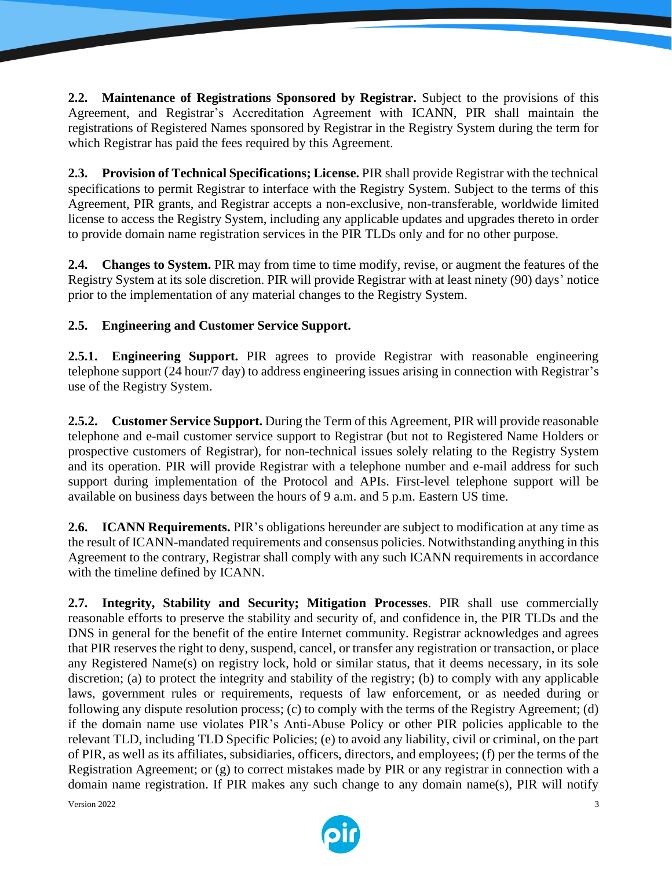**2.2. Maintenance of Registrations Sponsored by Registrar.** Subject to the provisions of this Agreement, and Registrar's Accreditation Agreement with ICANN, PIR shall maintain the registrations of Registered Names sponsored by Registrar in the Registry System during the term for which Registrar has paid the fees required by this Agreement.

**2.3. Provision of Technical Specifications; License.** PIR shall provide Registrar with the technical specifications to permit Registrar to interface with the Registry System. Subject to the terms of this Agreement, PIR grants, and Registrar accepts a non-exclusive, non-transferable, worldwide limited license to access the Registry System, including any applicable updates and upgrades thereto in order to provide domain name registration services in the PIR TLDs only and for no other purpose.

**2.4. Changes to System.** PIR may from time to time modify, revise, or augment the features of the Registry System at its sole discretion. PIR will provide Registrar with at least ninety (90) days' notice prior to the implementation of any material changes to the Registry System.

# **2.5. Engineering and Customer Service Support.**

**2.5.1. Engineering Support.** PIR agrees to provide Registrar with reasonable engineering telephone support (24 hour/7 day) to address engineering issues arising in connection with Registrar's use of the Registry System.

**2.5.2. Customer Service Support.** During the Term of this Agreement, PIR will provide reasonable telephone and e-mail customer service support to Registrar (but not to Registered Name Holders or prospective customers of Registrar), for non-technical issues solely relating to the Registry System and its operation. PIR will provide Registrar with a telephone number and e-mail address for such support during implementation of the Protocol and APIs. First-level telephone support will be available on business days between the hours of 9 a.m. and 5 p.m. Eastern US time.

**2.6. ICANN Requirements.** PIR's obligations hereunder are subject to modification at any time as the result of ICANN-mandated requirements and consensus policies. Notwithstanding anything in this Agreement to the contrary, Registrar shall comply with any such ICANN requirements in accordance with the timeline defined by ICANN.

**2.7. Integrity, Stability and Security; Mitigation Processes**. PIR shall use commercially reasonable efforts to preserve the stability and security of, and confidence in, the PIR TLDs and the DNS in general for the benefit of the entire Internet community. Registrar acknowledges and agrees that PIR reserves the right to deny, suspend, cancel, or transfer any registration or transaction, or place any Registered Name(s) on registry lock, hold or similar status, that it deems necessary, in its sole discretion; (a) to protect the integrity and stability of the registry; (b) to comply with any applicable laws, government rules or requirements, requests of law enforcement, or as needed during or following any dispute resolution process; (c) to comply with the terms of the Registry Agreement; (d) if the domain name use violates PIR's Anti-Abuse Policy or other PIR policies applicable to the relevant TLD, including TLD Specific Policies; (e) to avoid any liability, civil or criminal, on the part of PIR, as well as its affiliates, subsidiaries, officers, directors, and employees; (f) per the terms of the Registration Agreement; or (g) to correct mistakes made by PIR or any registrar in connection with a domain name registration. If PIR makes any such change to any domain name(s), PIR will notify

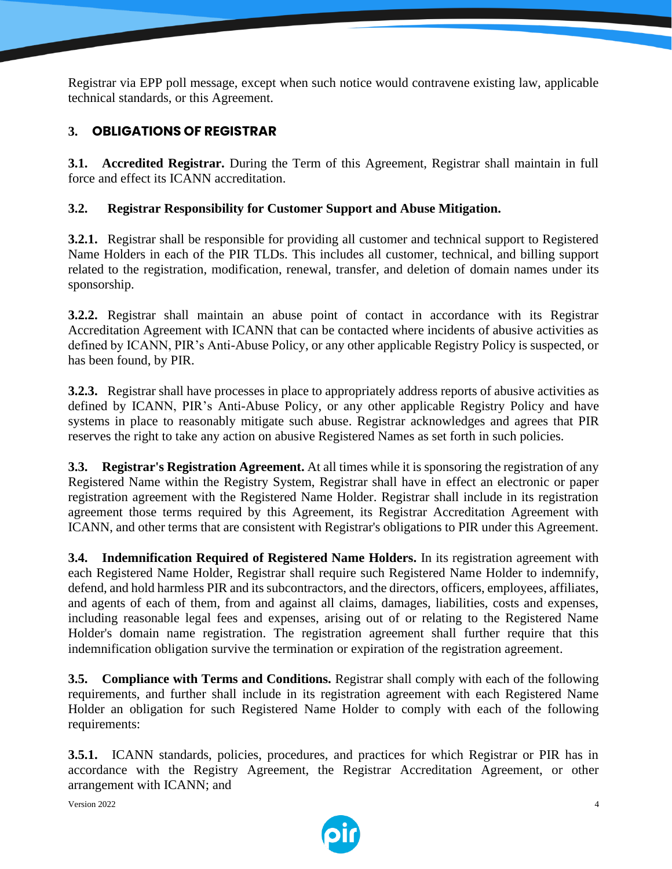Registrar via EPP poll message, except when such notice would contravene existing law, applicable technical standards, or this Agreement.

# **3. OBLIGATIONS OF REGISTRAR**

**3.1. Accredited Registrar.** During the Term of this Agreement, Registrar shall maintain in full force and effect its ICANN accreditation.

# **3.2. Registrar Responsibility for Customer Support and Abuse Mitigation.**

**3.2.1.** Registrar shall be responsible for providing all customer and technical support to Registered Name Holders in each of the PIR TLDs. This includes all customer, technical, and billing support related to the registration, modification, renewal, transfer, and deletion of domain names under its sponsorship.

**3.2.2.** Registrar shall maintain an abuse point of contact in accordance with its Registrar Accreditation Agreement with ICANN that can be contacted where incidents of abusive activities as defined by ICANN, PIR's Anti-Abuse Policy, or any other applicable Registry Policy is suspected, or has been found, by PIR.

**3.2.3.** Registrar shall have processes in place to appropriately address reports of abusive activities as defined by ICANN, PIR's Anti-Abuse Policy, or any other applicable Registry Policy and have systems in place to reasonably mitigate such abuse. Registrar acknowledges and agrees that PIR reserves the right to take any action on abusive Registered Names as set forth in such policies.

**3.3. Registrar's Registration Agreement.** At all times while it is sponsoring the registration of any Registered Name within the Registry System, Registrar shall have in effect an electronic or paper registration agreement with the Registered Name Holder. Registrar shall include in its registration agreement those terms required by this Agreement, its Registrar Accreditation Agreement with ICANN, and other terms that are consistent with Registrar's obligations to PIR under this Agreement.

**3.4. Indemnification Required of Registered Name Holders.** In its registration agreement with each Registered Name Holder, Registrar shall require such Registered Name Holder to indemnify, defend, and hold harmless PIR and its subcontractors, and the directors, officers, employees, affiliates, and agents of each of them, from and against all claims, damages, liabilities, costs and expenses, including reasonable legal fees and expenses, arising out of or relating to the Registered Name Holder's domain name registration. The registration agreement shall further require that this indemnification obligation survive the termination or expiration of the registration agreement.

**3.5. Compliance with Terms and Conditions.** Registrar shall comply with each of the following requirements, and further shall include in its registration agreement with each Registered Name Holder an obligation for such Registered Name Holder to comply with each of the following requirements:

**3.5.1.** ICANN standards, policies, procedures, and practices for which Registrar or PIR has in accordance with the Registry Agreement, the Registrar Accreditation Agreement, or other arrangement with ICANN; and

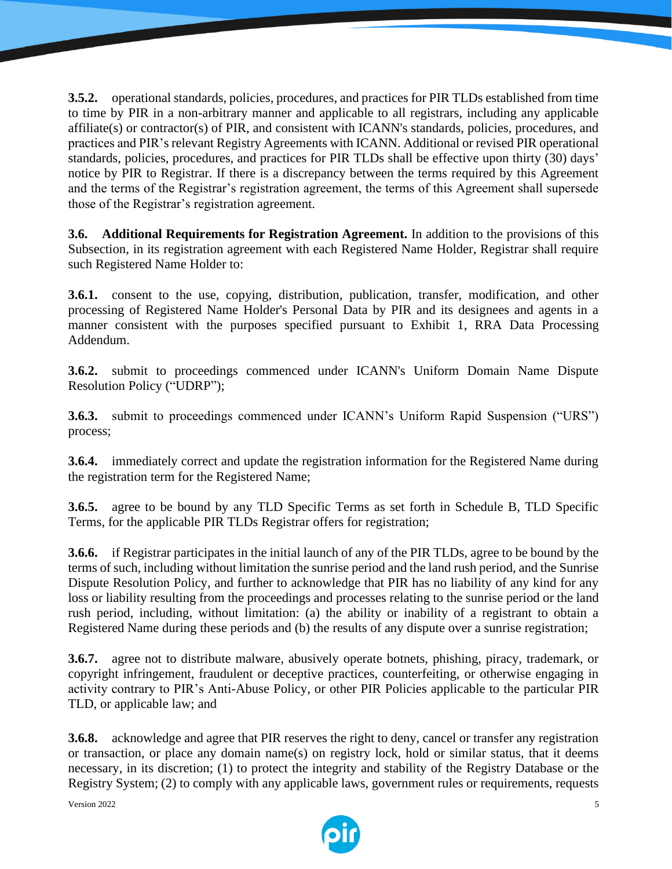**3.5.2.** operational standards, policies, procedures, and practices for PIR TLDs established from time to time by PIR in a non-arbitrary manner and applicable to all registrars, including any applicable affiliate(s) or contractor(s) of PIR, and consistent with ICANN's standards, policies, procedures, and practices and PIR's relevant Registry Agreements with ICANN. Additional or revised PIR operational standards, policies, procedures, and practices for PIR TLDs shall be effective upon thirty (30) days' notice by PIR to Registrar. If there is a discrepancy between the terms required by this Agreement and the terms of the Registrar's registration agreement, the terms of this Agreement shall supersede those of the Registrar's registration agreement.

**3.6. Additional Requirements for Registration Agreement.** In addition to the provisions of this Subsection, in its registration agreement with each Registered Name Holder, Registrar shall require such Registered Name Holder to:

**3.6.1.** consent to the use, copying, distribution, publication, transfer, modification, and other processing of Registered Name Holder's Personal Data by PIR and its designees and agents in a manner consistent with the purposes specified pursuant to Exhibit 1, RRA Data Processing Addendum.

**3.6.2.** submit to proceedings commenced under ICANN's Uniform Domain Name Dispute Resolution Policy ("UDRP");

**3.6.3.** submit to proceedings commenced under ICANN's Uniform Rapid Suspension ("URS") process;

**3.6.4.** immediately correct and update the registration information for the Registered Name during the registration term for the Registered Name;

**3.6.5.** agree to be bound by any TLD Specific Terms as set forth in Schedule B, TLD Specific Terms, for the applicable PIR TLDs Registrar offers for registration;

**3.6.6.** if Registrar participates in the initial launch of any of the PIR TLDs, agree to be bound by the terms of such, including without limitation the sunrise period and the land rush period, and the Sunrise Dispute Resolution Policy, and further to acknowledge that PIR has no liability of any kind for any loss or liability resulting from the proceedings and processes relating to the sunrise period or the land rush period, including, without limitation: (a) the ability or inability of a registrant to obtain a Registered Name during these periods and (b) the results of any dispute over a sunrise registration;

**3.6.7.** agree not to distribute malware, abusively operate botnets, phishing, piracy, trademark, or copyright infringement, fraudulent or deceptive practices, counterfeiting, or otherwise engaging in activity contrary to PIR's Anti-Abuse Policy, or other PIR Policies applicable to the particular PIR TLD, or applicable law; and

**3.6.8.** acknowledge and agree that PIR reserves the right to deny, cancel or transfer any registration or transaction, or place any domain name(s) on registry lock, hold or similar status, that it deems necessary, in its discretion; (1) to protect the integrity and stability of the Registry Database or the Registry System; (2) to comply with any applicable laws, government rules or requirements, requests

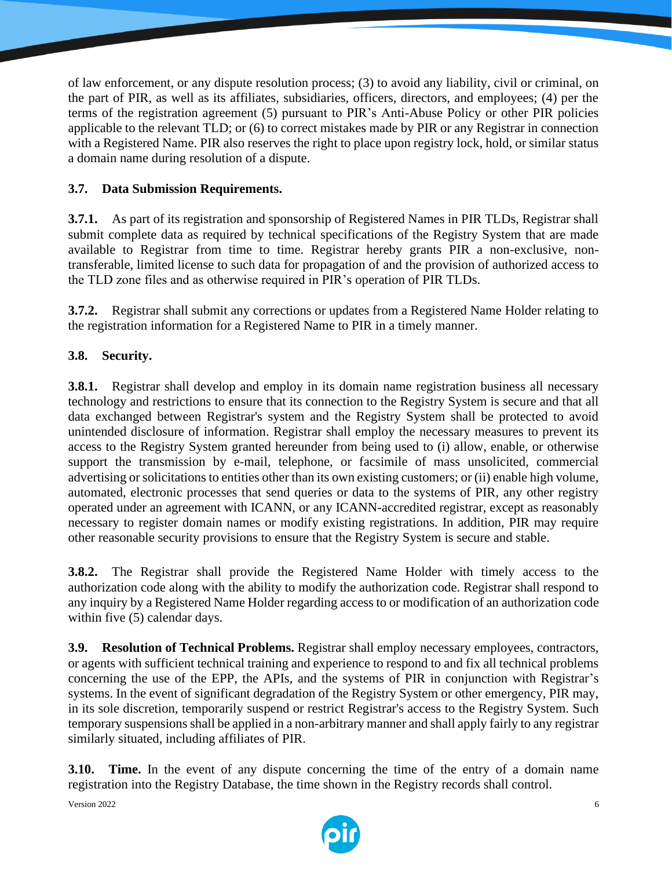of law enforcement, or any dispute resolution process; (3) to avoid any liability, civil or criminal, on the part of PIR, as well as its affiliates, subsidiaries, officers, directors, and employees; (4) per the terms of the registration agreement (5) pursuant to PIR's Anti-Abuse Policy or other PIR policies applicable to the relevant TLD; or (6) to correct mistakes made by PIR or any Registrar in connection with a Registered Name. PIR also reserves the right to place upon registry lock, hold, or similar status a domain name during resolution of a dispute.

# **3.7. Data Submission Requirements.**

**3.7.1.** As part of its registration and sponsorship of Registered Names in PIR TLDs, Registrar shall submit complete data as required by technical specifications of the Registry System that are made available to Registrar from time to time. Registrar hereby grants PIR a non-exclusive, nontransferable, limited license to such data for propagation of and the provision of authorized access to the TLD zone files and as otherwise required in PIR's operation of PIR TLDs.

**3.7.2.** Registrar shall submit any corrections or updates from a Registered Name Holder relating to the registration information for a Registered Name to PIR in a timely manner.

# **3.8. Security.**

**3.8.1.** Registrar shall develop and employ in its domain name registration business all necessary technology and restrictions to ensure that its connection to the Registry System is secure and that all data exchanged between Registrar's system and the Registry System shall be protected to avoid unintended disclosure of information. Registrar shall employ the necessary measures to prevent its access to the Registry System granted hereunder from being used to (i) allow, enable, or otherwise support the transmission by e-mail, telephone, or facsimile of mass unsolicited, commercial advertising or solicitations to entities other than its own existing customers; or (ii) enable high volume, automated, electronic processes that send queries or data to the systems of PIR, any other registry operated under an agreement with ICANN, or any ICANN-accredited registrar, except as reasonably necessary to register domain names or modify existing registrations. In addition, PIR may require other reasonable security provisions to ensure that the Registry System is secure and stable.

**3.8.2.** The Registrar shall provide the Registered Name Holder with timely access to the authorization code along with the ability to modify the authorization code. Registrar shall respond to any inquiry by a Registered Name Holder regarding access to or modification of an authorization code within five  $(5)$  calendar days.

**3.9. Resolution of Technical Problems.** Registrar shall employ necessary employees, contractors, or agents with sufficient technical training and experience to respond to and fix all technical problems concerning the use of the EPP, the APIs, and the systems of PIR in conjunction with Registrar's systems. In the event of significant degradation of the Registry System or other emergency, PIR may, in its sole discretion, temporarily suspend or restrict Registrar's access to the Registry System. Such temporary suspensions shall be applied in a non-arbitrary manner and shall apply fairly to any registrar similarly situated, including affiliates of PIR.

**3.10. Time.** In the event of any dispute concerning the time of the entry of a domain name registration into the Registry Database, the time shown in the Registry records shall control.

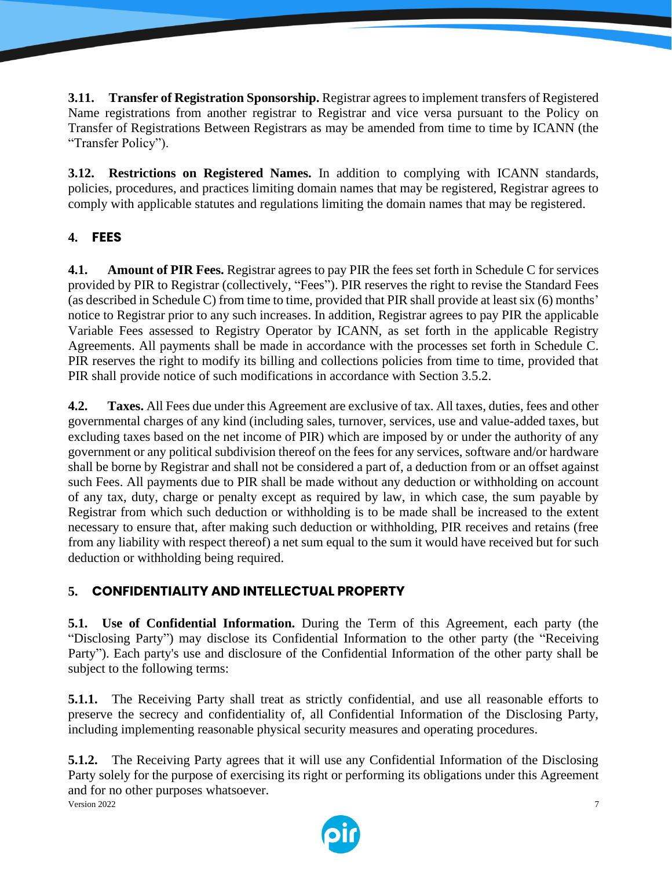**3.11. Transfer of Registration Sponsorship.** Registrar agrees to implement transfers of Registered Name registrations from another registrar to Registrar and vice versa pursuant to the Policy on Transfer of Registrations Between Registrars as may be amended from time to time by ICANN (the "Transfer Policy").

**3.12. Restrictions on Registered Names.** In addition to complying with ICANN standards, policies, procedures, and practices limiting domain names that may be registered, Registrar agrees to comply with applicable statutes and regulations limiting the domain names that may be registered.

# **4. FEES**

**4.1. Amount of PIR Fees.** Registrar agrees to pay PIR the fees set forth in Schedule C for services provided by PIR to Registrar (collectively, "Fees"). PIR reserves the right to revise the Standard Fees (as described in Schedule C) from time to time, provided that PIR shall provide at least six (6) months' notice to Registrar prior to any such increases. In addition, Registrar agrees to pay PIR the applicable Variable Fees assessed to Registry Operator by ICANN, as set forth in the applicable Registry Agreements. All payments shall be made in accordance with the processes set forth in Schedule C. PIR reserves the right to modify its billing and collections policies from time to time, provided that PIR shall provide notice of such modifications in accordance with Section 3.5.2.

**4.2. Taxes.** All Fees due under this Agreement are exclusive of tax. All taxes, duties, fees and other governmental charges of any kind (including sales, turnover, services, use and value-added taxes, but excluding taxes based on the net income of PIR) which are imposed by or under the authority of any government or any political subdivision thereof on the fees for any services, software and/or hardware shall be borne by Registrar and shall not be considered a part of, a deduction from or an offset against such Fees. All payments due to PIR shall be made without any deduction or withholding on account of any tax, duty, charge or penalty except as required by law, in which case, the sum payable by Registrar from which such deduction or withholding is to be made shall be increased to the extent necessary to ensure that, after making such deduction or withholding, PIR receives and retains (free from any liability with respect thereof) a net sum equal to the sum it would have received but for such deduction or withholding being required.

# **5. CONFIDENTIALITY AND INTELLECTUAL PROPERTY**

**5.1. Use of Confidential Information.** During the Term of this Agreement, each party (the "Disclosing Party") may disclose its Confidential Information to the other party (the "Receiving Party"). Each party's use and disclosure of the Confidential Information of the other party shall be subject to the following terms:

**5.1.1.** The Receiving Party shall treat as strictly confidential, and use all reasonable efforts to preserve the secrecy and confidentiality of, all Confidential Information of the Disclosing Party, including implementing reasonable physical security measures and operating procedures.

 $V$ ersion 2022  $\overline{7}$ **5.1.2.** The Receiving Party agrees that it will use any Confidential Information of the Disclosing Party solely for the purpose of exercising its right or performing its obligations under this Agreement and for no other purposes whatsoever.

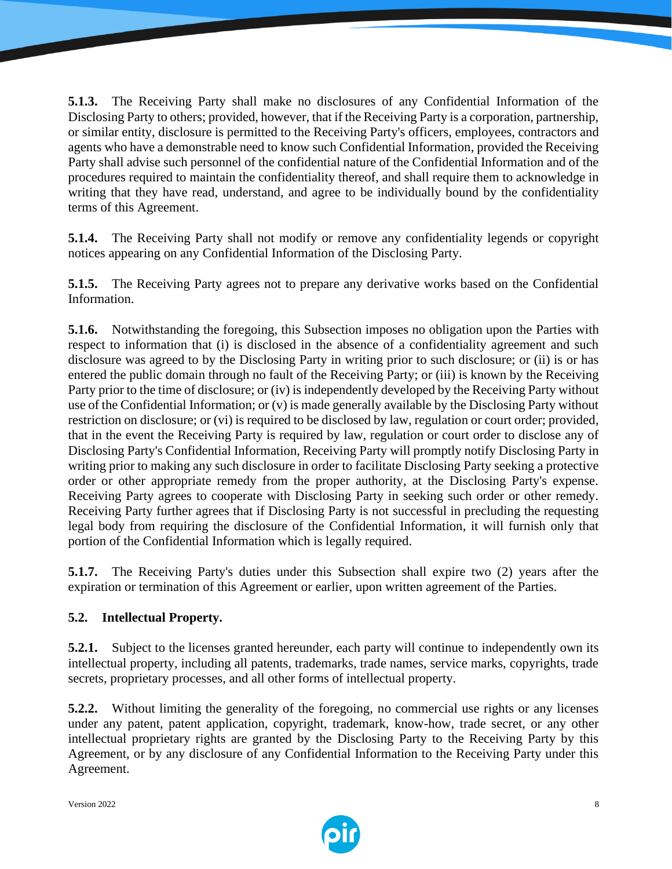**5.1.3.** The Receiving Party shall make no disclosures of any Confidential Information of the Disclosing Party to others; provided, however, that if the Receiving Party is a corporation, partnership, or similar entity, disclosure is permitted to the Receiving Party's officers, employees, contractors and agents who have a demonstrable need to know such Confidential Information, provided the Receiving Party shall advise such personnel of the confidential nature of the Confidential Information and of the procedures required to maintain the confidentiality thereof, and shall require them to acknowledge in writing that they have read, understand, and agree to be individually bound by the confidentiality terms of this Agreement.

**5.1.4.** The Receiving Party shall not modify or remove any confidentiality legends or copyright notices appearing on any Confidential Information of the Disclosing Party.

**5.1.5.** The Receiving Party agrees not to prepare any derivative works based on the Confidential Information.

**5.1.6.** Notwithstanding the foregoing, this Subsection imposes no obligation upon the Parties with respect to information that (i) is disclosed in the absence of a confidentiality agreement and such disclosure was agreed to by the Disclosing Party in writing prior to such disclosure; or (ii) is or has entered the public domain through no fault of the Receiving Party; or (iii) is known by the Receiving Party prior to the time of disclosure; or (iv) is independently developed by the Receiving Party without use of the Confidential Information; or (v) is made generally available by the Disclosing Party without restriction on disclosure; or (vi) is required to be disclosed by law, regulation or court order; provided, that in the event the Receiving Party is required by law, regulation or court order to disclose any of Disclosing Party's Confidential Information, Receiving Party will promptly notify Disclosing Party in writing prior to making any such disclosure in order to facilitate Disclosing Party seeking a protective order or other appropriate remedy from the proper authority, at the Disclosing Party's expense. Receiving Party agrees to cooperate with Disclosing Party in seeking such order or other remedy. Receiving Party further agrees that if Disclosing Party is not successful in precluding the requesting legal body from requiring the disclosure of the Confidential Information, it will furnish only that portion of the Confidential Information which is legally required.

**5.1.7.** The Receiving Party's duties under this Subsection shall expire two (2) years after the expiration or termination of this Agreement or earlier, upon written agreement of the Parties.

# **5.2. Intellectual Property.**

**5.2.1.** Subject to the licenses granted hereunder, each party will continue to independently own its intellectual property, including all patents, trademarks, trade names, service marks, copyrights, trade secrets, proprietary processes, and all other forms of intellectual property.

**5.2.2.** Without limiting the generality of the foregoing, no commercial use rights or any licenses under any patent, patent application, copyright, trademark, know-how, trade secret, or any other intellectual proprietary rights are granted by the Disclosing Party to the Receiving Party by this Agreement, or by any disclosure of any Confidential Information to the Receiving Party under this Agreement.

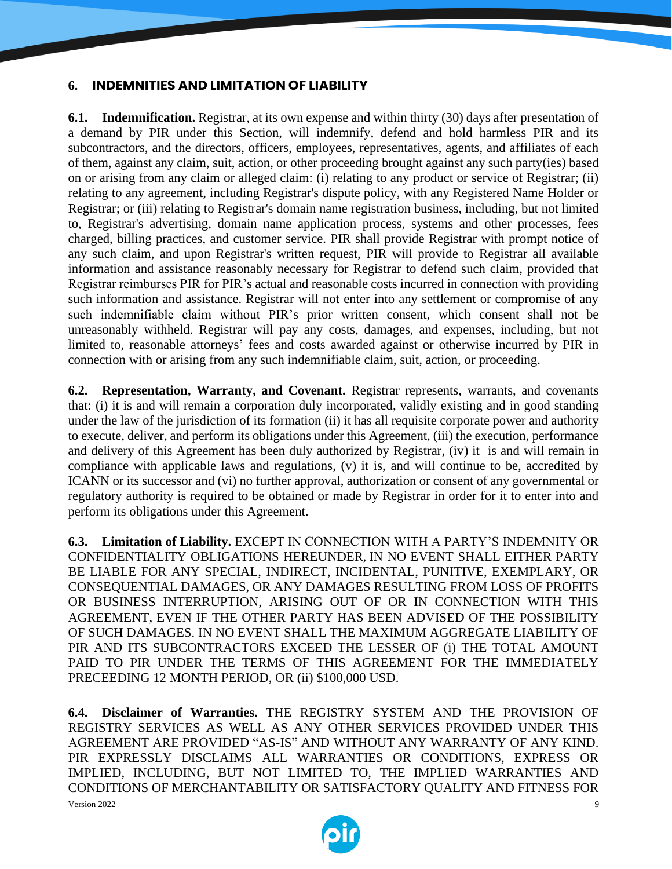# **6. INDEMNITIES AND LIMITATION OF LIABILITY**

**6.1. Indemnification.** Registrar, at its own expense and within thirty (30) days after presentation of a demand by PIR under this Section, will indemnify, defend and hold harmless PIR and its subcontractors, and the directors, officers, employees, representatives, agents, and affiliates of each of them, against any claim, suit, action, or other proceeding brought against any such party(ies) based on or arising from any claim or alleged claim: (i) relating to any product or service of Registrar; (ii) relating to any agreement, including Registrar's dispute policy, with any Registered Name Holder or Registrar; or (iii) relating to Registrar's domain name registration business, including, but not limited to, Registrar's advertising, domain name application process, systems and other processes, fees charged, billing practices, and customer service. PIR shall provide Registrar with prompt notice of any such claim, and upon Registrar's written request, PIR will provide to Registrar all available information and assistance reasonably necessary for Registrar to defend such claim, provided that Registrar reimburses PIR for PIR's actual and reasonable costs incurred in connection with providing such information and assistance. Registrar will not enter into any settlement or compromise of any such indemnifiable claim without PIR's prior written consent, which consent shall not be unreasonably withheld. Registrar will pay any costs, damages, and expenses, including, but not limited to, reasonable attorneys' fees and costs awarded against or otherwise incurred by PIR in connection with or arising from any such indemnifiable claim, suit, action, or proceeding.

**6.2. Representation, Warranty, and Covenant.** Registrar represents, warrants, and covenants that: (i) it is and will remain a corporation duly incorporated, validly existing and in good standing under the law of the jurisdiction of its formation (ii) it has all requisite corporate power and authority to execute, deliver, and perform its obligations under this Agreement, (iii) the execution, performance and delivery of this Agreement has been duly authorized by Registrar, (iv) it is and will remain in compliance with applicable laws and regulations, (v) it is, and will continue to be, accredited by ICANN or its successor and (vi) no further approval, authorization or consent of any governmental or regulatory authority is required to be obtained or made by Registrar in order for it to enter into and perform its obligations under this Agreement.

**6.3. Limitation of Liability.** EXCEPT IN CONNECTION WITH A PARTY'S INDEMNITY OR CONFIDENTIALITY OBLIGATIONS HEREUNDER**,** IN NO EVENT SHALL EITHER PARTY BE LIABLE FOR ANY SPECIAL, INDIRECT, INCIDENTAL, PUNITIVE, EXEMPLARY, OR CONSEQUENTIAL DAMAGES, OR ANY DAMAGES RESULTING FROM LOSS OF PROFITS OR BUSINESS INTERRUPTION, ARISING OUT OF OR IN CONNECTION WITH THIS AGREEMENT, EVEN IF THE OTHER PARTY HAS BEEN ADVISED OF THE POSSIBILITY OF SUCH DAMAGES. IN NO EVENT SHALL THE MAXIMUM AGGREGATE LIABILITY OF PIR AND ITS SUBCONTRACTORS EXCEED THE LESSER OF (i) THE TOTAL AMOUNT PAID TO PIR UNDER THE TERMS OF THIS AGREEMENT FOR THE IMMEDIATELY PRECEEDING 12 MONTH PERIOD, OR (ii) \$100,000 USD.

Version 2022 9 **6.4. Disclaimer of Warranties.** THE REGISTRY SYSTEM AND THE PROVISION OF REGISTRY SERVICES AS WELL AS ANY OTHER SERVICES PROVIDED UNDER THIS AGREEMENT ARE PROVIDED "AS-IS" AND WITHOUT ANY WARRANTY OF ANY KIND. PIR EXPRESSLY DISCLAIMS ALL WARRANTIES OR CONDITIONS, EXPRESS OR IMPLIED, INCLUDING, BUT NOT LIMITED TO, THE IMPLIED WARRANTIES AND CONDITIONS OF MERCHANTABILITY OR SATISFACTORY QUALITY AND FITNESS FOR

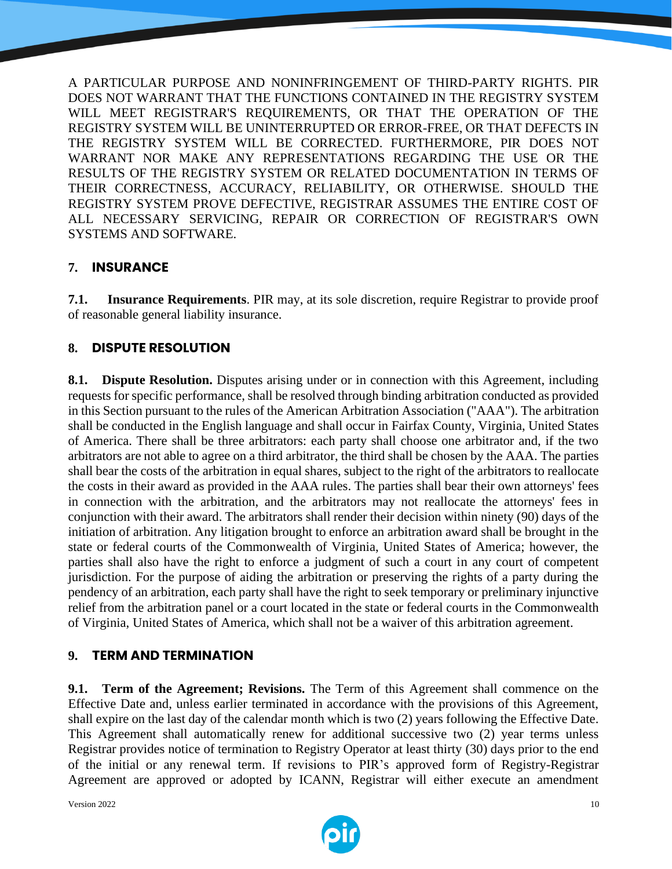A PARTICULAR PURPOSE AND NONINFRINGEMENT OF THIRD-PARTY RIGHTS. PIR DOES NOT WARRANT THAT THE FUNCTIONS CONTAINED IN THE REGISTRY SYSTEM WILL MEET REGISTRAR'S REQUIREMENTS, OR THAT THE OPERATION OF THE REGISTRY SYSTEM WILL BE UNINTERRUPTED OR ERROR-FREE, OR THAT DEFECTS IN THE REGISTRY SYSTEM WILL BE CORRECTED. FURTHERMORE, PIR DOES NOT WARRANT NOR MAKE ANY REPRESENTATIONS REGARDING THE USE OR THE RESULTS OF THE REGISTRY SYSTEM OR RELATED DOCUMENTATION IN TERMS OF THEIR CORRECTNESS, ACCURACY, RELIABILITY, OR OTHERWISE. SHOULD THE REGISTRY SYSTEM PROVE DEFECTIVE, REGISTRAR ASSUMES THE ENTIRE COST OF ALL NECESSARY SERVICING, REPAIR OR CORRECTION OF REGISTRAR'S OWN SYSTEMS AND SOFTWARE.

# **7. INSURANCE**

**7.1. Insurance Requirements**. PIR may, at its sole discretion, require Registrar to provide proof of reasonable general liability insurance.

# **8. DISPUTE RESOLUTION**

**8.1. Dispute Resolution.** Disputes arising under or in connection with this Agreement, including requests for specific performance, shall be resolved through binding arbitration conducted as provided in this Section pursuant to the rules of the American Arbitration Association ("AAA"). The arbitration shall be conducted in the English language and shall occur in Fairfax County, Virginia, United States of America. There shall be three arbitrators: each party shall choose one arbitrator and, if the two arbitrators are not able to agree on a third arbitrator, the third shall be chosen by the AAA. The parties shall bear the costs of the arbitration in equal shares, subject to the right of the arbitrators to reallocate the costs in their award as provided in the AAA rules. The parties shall bear their own attorneys' fees in connection with the arbitration, and the arbitrators may not reallocate the attorneys' fees in conjunction with their award. The arbitrators shall render their decision within ninety (90) days of the initiation of arbitration. Any litigation brought to enforce an arbitration award shall be brought in the state or federal courts of the Commonwealth of Virginia, United States of America; however, the parties shall also have the right to enforce a judgment of such a court in any court of competent jurisdiction. For the purpose of aiding the arbitration or preserving the rights of a party during the pendency of an arbitration, each party shall have the right to seek temporary or preliminary injunctive relief from the arbitration panel or a court located in the state or federal courts in the Commonwealth of Virginia, United States of America, which shall not be a waiver of this arbitration agreement.

# **9. TERM AND TERMINATION**

**9.1. Term of the Agreement; Revisions.** The Term of this Agreement shall commence on the Effective Date and, unless earlier terminated in accordance with the provisions of this Agreement, shall expire on the last day of the calendar month which is two (2) years following the Effective Date. This Agreement shall automatically renew for additional successive two (2) year terms unless Registrar provides notice of termination to Registry Operator at least thirty (30) days prior to the end of the initial or any renewal term. If revisions to PIR's approved form of Registry-Registrar Agreement are approved or adopted by ICANN, Registrar will either execute an amendment

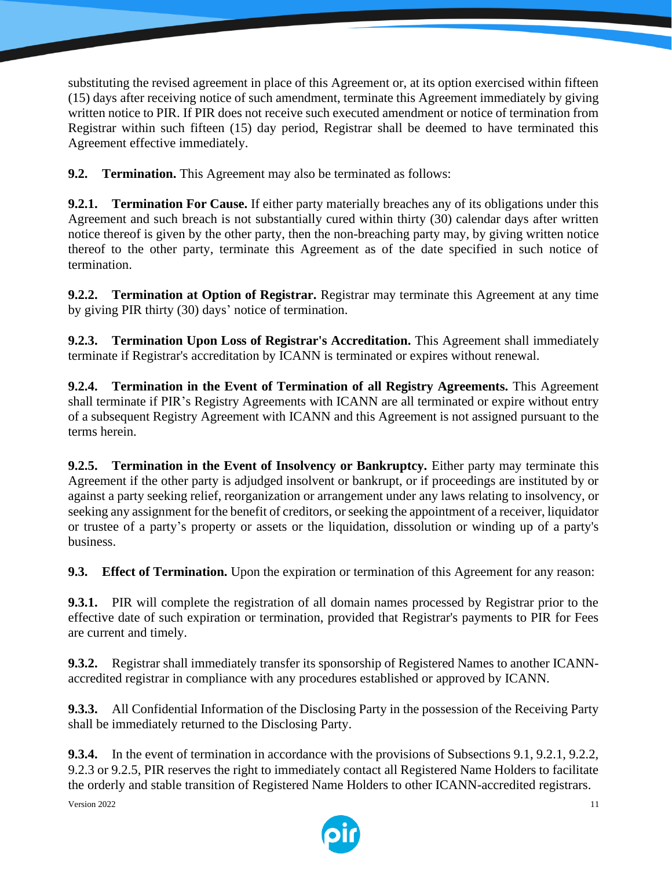substituting the revised agreement in place of this Agreement or, at its option exercised within fifteen (15) days after receiving notice of such amendment, terminate this Agreement immediately by giving written notice to PIR. If PIR does not receive such executed amendment or notice of termination from Registrar within such fifteen (15) day period, Registrar shall be deemed to have terminated this Agreement effective immediately.

**9.2. Termination.** This Agreement may also be terminated as follows:

**9.2.1. Termination For Cause.** If either party materially breaches any of its obligations under this Agreement and such breach is not substantially cured within thirty (30) calendar days after written notice thereof is given by the other party, then the non-breaching party may, by giving written notice thereof to the other party, terminate this Agreement as of the date specified in such notice of termination.

**9.2.2. Termination at Option of Registrar.** Registrar may terminate this Agreement at any time by giving PIR thirty (30) days' notice of termination.

**9.2.3. Termination Upon Loss of Registrar's Accreditation.** This Agreement shall immediately terminate if Registrar's accreditation by ICANN is terminated or expires without renewal.

**9.2.4. Termination in the Event of Termination of all Registry Agreements.** This Agreement shall terminate if PIR's Registry Agreements with ICANN are all terminated or expire without entry of a subsequent Registry Agreement with ICANN and this Agreement is not assigned pursuant to the terms herein.

**9.2.5. Termination in the Event of Insolvency or Bankruptcy.** Either party may terminate this Agreement if the other party is adjudged insolvent or bankrupt, or if proceedings are instituted by or against a party seeking relief, reorganization or arrangement under any laws relating to insolvency, or seeking any assignment for the benefit of creditors, or seeking the appointment of a receiver, liquidator or trustee of a party's property or assets or the liquidation, dissolution or winding up of a party's business.

**9.3. Effect of Termination.** Upon the expiration or termination of this Agreement for any reason:

**9.3.1.** PIR will complete the registration of all domain names processed by Registrar prior to the effective date of such expiration or termination, provided that Registrar's payments to PIR for Fees are current and timely.

**9.3.2.** Registrar shall immediately transfer its sponsorship of Registered Names to another ICANNaccredited registrar in compliance with any procedures established or approved by ICANN.

**9.3.3.** All Confidential Information of the Disclosing Party in the possession of the Receiving Party shall be immediately returned to the Disclosing Party.

**9.3.4.** In the event of termination in accordance with the provisions of Subsections 9.1, 9.2.1, 9.2.2, 9.2.3 or 9.2.5, PIR reserves the right to immediately contact all Registered Name Holders to facilitate the orderly and stable transition of Registered Name Holders to other ICANN-accredited registrars.

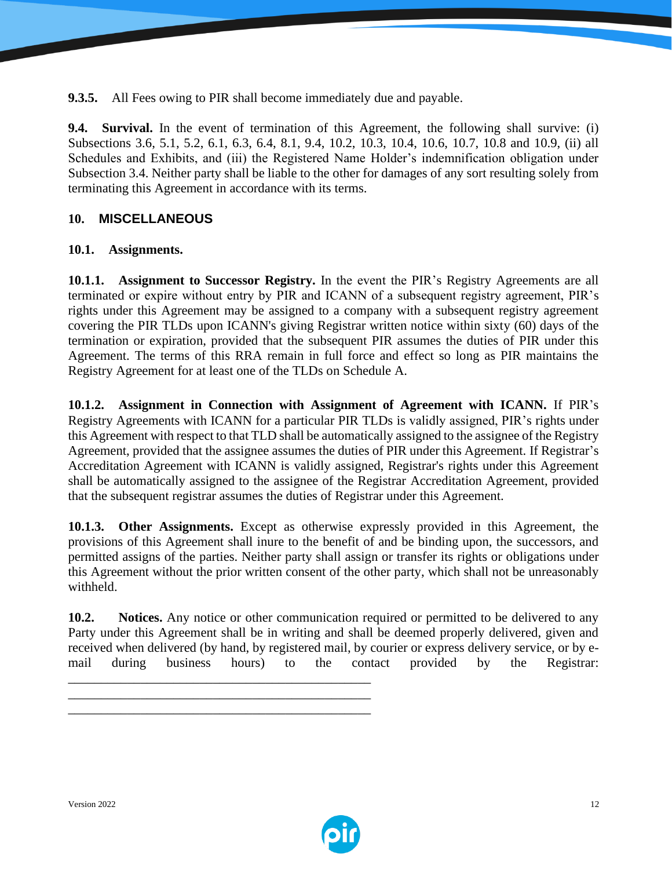**9.3.5.** All Fees owing to PIR shall become immediately due and payable.

**9.4. Survival.** In the event of termination of this Agreement, the following shall survive: (i) Subsections 3.6, 5.1, 5.2, 6.1, 6.3, 6.4, 8.1, 9.4, 10.2, 10.3, 10.4, 10.6, 10.7, 10.8 and 10.9, (ii) all Schedules and Exhibits, and (iii) the Registered Name Holder's indemnification obligation under Subsection 3.4. Neither party shall be liable to the other for damages of any sort resulting solely from terminating this Agreement in accordance with its terms.

# **10. MISCELLANEOUS**

# **10.1. Assignments.**

**10.1.1. Assignment to Successor Registry.** In the event the PIR's Registry Agreements are all terminated or expire without entry by PIR and ICANN of a subsequent registry agreement, PIR's rights under this Agreement may be assigned to a company with a subsequent registry agreement covering the PIR TLDs upon ICANN's giving Registrar written notice within sixty (60) days of the termination or expiration, provided that the subsequent PIR assumes the duties of PIR under this Agreement. The terms of this RRA remain in full force and effect so long as PIR maintains the Registry Agreement for at least one of the TLDs on Schedule A.

**10.1.2. Assignment in Connection with Assignment of Agreement with ICANN.** If PIR's Registry Agreements with ICANN for a particular PIR TLDs is validly assigned, PIR's rights under this Agreement with respect to that TLD shall be automatically assigned to the assignee of the Registry Agreement, provided that the assignee assumes the duties of PIR under this Agreement. If Registrar's Accreditation Agreement with ICANN is validly assigned, Registrar's rights under this Agreement shall be automatically assigned to the assignee of the Registrar Accreditation Agreement, provided that the subsequent registrar assumes the duties of Registrar under this Agreement.

**10.1.3. Other Assignments.** Except as otherwise expressly provided in this Agreement, the provisions of this Agreement shall inure to the benefit of and be binding upon, the successors, and permitted assigns of the parties. Neither party shall assign or transfer its rights or obligations under this Agreement without the prior written consent of the other party, which shall not be unreasonably withheld.

**10.2. Notices.** Any notice or other communication required or permitted to be delivered to any Party under this Agreement shall be in writing and shall be deemed properly delivered, given and received when delivered (by hand, by registered mail, by courier or express delivery service, or by email during business hours) to the contact provided by the Registrar:

\_\_\_\_\_\_\_\_\_\_\_\_\_\_\_\_\_\_\_\_\_\_\_\_\_\_\_\_\_\_\_\_\_\_\_\_\_\_\_\_\_\_\_\_\_\_ \_\_\_\_\_\_\_\_\_\_\_\_\_\_\_\_\_\_\_\_\_\_\_\_\_\_\_\_\_\_\_\_\_\_\_\_\_\_\_\_\_\_\_\_\_\_ \_\_\_\_\_\_\_\_\_\_\_\_\_\_\_\_\_\_\_\_\_\_\_\_\_\_\_\_\_\_\_\_\_\_\_\_\_\_\_\_\_\_\_\_\_\_

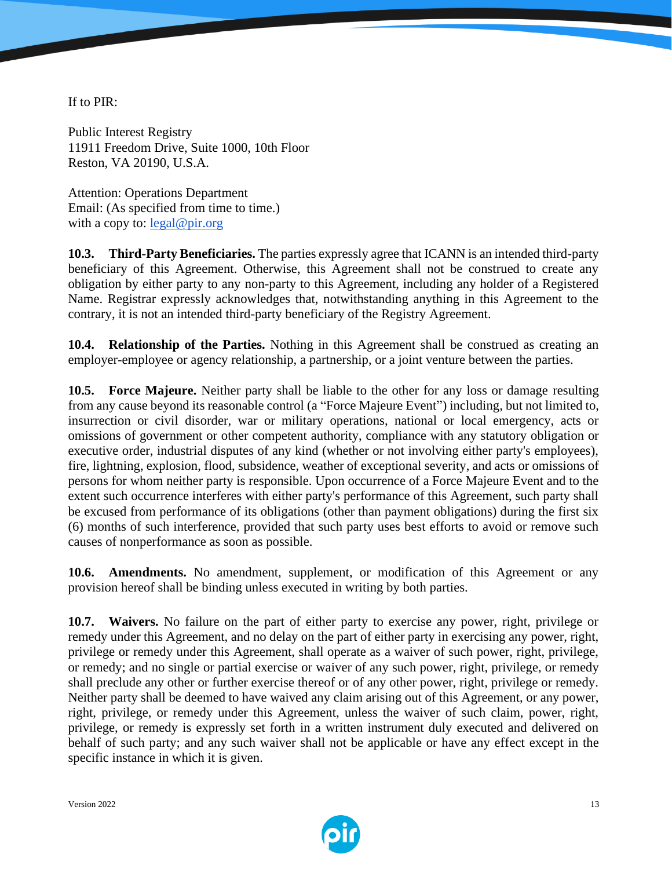# If to PIR:

Public Interest Registry 11911 Freedom Drive, Suite 1000, 10th Floor Reston, VA 20190, U.S.A.

Attention: Operations Department Email: (As specified from time to time.) with a copy to: [legal@pir.org](mailto:legal@pir.org)

**10.3. Third-Party Beneficiaries.** The parties expressly agree that ICANN is an intended third-party beneficiary of this Agreement. Otherwise, this Agreement shall not be construed to create any obligation by either party to any non-party to this Agreement, including any holder of a Registered Name. Registrar expressly acknowledges that, notwithstanding anything in this Agreement to the contrary, it is not an intended third-party beneficiary of the Registry Agreement.

**10.4. Relationship of the Parties.** Nothing in this Agreement shall be construed as creating an employer-employee or agency relationship, a partnership, or a joint venture between the parties.

**10.5. Force Majeure.** Neither party shall be liable to the other for any loss or damage resulting from any cause beyond its reasonable control (a "Force Majeure Event") including, but not limited to, insurrection or civil disorder, war or military operations, national or local emergency, acts or omissions of government or other competent authority, compliance with any statutory obligation or executive order, industrial disputes of any kind (whether or not involving either party's employees), fire, lightning, explosion, flood, subsidence, weather of exceptional severity, and acts or omissions of persons for whom neither party is responsible. Upon occurrence of a Force Majeure Event and to the extent such occurrence interferes with either party's performance of this Agreement, such party shall be excused from performance of its obligations (other than payment obligations) during the first six (6) months of such interference, provided that such party uses best efforts to avoid or remove such causes of nonperformance as soon as possible.

**10.6. Amendments.** No amendment, supplement, or modification of this Agreement or any provision hereof shall be binding unless executed in writing by both parties.

**10.7. Waivers.** No failure on the part of either party to exercise any power, right, privilege or remedy under this Agreement, and no delay on the part of either party in exercising any power, right, privilege or remedy under this Agreement, shall operate as a waiver of such power, right, privilege, or remedy; and no single or partial exercise or waiver of any such power, right, privilege, or remedy shall preclude any other or further exercise thereof or of any other power, right, privilege or remedy. Neither party shall be deemed to have waived any claim arising out of this Agreement, or any power, right, privilege, or remedy under this Agreement, unless the waiver of such claim, power, right, privilege, or remedy is expressly set forth in a written instrument duly executed and delivered on behalf of such party; and any such waiver shall not be applicable or have any effect except in the specific instance in which it is given.

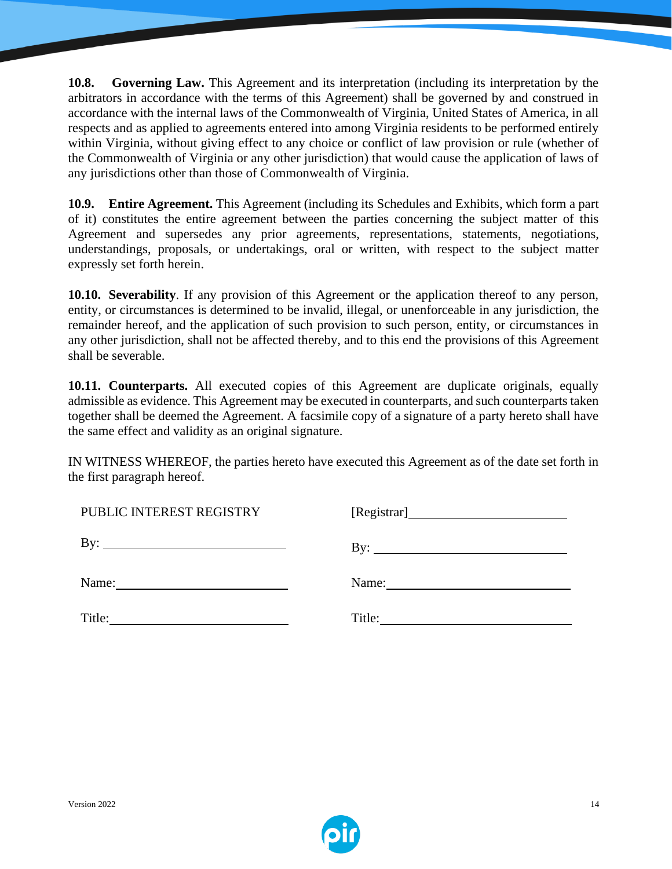**10.8. Governing Law.** This Agreement and its interpretation (including its interpretation by the arbitrators in accordance with the terms of this Agreement) shall be governed by and construed in accordance with the internal laws of the Commonwealth of Virginia, United States of America, in all respects and as applied to agreements entered into among Virginia residents to be performed entirely within Virginia, without giving effect to any choice or conflict of law provision or rule (whether of the Commonwealth of Virginia or any other jurisdiction) that would cause the application of laws of any jurisdictions other than those of Commonwealth of Virginia.

**10.9. Entire Agreement.** This Agreement (including its Schedules and Exhibits, which form a part of it) constitutes the entire agreement between the parties concerning the subject matter of this Agreement and supersedes any prior agreements, representations, statements, negotiations, understandings, proposals, or undertakings, oral or written, with respect to the subject matter expressly set forth herein.

**10.10. Severability**. If any provision of this Agreement or the application thereof to any person, entity, or circumstances is determined to be invalid, illegal, or unenforceable in any jurisdiction, the remainder hereof, and the application of such provision to such person, entity, or circumstances in any other jurisdiction, shall not be affected thereby, and to this end the provisions of this Agreement shall be severable.

**10.11. Counterparts.** All executed copies of this Agreement are duplicate originals, equally admissible as evidence. This Agreement may be executed in counterparts, and such counterparts taken together shall be deemed the Agreement. A facsimile copy of a signature of a party hereto shall have the same effect and validity as an original signature.

IN WITNESS WHEREOF, the parties hereto have executed this Agreement as of the date set forth in the first paragraph hereof.

| PUBLIC INTEREST REGISTRY                                                                                                                                                                                                                                                                                                                                                                                                                          |                                                          |
|---------------------------------------------------------------------------------------------------------------------------------------------------------------------------------------------------------------------------------------------------------------------------------------------------------------------------------------------------------------------------------------------------------------------------------------------------|----------------------------------------------------------|
| By:<br><u> 1989 - Johann Barn, fransk politik amerikansk politik (</u>                                                                                                                                                                                                                                                                                                                                                                            |                                                          |
| Name: $\frac{1}{\sqrt{1-\frac{1}{2}} \cdot \frac{1}{\sqrt{1-\frac{1}{2}} \cdot \frac{1}{\sqrt{1-\frac{1}{2}} \cdot \frac{1}{\sqrt{1-\frac{1}{2}} \cdot \frac{1}{\sqrt{1-\frac{1}{2}} \cdot \frac{1}{\sqrt{1-\frac{1}{2}} \cdot \frac{1}{\sqrt{1-\frac{1}{2}} \cdot \frac{1}{\sqrt{1-\frac{1}{2}} \cdot \frac{1}{\sqrt{1-\frac{1}{2}} \cdot \frac{1}{\sqrt{1-\frac{1}{2}} \cdot \frac{1}{\sqrt{1-\frac{1}{2}} \cdot \frac{1}{\sqrt{1-\frac{1}{2}}$ | Name: $\frac{1}{\sqrt{1-\frac{1}{2}} \cdot \frac{1}{2}}$ |
| Title:                                                                                                                                                                                                                                                                                                                                                                                                                                            | Title:                                                   |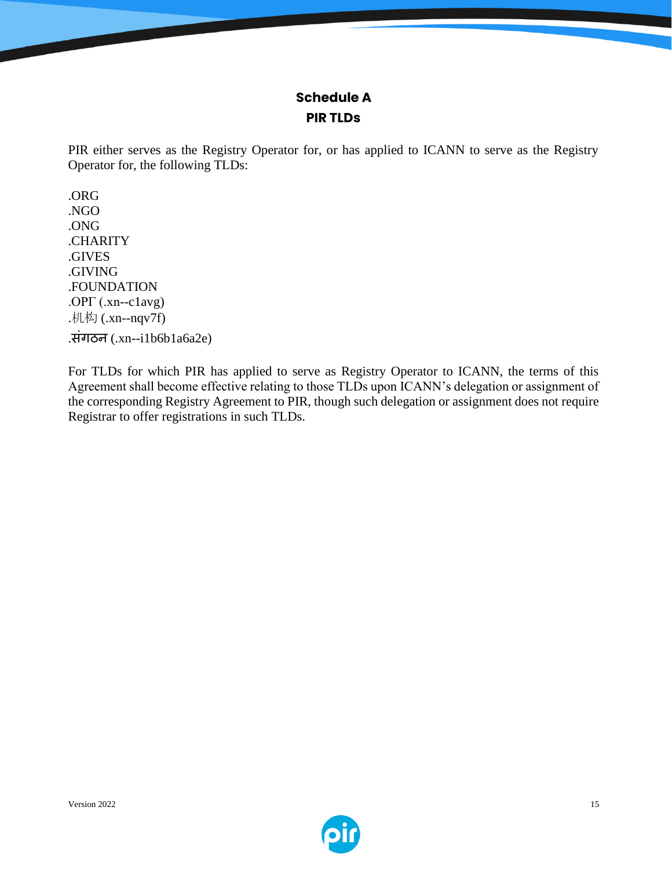# **Schedule A PIR TLDs**

PIR either serves as the Registry Operator for, or has applied to ICANN to serve as the Registry Operator for, the following TLDs:

.ORG .NGO .ONG .CHARITY .GIVES .GIVING .FOUNDATION .OPГ (.xn--c1avg) .机构 (.xn--nqv7f) .संगठन (.xn--i1b6b1a6a2e)

For TLDs for which PIR has applied to serve as Registry Operator to ICANN, the terms of this Agreement shall become effective relating to those TLDs upon ICANN's delegation or assignment of the corresponding Registry Agreement to PIR, though such delegation or assignment does not require Registrar to offer registrations in such TLDs.

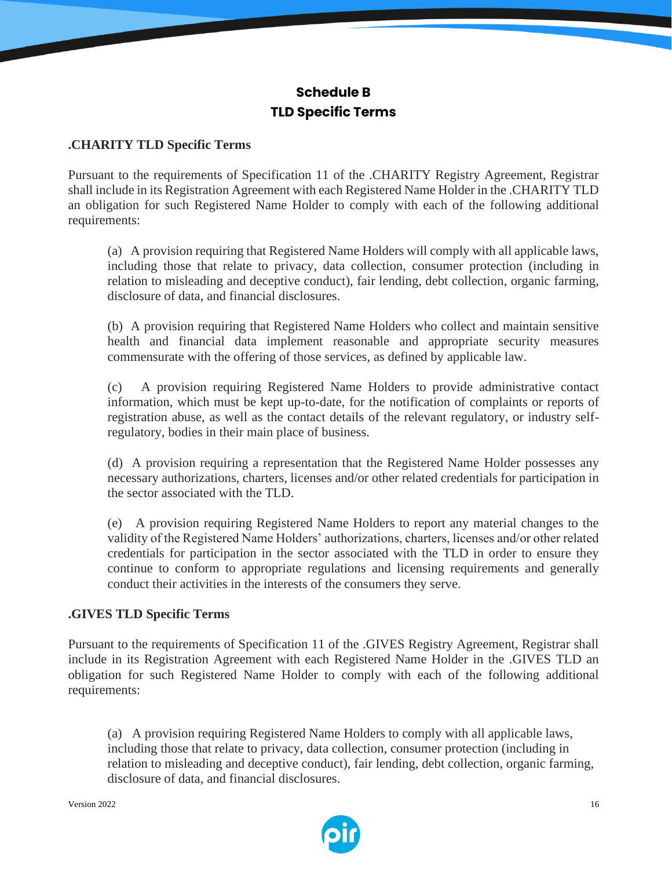# **Schedule B TLD Specific Terms**

### **.CHARITY TLD Specific Terms**

Pursuant to the requirements of Specification 11 of the .CHARITY Registry Agreement, Registrar shall include in its Registration Agreement with each Registered Name Holder in the .CHARITY TLD an obligation for such Registered Name Holder to comply with each of the following additional requirements:

(a) A provision requiring that Registered Name Holders will comply with all applicable laws, including those that relate to privacy, data collection, consumer protection (including in relation to misleading and deceptive conduct), fair lending, debt collection, organic farming, disclosure of data, and financial disclosures.

(b) A provision requiring that Registered Name Holders who collect and maintain sensitive health and financial data implement reasonable and appropriate security measures commensurate with the offering of those services, as defined by applicable law.

(c) A provision requiring Registered Name Holders to provide administrative contact information, which must be kept up-to-date, for the notification of complaints or reports of registration abuse, as well as the contact details of the relevant regulatory, or industry selfregulatory, bodies in their main place of business.

(d) A provision requiring a representation that the Registered Name Holder possesses any necessary authorizations, charters, licenses and/or other related credentials for participation in the sector associated with the TLD.

(e) A provision requiring Registered Name Holders to report any material changes to the validity of the Registered Name Holders' authorizations, charters, licenses and/or other related credentials for participation in the sector associated with the TLD in order to ensure they continue to conform to appropriate regulations and licensing requirements and generally conduct their activities in the interests of the consumers they serve.

#### **.GIVES TLD Specific Terms**

Pursuant to the requirements of Specification 11 of the .GIVES Registry Agreement, Registrar shall include in its Registration Agreement with each Registered Name Holder in the .GIVES TLD an obligation for such Registered Name Holder to comply with each of the following additional requirements:

(a) A provision requiring Registered Name Holders to comply with all applicable laws, including those that relate to privacy, data collection, consumer protection (including in relation to misleading and deceptive conduct), fair lending, debt collection, organic farming, disclosure of data, and financial disclosures.

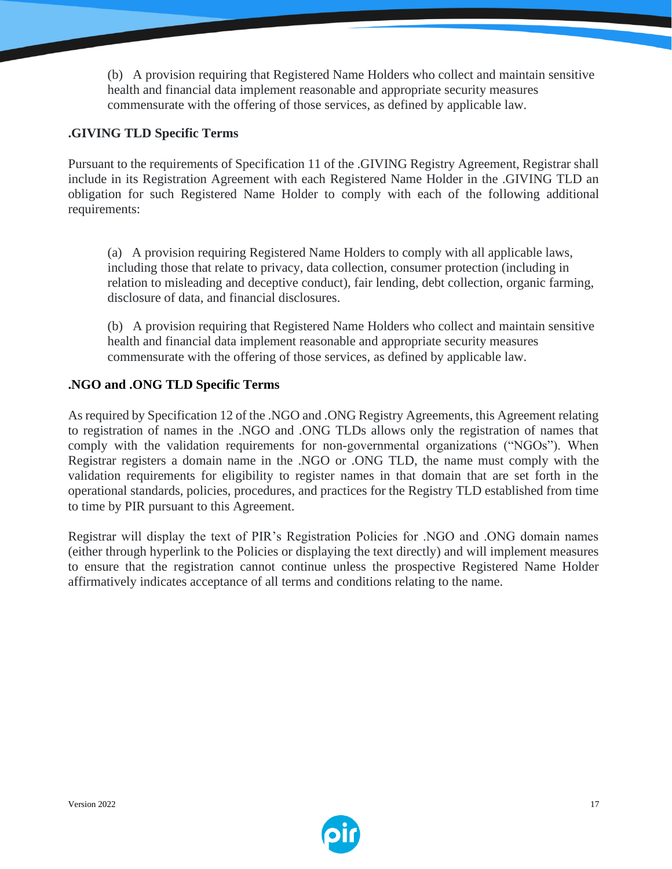(b) A provision requiring that Registered Name Holders who collect and maintain sensitive health and financial data implement reasonable and appropriate security measures commensurate with the offering of those services, as defined by applicable law.

# **.GIVING TLD Specific Terms**

Pursuant to the requirements of Specification 11 of the .GIVING Registry Agreement, Registrar shall include in its Registration Agreement with each Registered Name Holder in the .GIVING TLD an obligation for such Registered Name Holder to comply with each of the following additional requirements:

(a) A provision requiring Registered Name Holders to comply with all applicable laws, including those that relate to privacy, data collection, consumer protection (including in relation to misleading and deceptive conduct), fair lending, debt collection, organic farming, disclosure of data, and financial disclosures.

(b) A provision requiring that Registered Name Holders who collect and maintain sensitive health and financial data implement reasonable and appropriate security measures commensurate with the offering of those services, as defined by applicable law.

#### **.NGO and .ONG TLD Specific Terms**

As required by Specification 12 of the .NGO and .ONG Registry Agreements, this Agreement relating to registration of names in the .NGO and .ONG TLDs allows only the registration of names that comply with the validation requirements for non-governmental organizations ("NGOs"). When Registrar registers a domain name in the .NGO or .ONG TLD, the name must comply with the validation requirements for eligibility to register names in that domain that are set forth in the operational standards, policies, procedures, and practices for the Registry TLD established from time to time by PIR pursuant to this Agreement.

Registrar will display the text of PIR's Registration Policies for .NGO and .ONG domain names (either through hyperlink to the Policies or displaying the text directly) and will implement measures to ensure that the registration cannot continue unless the prospective Registered Name Holder affirmatively indicates acceptance of all terms and conditions relating to the name.

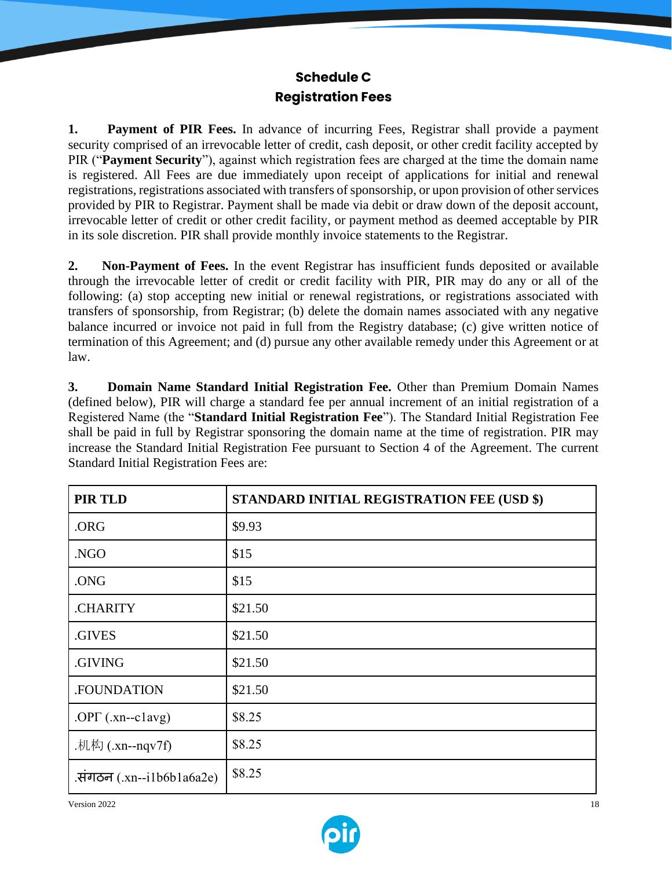# **Schedule C Registration Fees**

**1. Payment of PIR Fees.** In advance of incurring Fees, Registrar shall provide a payment security comprised of an irrevocable letter of credit, cash deposit, or other credit facility accepted by PIR ("**Payment Security**"), against which registration fees are charged at the time the domain name is registered. All Fees are due immediately upon receipt of applications for initial and renewal registrations, registrations associated with transfers of sponsorship, or upon provision of other services provided by PIR to Registrar. Payment shall be made via debit or draw down of the deposit account, irrevocable letter of credit or other credit facility, or payment method as deemed acceptable by PIR in its sole discretion. PIR shall provide monthly invoice statements to the Registrar.

**2. Non-Payment of Fees.** In the event Registrar has insufficient funds deposited or available through the irrevocable letter of credit or credit facility with PIR, PIR may do any or all of the following: (a) stop accepting new initial or renewal registrations, or registrations associated with transfers of sponsorship, from Registrar; (b) delete the domain names associated with any negative balance incurred or invoice not paid in full from the Registry database; (c) give written notice of termination of this Agreement; and (d) pursue any other available remedy under this Agreement or at law.

**3. Domain Name Standard Initial Registration Fee.** Other than Premium Domain Names (defined below), PIR will charge a standard fee per annual increment of an initial registration of a Registered Name (the "**Standard Initial Registration Fee**"). The Standard Initial Registration Fee shall be paid in full by Registrar sponsoring the domain name at the time of registration. PIR may increase the Standard Initial Registration Fee pursuant to Section 4 of the Agreement. The current Standard Initial Registration Fees are:

| PIR TLD                   | <b>STANDARD INITIAL REGISTRATION FEE (USD \$)</b> |
|---------------------------|---------------------------------------------------|
| .ORG                      | \$9.93                                            |
| .NGO                      | \$15                                              |
| .ONG                      | \$15                                              |
| .CHARITY                  | \$21.50                                           |
| .GIVES                    | \$21.50                                           |
| .GIVING                   | \$21.50                                           |
| .FOUNDATION               | \$21.50                                           |
| .OP $\Gamma$ (.xn--clavg) | \$8.25                                            |
| .机构 (.xn--nqv7f)          | \$8.25                                            |
| .संगठन (.xn--i1b6b1a6a2e) | \$8.25                                            |

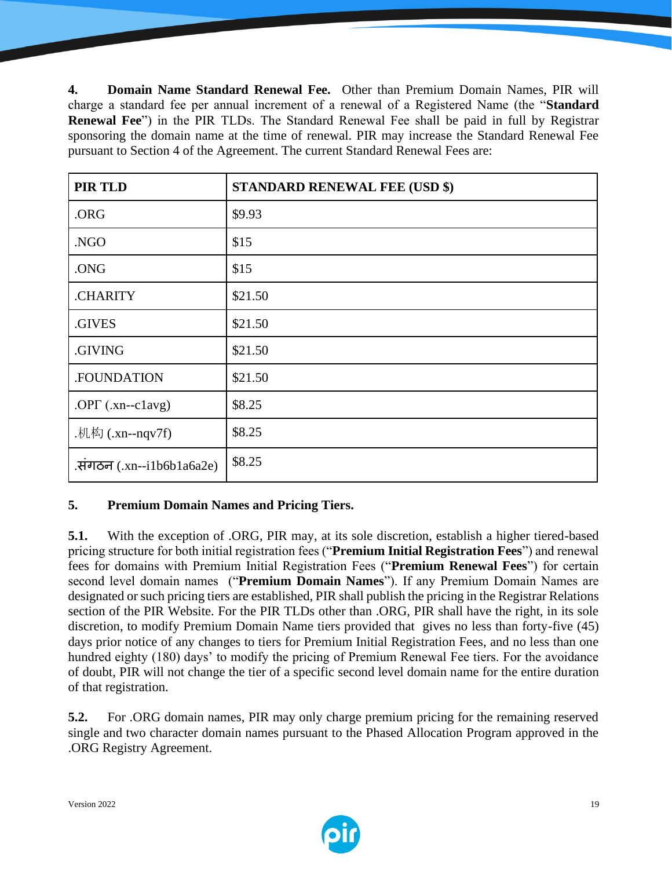**4. Domain Name Standard Renewal Fee.** Other than Premium Domain Names, PIR will charge a standard fee per annual increment of a renewal of a Registered Name (the "**Standard Renewal Fee**") in the PIR TLDs. The Standard Renewal Fee shall be paid in full by Registrar sponsoring the domain name at the time of renewal. PIR may increase the Standard Renewal Fee pursuant to Section 4 of the Agreement. The current Standard Renewal Fees are:

| PIR TLD                   | <b>STANDARD RENEWAL FEE (USD \$)</b> |
|---------------------------|--------------------------------------|
| .ORG                      | \$9.93                               |
| .NGO                      | \$15                                 |
| .ONG                      | \$15                                 |
| .CHARITY                  | \$21.50                              |
| .GIVES                    | \$21.50                              |
| .GIVING                   | \$21.50                              |
| .FOUNDATION               | \$21.50                              |
| .OP $\Gamma$ (.xn--clavg) | \$8.25                               |
| .机构 (.xn--nqv7f)          | \$8.25                               |
| .संगठन (.xn--i1b6b1a6a2e) | \$8.25                               |

# **5. Premium Domain Names and Pricing Tiers.**

**5.1.** With the exception of .ORG, PIR may, at its sole discretion, establish a higher tiered-based pricing structure for both initial registration fees ("**Premium Initial Registration Fees**") and renewal fees for domains with Premium Initial Registration Fees ("**Premium Renewal Fees**") for certain second level domain names ("**Premium Domain Names**"). If any Premium Domain Names are designated or such pricing tiers are established, PIR shall publish the pricing in the Registrar Relations section of the PIR Website. For the PIR TLDs other than .ORG, PIR shall have the right, in its sole discretion, to modify Premium Domain Name tiers provided that gives no less than forty-five (45) days prior notice of any changes to tiers for Premium Initial Registration Fees, and no less than one hundred eighty (180) days' to modify the pricing of Premium Renewal Fee tiers. For the avoidance of doubt, PIR will not change the tier of a specific second level domain name for the entire duration of that registration.

**5.2.** For .ORG domain names, PIR may only charge premium pricing for the remaining reserved single and two character domain names pursuant to the Phased Allocation Program approved in the .ORG Registry Agreement.

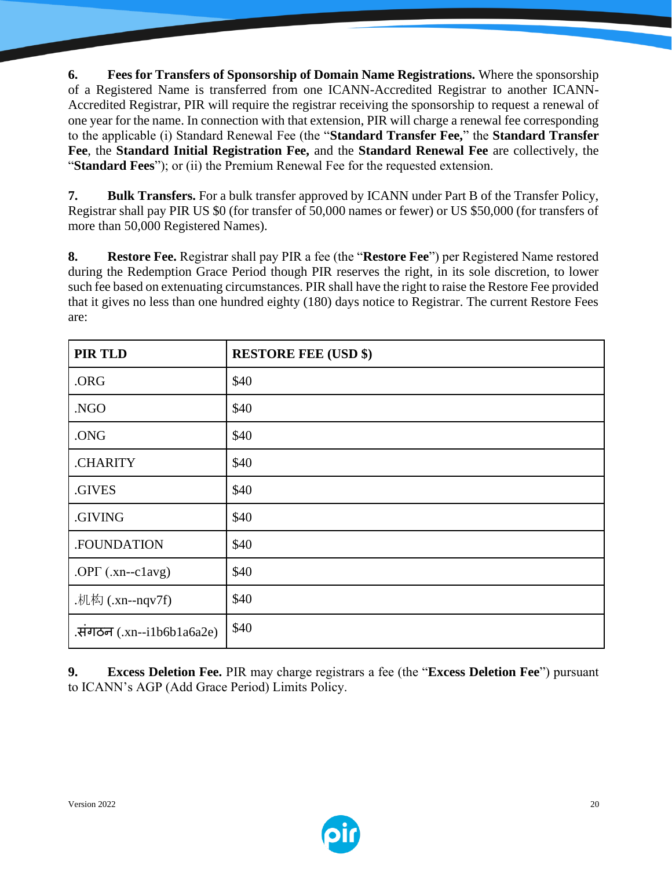**6. Fees for Transfers of Sponsorship of Domain Name Registrations.** Where the sponsorship of a Registered Name is transferred from one ICANN-Accredited Registrar to another ICANN-Accredited Registrar, PIR will require the registrar receiving the sponsorship to request a renewal of one year for the name. In connection with that extension, PIR will charge a renewal fee corresponding to the applicable (i) Standard Renewal Fee (the "**Standard Transfer Fee,**" the **Standard Transfer Fee**, the **Standard Initial Registration Fee,** and the **Standard Renewal Fee** are collectively, the "**Standard Fees**"); or (ii) the Premium Renewal Fee for the requested extension.

**7. Bulk Transfers.** For a bulk transfer approved by ICANN under Part B of the Transfer Policy, Registrar shall pay PIR US \$0 (for transfer of 50,000 names or fewer) or US \$50,000 (for transfers of more than 50,000 Registered Names).

**8. Restore Fee.** Registrar shall pay PIR a fee (the "**Restore Fee**") per Registered Name restored during the Redemption Grace Period though PIR reserves the right, in its sole discretion, to lower such fee based on extenuating circumstances. PIR shall have the right to raise the Restore Fee provided that it gives no less than one hundred eighty (180) days notice to Registrar. The current Restore Fees are:

| PIR TLD                   | <b>RESTORE FEE (USD \$)</b> |
|---------------------------|-----------------------------|
| .ORG                      | \$40                        |
| .NGO                      | \$40                        |
| .ONG                      | \$40                        |
| .CHARITY                  | \$40                        |
| .GIVES                    | \$40                        |
| .GIVING                   | \$40                        |
| .FOUNDATION               | \$40                        |
| .OPT (.xn--clavg)         | \$40                        |
| .机构 (.xn--nqv7f)          | \$40                        |
| .संगठन $(xn-i1b6b1a6a2e)$ | \$40                        |

**9. Excess Deletion Fee.** PIR may charge registrars a fee (the "**Excess Deletion Fee**") pursuant to ICANN's AGP (Add Grace Period) Limits Policy.

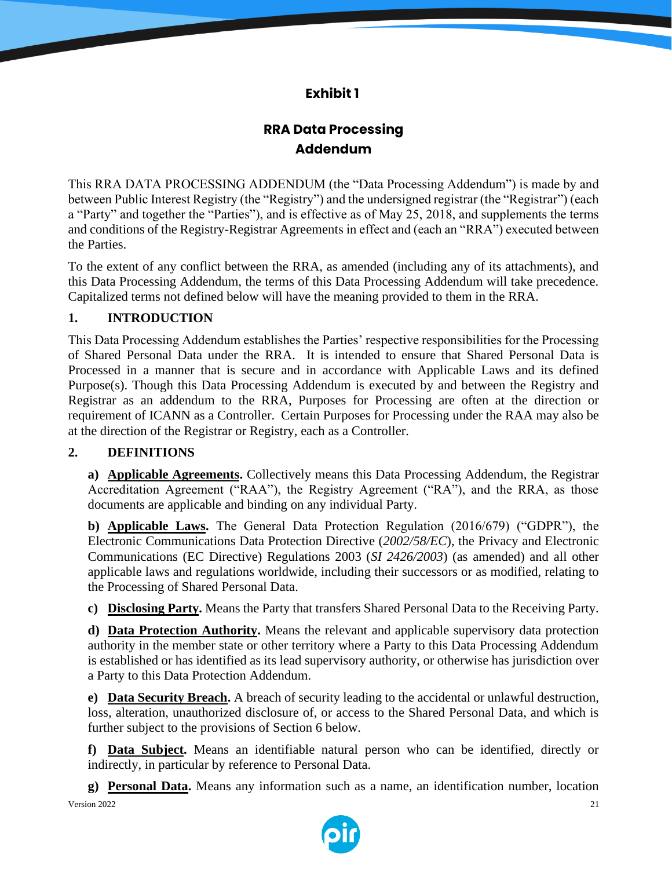# **Exhibit 1**

# **RRA Data Processing Addendum**

This RRA DATA PROCESSING ADDENDUM (the "Data Processing Addendum") is made by and between Public Interest Registry (the "Registry") and the undersigned registrar (the "Registrar") (each a "Party" and together the "Parties"), and is effective as of May 25, 2018, and supplements the terms and conditions of the Registry-Registrar Agreements in effect and (each an "RRA") executed between the Parties.

To the extent of any conflict between the RRA, as amended (including any of its attachments), and this Data Processing Addendum, the terms of this Data Processing Addendum will take precedence. Capitalized terms not defined below will have the meaning provided to them in the RRA.

# **1. INTRODUCTION**

This Data Processing Addendum establishes the Parties' respective responsibilities for the Processing of Shared Personal Data under the RRA. It is intended to ensure that Shared Personal Data is Processed in a manner that is secure and in accordance with Applicable Laws and its defined Purpose(s). Though this Data Processing Addendum is executed by and between the Registry and Registrar as an addendum to the RRA, Purposes for Processing are often at the direction or requirement of ICANN as a Controller. Certain Purposes for Processing under the RAA may also be at the direction of the Registrar or Registry, each as a Controller.

# **2. DEFINITIONS**

**a) Applicable Agreements.** Collectively means this Data Processing Addendum, the Registrar Accreditation Agreement ("RAA"), the Registry Agreement ("RA"), and the RRA, as those documents are applicable and binding on any individual Party.

**b) Applicable Laws.** The General Data Protection Regulation (2016/679) ("GDPR"), the Electronic Communications Data Protection Directive (*2002/58/EC*), the Privacy and Electronic Communications (EC Directive) Regulations 2003 (*SI 2426/2003*) (as amended) and all other applicable laws and regulations worldwide, including their successors or as modified, relating to the Processing of Shared Personal Data.

**c) Disclosing Party.** Means the Party that transfers Shared Personal Data to the Receiving Party.

**d) Data Protection Authority.** Means the relevant and applicable supervisory data protection authority in the member state or other territory where a Party to this Data Processing Addendum is established or has identified as its lead supervisory authority, or otherwise has jurisdiction over a Party to this Data Protection Addendum.

**e) Data Security Breach.** A breach of security leading to the accidental or unlawful destruction, loss, alteration, unauthorized disclosure of, or access to the Shared Personal Data, and which is further subject to the provisions of Section 6 below.

**f) Data Subject.** Means an identifiable natural person who can be identified, directly or indirectly, in particular by reference to Personal Data.

Version 2022 21 and 2022 21 and 2022 22 and 2022 22 and 2022 22 and 2022 22 and 2022 22 and 2022 22 and 2022 22 and 2022 22 and 2022 22 and 2022 22 and 2022 22 and 2022 22 and 2022 22 and 2022 22 and 2022 22 and 2022 22 an **g) Personal Data.** Means any information such as a name, an identification number, location

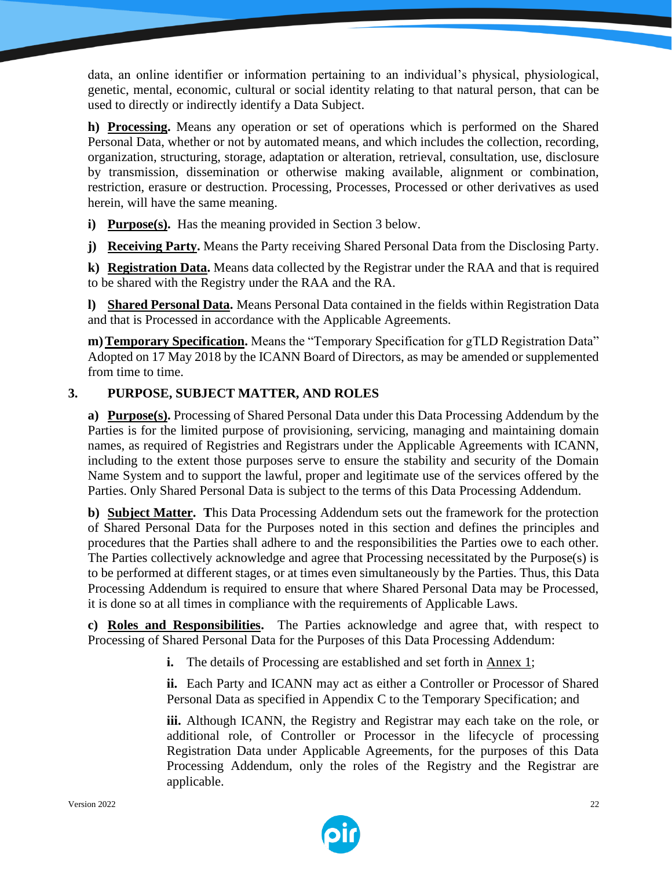data, an online identifier or information pertaining to an individual's physical, physiological, genetic, mental, economic, cultural or social identity relating to that natural person, that can be used to directly or indirectly identify a Data Subject.

**h) Processing.** Means any operation or set of operations which is performed on the Shared Personal Data, whether or not by automated means, and which includes the collection, recording, organization, structuring, storage, adaptation or alteration, retrieval, consultation, use, disclosure by transmission, dissemination or otherwise making available, alignment or combination, restriction, erasure or destruction. Processing, Processes, Processed or other derivatives as used herein, will have the same meaning.

**i) Purpose(s).** Has the meaning provided in Section 3 below.

**j) Receiving Party.** Means the Party receiving Shared Personal Data from the Disclosing Party.

**k) Registration Data.** Means data collected by the Registrar under the RAA and that is required to be shared with the Registry under the RAA and the RA.

**l) Shared Personal Data.** Means Personal Data contained in the fields within Registration Data and that is Processed in accordance with the Applicable Agreements.

**m)Temporary Specification.** Means the "Temporary Specification for gTLD Registration Data" Adopted on 17 May 2018 by the ICANN Board of Directors, as may be amended or supplemented from time to time.

# **3. PURPOSE, SUBJECT MATTER, AND ROLES**

**a) Purpose(s).** Processing of Shared Personal Data under this Data Processing Addendum by the Parties is for the limited purpose of provisioning, servicing, managing and maintaining domain names, as required of Registries and Registrars under the Applicable Agreements with ICANN, including to the extent those purposes serve to ensure the stability and security of the Domain Name System and to support the lawful, proper and legitimate use of the services offered by the Parties. Only Shared Personal Data is subject to the terms of this Data Processing Addendum.

**b) Subject Matter. T**his Data Processing Addendum sets out the framework for the protection of Shared Personal Data for the Purposes noted in this section and defines the principles and procedures that the Parties shall adhere to and the responsibilities the Parties owe to each other. The Parties collectively acknowledge and agree that Processing necessitated by the Purpose(s) is to be performed at different stages, or at times even simultaneously by the Parties. Thus, this Data Processing Addendum is required to ensure that where Shared Personal Data may be Processed, it is done so at all times in compliance with the requirements of Applicable Laws.

**c) Roles and Responsibilities.** The Parties acknowledge and agree that, with respect to Processing of Shared Personal Data for the Purposes of this Data Processing Addendum:

**i.** The details of Processing are established and set forth in <u>Annex 1</u>;

**ii.** Each Party and ICANN may act as either a Controller or Processor of Shared Personal Data as specified in Appendix C to the Temporary Specification; and

**iii.** Although ICANN, the Registry and Registrar may each take on the role, or additional role, of Controller or Processor in the lifecycle of processing Registration Data under Applicable Agreements, for the purposes of this Data Processing Addendum, only the roles of the Registry and the Registrar are applicable.

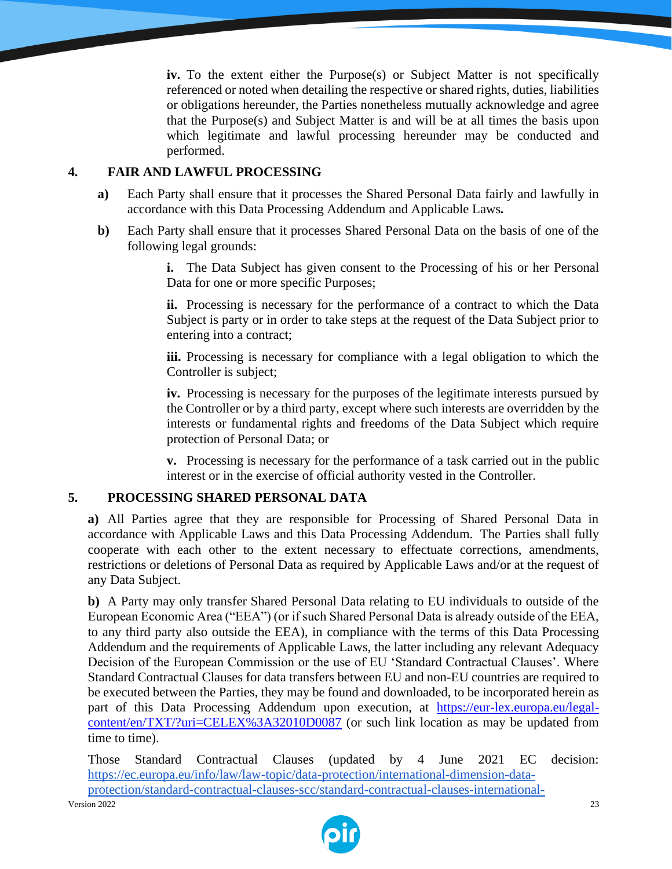**iv.** To the extent either the Purpose(s) or Subject Matter is not specifically referenced or noted when detailing the respective or shared rights, duties, liabilities or obligations hereunder, the Parties nonetheless mutually acknowledge and agree that the Purpose(s) and Subject Matter is and will be at all times the basis upon which legitimate and lawful processing hereunder may be conducted and performed.

# **4. FAIR AND LAWFUL PROCESSING**

- **a)** Each Party shall ensure that it processes the Shared Personal Data fairly and lawfully in accordance with this Data Processing Addendum and Applicable Laws*.*
- **b**) Each Party shall ensure that it processes Shared Personal Data on the basis of one of the following legal grounds:

**i.** The Data Subject has given consent to the Processing of his or her Personal Data for one or more specific Purposes;

**ii.** Processing is necessary for the performance of a contract to which the Data Subject is party or in order to take steps at the request of the Data Subject prior to entering into a contract;

**iii.** Processing is necessary for compliance with a legal obligation to which the Controller is subject;

**iv.** Processing is necessary for the purposes of the legitimate interests pursued by the Controller or by a third party, except where such interests are overridden by the interests or fundamental rights and freedoms of the Data Subject which require protection of Personal Data; or

 **v.** Processing is necessary for the performance of a task carried out in the public interest or in the exercise of official authority vested in the Controller.

# **5. PROCESSING SHARED PERSONAL DATA**

**a)** All Parties agree that they are responsible for Processing of Shared Personal Data in accordance with Applicable Laws and this Data Processing Addendum. The Parties shall fully cooperate with each other to the extent necessary to effectuate corrections, amendments, restrictions or deletions of Personal Data as required by Applicable Laws and/or at the request of any Data Subject.

**b)** A Party may only transfer Shared Personal Data relating to EU individuals to outside of the European Economic Area ("EEA") (or if such Shared Personal Data is already outside of the EEA, to any third party also outside the EEA), in compliance with the terms of this Data Processing Addendum and the requirements of Applicable Laws, the latter including any relevant Adequacy Decision of the European Commission or the use of EU 'Standard Contractual Clauses'. Where Standard Contractual Clauses for data transfers between EU and non-EU countries are required to be executed between the Parties, they may be found and downloaded, to be incorporated herein as part of this Data Processing Addendum upon execution, a[t](https://eur-lex.europa.eu/legal-content/en/TXT/?uri=CELEX%3A32010D0087) [https://eur-lex.europa.eu/legal](https://eur-lex.europa.eu/legal-content/en/TXT/?uri=CELEX%3A32010D0087)[content/en/TXT/?uri=CELEX%3A32010D0087](https://eur-lex.europa.eu/legal-content/en/TXT/?uri=CELEX%3A32010D0087) (or such link location as may be updated from time to time).

Version 2022 23 Those Standard Contractual Clauses (updated by 4 June 2021 EC decision: [https://ec.europa.eu/info/law/law-topic/data-protection/international-dimension-data](https://ec.europa.eu/info/law/law-topic/data-protection/international-dimension-data-protection/standard-contractual-clauses-scc/standard-contractual-clauses-international-transfers_en)[protection/standard-contractual-clauses-scc/standard-contractual-clauses-international-](https://ec.europa.eu/info/law/law-topic/data-protection/international-dimension-data-protection/standard-contractual-clauses-scc/standard-contractual-clauses-international-transfers_en)

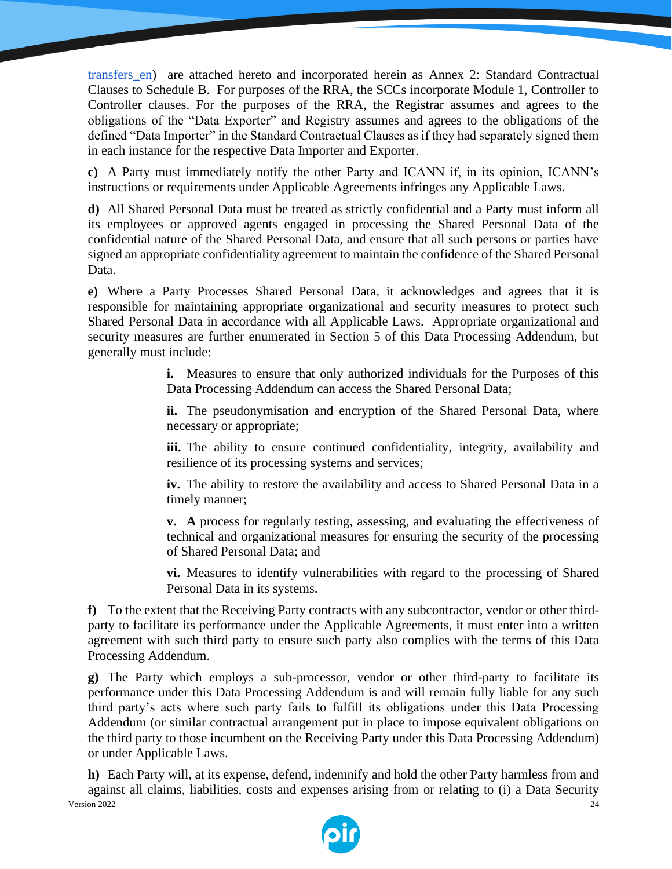transfers en) are attached hereto and incorporated herein as Annex 2: Standard Contractual Clauses to Schedule B. For purposes of the RRA, the SCCs incorporate Module 1, Controller to Controller clauses. For the purposes of the RRA, the Registrar assumes and agrees to the obligations of the "Data Exporter" and Registry assumes and agrees to the obligations of the defined "Data Importer" in the Standard Contractual Clauses as if they had separately signed them in each instance for the respective Data Importer and Exporter.

**c)** A Party must immediately notify the other Party and ICANN if, in its opinion, ICANN's instructions or requirements under Applicable Agreements infringes any Applicable Laws.

**d)** All Shared Personal Data must be treated as strictly confidential and a Party must inform all its employees or approved agents engaged in processing the Shared Personal Data of the confidential nature of the Shared Personal Data, and ensure that all such persons or parties have signed an appropriate confidentiality agreement to maintain the confidence of the Shared Personal Data.

**e)** Where a Party Processes Shared Personal Data, it acknowledges and agrees that it is responsible for maintaining appropriate organizational and security measures to protect such Shared Personal Data in accordance with all Applicable Laws. Appropriate organizational and security measures are further enumerated in Section 5 of this Data Processing Addendum, but generally must include:

> **i.** Measures to ensure that only authorized individuals for the Purposes of this Data Processing Addendum can access the Shared Personal Data;

> **ii.** The pseudonymisation and encryption of the Shared Personal Data, where necessary or appropriate;

> **iii.** The ability to ensure continued confidentiality, integrity, availability and resilience of its processing systems and services;

> **iv.** The ability to restore the availability and access to Shared Personal Data in a timely manner;

> **v. A** process for regularly testing, assessing, and evaluating the effectiveness of technical and organizational measures for ensuring the security of the processing of Shared Personal Data; and

> **vi.** Measures to identify vulnerabilities with regard to the processing of Shared Personal Data in its systems.

**f)** To the extent that the Receiving Party contracts with any subcontractor, vendor or other thirdparty to facilitate its performance under the Applicable Agreements, it must enter into a written agreement with such third party to ensure such party also complies with the terms of this Data Processing Addendum.

**g)** The Party which employs a sub-processor, vendor or other third-party to facilitate its performance under this Data Processing Addendum is and will remain fully liable for any such third party's acts where such party fails to fulfill its obligations under this Data Processing Addendum (or similar contractual arrangement put in place to impose equivalent obligations on the third party to those incumbent on the Receiving Party under this Data Processing Addendum) or under Applicable Laws.

 $V$ ersion 2022 24 **h)** Each Party will, at its expense, defend, indemnify and hold the other Party harmless from and against all claims, liabilities, costs and expenses arising from or relating to (i) a Data Security

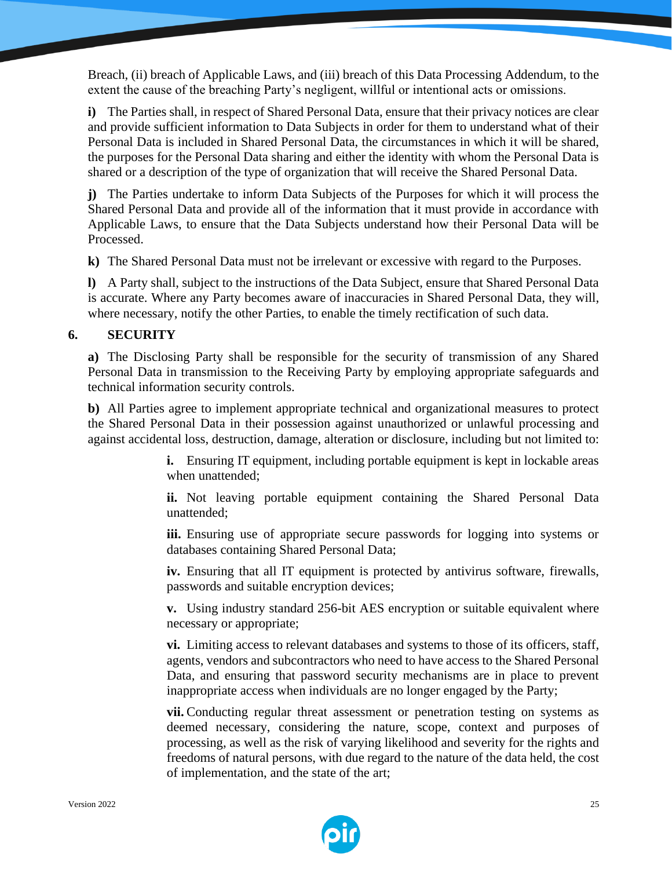Breach, (ii) breach of Applicable Laws, and (iii) breach of this Data Processing Addendum, to the extent the cause of the breaching Party's negligent, willful or intentional acts or omissions.

**i)** The Parties shall, in respect of Shared Personal Data, ensure that their privacy notices are clear and provide sufficient information to Data Subjects in order for them to understand what of their Personal Data is included in Shared Personal Data, the circumstances in which it will be shared, the purposes for the Personal Data sharing and either the identity with whom the Personal Data is shared or a description of the type of organization that will receive the Shared Personal Data.

**j)** The Parties undertake to inform Data Subjects of the Purposes for which it will process the Shared Personal Data and provide all of the information that it must provide in accordance with Applicable Laws, to ensure that the Data Subjects understand how their Personal Data will be Processed.

**k)** The Shared Personal Data must not be irrelevant or excessive with regard to the Purposes.

**l)** A Party shall, subject to the instructions of the Data Subject, ensure that Shared Personal Data is accurate. Where any Party becomes aware of inaccuracies in Shared Personal Data, they will, where necessary, notify the other Parties, to enable the timely rectification of such data.

# **6. SECURITY**

**a)** The Disclosing Party shall be responsible for the security of transmission of any Shared Personal Data in transmission to the Receiving Party by employing appropriate safeguards and technical information security controls.

**b)** All Parties agree to implement appropriate technical and organizational measures to protect the Shared Personal Data in their possession against unauthorized or unlawful processing and against accidental loss, destruction, damage, alteration or disclosure, including but not limited to:

> *i.* Ensuring IT equipment, including portable equipment is kept in lockable areas when unattended;

> **ii.** Not leaving portable equipment containing the Shared Personal Data unattended;

> **iii.** Ensuring use of appropriate secure passwords for logging into systems or databases containing Shared Personal Data;

> **iv.** Ensuring that all IT equipment is protected by antivirus software, firewalls, passwords and suitable encryption devices;

> **v.** Using industry standard 256-bit AES encryption or suitable equivalent where necessary or appropriate;

> **vi.** Limiting access to relevant databases and systems to those of its officers, staff, agents, vendors and subcontractors who need to have access to the Shared Personal Data, and ensuring that password security mechanisms are in place to prevent inappropriate access when individuals are no longer engaged by the Party;

> **vii.** Conducting regular threat assessment or penetration testing on systems as deemed necessary, considering the nature, scope, context and purposes of processing, as well as the risk of varying likelihood and severity for the rights and freedoms of natural persons, with due regard to the nature of the data held, the cost of implementation, and the state of the art;

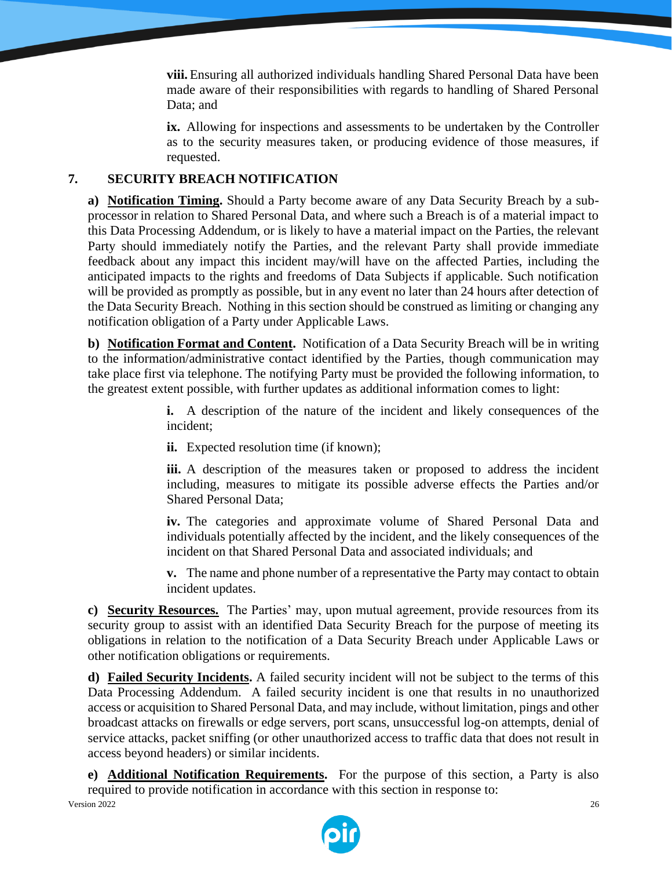**viii.** Ensuring all authorized individuals handling Shared Personal Data have been made aware of their responsibilities with regards to handling of Shared Personal Data; and

**ix.** Allowing for inspections and assessments to be undertaken by the Controller as to the security measures taken, or producing evidence of those measures, if requested.

# **7. SECURITY BREACH NOTIFICATION**

**a) Notification Timing.** Should a Party become aware of any Data Security Breach by a subprocessor in relation to Shared Personal Data, and where such a Breach is of a material impact to this Data Processing Addendum, or is likely to have a material impact on the Parties, the relevant Party should immediately notify the Parties, and the relevant Party shall provide immediate feedback about any impact this incident may/will have on the affected Parties, including the anticipated impacts to the rights and freedoms of Data Subjects if applicable. Such notification will be provided as promptly as possible, but in any event no later than 24 hours after detection of the Data Security Breach. Nothing in this section should be construed as limiting or changing any notification obligation of a Party under Applicable Laws.

**b) Notification Format and Content.** Notification of a Data Security Breach will be in writing to the information/administrative contact identified by the Parties, though communication may take place first via telephone. The notifying Party must be provided the following information, to the greatest extent possible, with further updates as additional information comes to light:

> **i.** A description of the nature of the incident and likely consequences of the incident;

 **ii.** Expected resolution time (if known);

**iii.** A description of the measures taken or proposed to address the incident including, measures to mitigate its possible adverse effects the Parties and/or Shared Personal Data;

 **iv.** The categories and approximate volume of Shared Personal Data and individuals potentially affected by the incident, and the likely consequences of the incident on that Shared Personal Data and associated individuals; and

 **v.** The name and phone number of a representative the Party may contact to obtain incident updates.

**c) Security Resources.** The Parties' may, upon mutual agreement, provide resources from its security group to assist with an identified Data Security Breach for the purpose of meeting its obligations in relation to the notification of a Data Security Breach under Applicable Laws or other notification obligations or requirements.

**d) Failed Security Incidents.** A failed security incident will not be subject to the terms of this Data Processing Addendum. A failed security incident is one that results in no unauthorized access or acquisition to Shared Personal Data, and may include, without limitation, pings and other broadcast attacks on firewalls or edge servers, port scans, unsuccessful log-on attempts, denial of service attacks, packet sniffing (or other unauthorized access to traffic data that does not result in access beyond headers) or similar incidents.

Version 2022 26 2022 2023 2024 2022 2024 2022 2024 2022 2024 2022 2024 2022 2024 2022 2024 2022 2024 2022 2024 **e) Additional Notification Requirements.** For the purpose of this section, a Party is also required to provide notification in accordance with this section in response to:

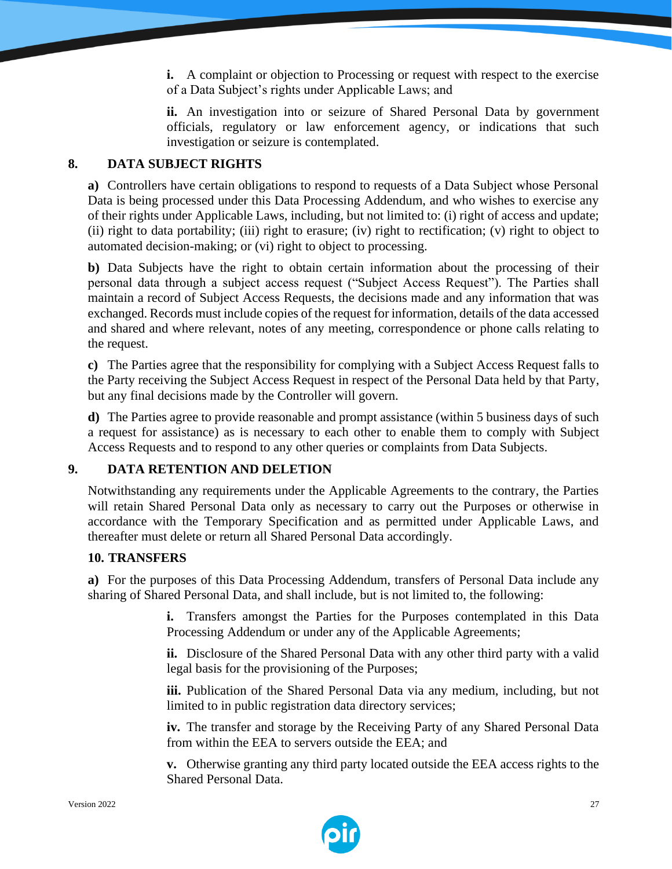*i.* A complaint or objection to Processing or request with respect to the exercise of a Data Subject's rights under Applicable Laws; and

**ii.** An investigation into or seizure of Shared Personal Data by government officials, regulatory or law enforcement agency, or indications that such investigation or seizure is contemplated.

# **8. DATA SUBJECT RIGHTS**

**a)** Controllers have certain obligations to respond to requests of a Data Subject whose Personal Data is being processed under this Data Processing Addendum, and who wishes to exercise any of their rights under Applicable Laws, including, but not limited to: (i) right of access and update; (ii) right to data portability; (iii) right to erasure; (iv) right to rectification; (v) right to object to automated decision-making; or (vi) right to object to processing.

**b)** Data Subjects have the right to obtain certain information about the processing of their personal data through a subject access request ("Subject Access Request"). The Parties shall maintain a record of Subject Access Requests, the decisions made and any information that was exchanged. Records must include copies of the request for information, details of the data accessed and shared and where relevant, notes of any meeting, correspondence or phone calls relating to the request.

**c)** The Parties agree that the responsibility for complying with a Subject Access Request falls to the Party receiving the Subject Access Request in respect of the Personal Data held by that Party, but any final decisions made by the Controller will govern.

**d)** The Parties agree to provide reasonable and prompt assistance (within 5 business days of such a request for assistance) as is necessary to each other to enable them to comply with Subject Access Requests and to respond to any other queries or complaints from Data Subjects.

# **9. DATA RETENTION AND DELETION**

Notwithstanding any requirements under the Applicable Agreements to the contrary, the Parties will retain Shared Personal Data only as necessary to carry out the Purposes or otherwise in accordance with the Temporary Specification and as permitted under Applicable Laws, and thereafter must delete or return all Shared Personal Data accordingly.

# **10. TRANSFERS**

**a)** For the purposes of this Data Processing Addendum, transfers of Personal Data include any sharing of Shared Personal Data, and shall include, but is not limited to, the following:

> **i.** Transfers amongst the Parties for the Purposes contemplated in this Data Processing Addendum or under any of the Applicable Agreements;

> **ii.** Disclosure of the Shared Personal Data with any other third party with a valid legal basis for the provisioning of the Purposes;

> **iii.** Publication of the Shared Personal Data via any medium, including, but not limited to in public registration data directory services;

> **iv.** The transfer and storage by the Receiving Party of any Shared Personal Data from within the EEA to servers outside the EEA; and

> **v.** Otherwise granting any third party located outside the EEA access rights to the Shared Personal Data.

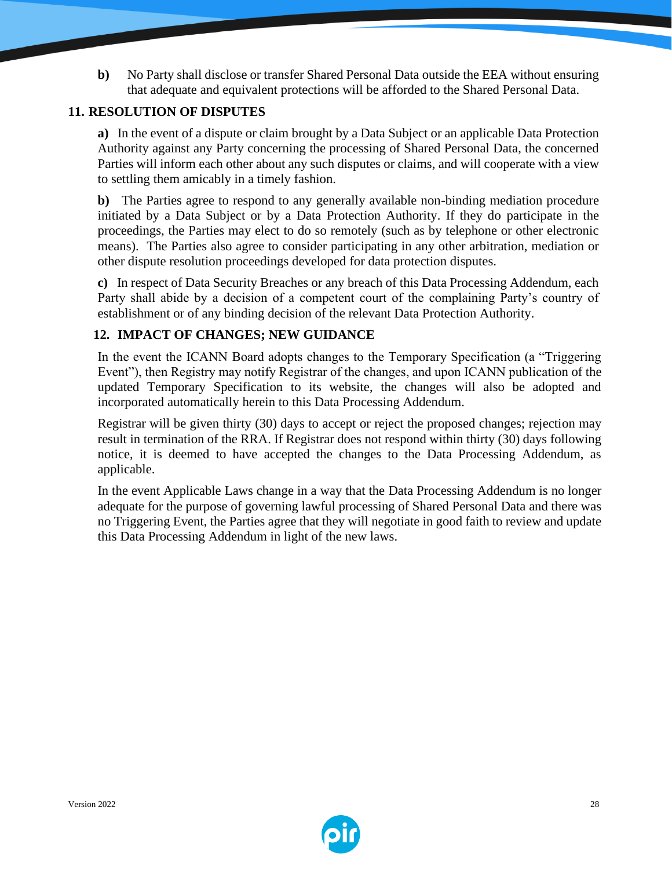**b)** No Party shall disclose or transfer Shared Personal Data outside the EEA without ensuring that adequate and equivalent protections will be afforded to the Shared Personal Data.

# **11. RESOLUTION OF DISPUTES**

**a)** In the event of a dispute or claim brought by a Data Subject or an applicable Data Protection Authority against any Party concerning the processing of Shared Personal Data, the concerned Parties will inform each other about any such disputes or claims, and will cooperate with a view to settling them amicably in a timely fashion.

**b**) The Parties agree to respond to any generally available non-binding mediation procedure initiated by a Data Subject or by a Data Protection Authority. If they do participate in the proceedings, the Parties may elect to do so remotely (such as by telephone or other electronic means). The Parties also agree to consider participating in any other arbitration, mediation or other dispute resolution proceedings developed for data protection disputes.

**c)** In respect of Data Security Breaches or any breach of this Data Processing Addendum, each Party shall abide by a decision of a competent court of the complaining Party's country of establishment or of any binding decision of the relevant Data Protection Authority.

# **12. IMPACT OF CHANGES; NEW GUIDANCE**

In the event the ICANN Board adopts changes to the Temporary Specification (a "Triggering Event"), then Registry may notify Registrar of the changes, and upon ICANN publication of the updated Temporary Specification to its website, the changes will also be adopted and incorporated automatically herein to this Data Processing Addendum.

Registrar will be given thirty (30) days to accept or reject the proposed changes; rejection may result in termination of the RRA. If Registrar does not respond within thirty (30) days following notice, it is deemed to have accepted the changes to the Data Processing Addendum, as applicable.

In the event Applicable Laws change in a way that the Data Processing Addendum is no longer adequate for the purpose of governing lawful processing of Shared Personal Data and there was no Triggering Event, the Parties agree that they will negotiate in good faith to review and update this Data Processing Addendum in light of the new laws.



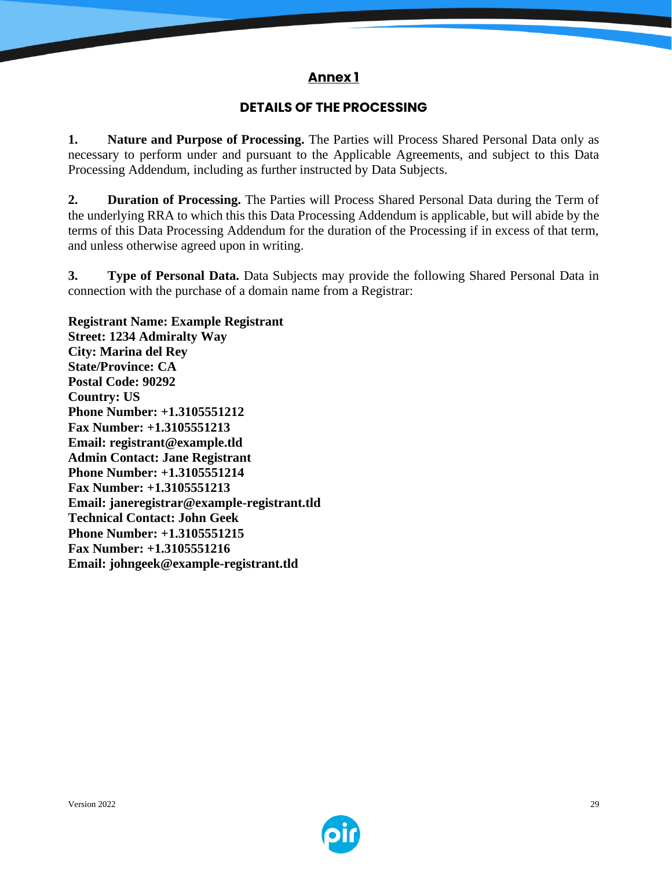# **Annex 1**

# **DETAILS OF THE PROCESSING**

**1. Nature and Purpose of Processing.** The Parties will Process Shared Personal Data only as necessary to perform under and pursuant to the Applicable Agreements, and subject to this Data Processing Addendum, including as further instructed by Data Subjects.

**2. Duration of Processing.** The Parties will Process Shared Personal Data during the Term of the underlying RRA to which this this Data Processing Addendum is applicable, but will abide by the terms of this Data Processing Addendum for the duration of the Processing if in excess of that term, and unless otherwise agreed upon in writing.

**3. Type of Personal Data.** Data Subjects may provide the following Shared Personal Data in connection with the purchase of a domain name from a Registrar:

**Registrant Name: Example Registrant**

**Street: 1234 Admiralty Way City: Marina del Rey State/Province: CA Postal Code: 90292 Country: US Phone Number: +1.3105551212 Fax Number: +1.3105551213 Email: registrant@example.tld Admin Contact: Jane Registrant Phone Number: +1.3105551214 Fax Number: +1.3105551213 Email: janeregistrar@example-registrant.tld Technical Contact: John Geek Phone Number: +1.3105551215 Fax Number: +1.3105551216 Email: johngeek@example-registrant.tld**

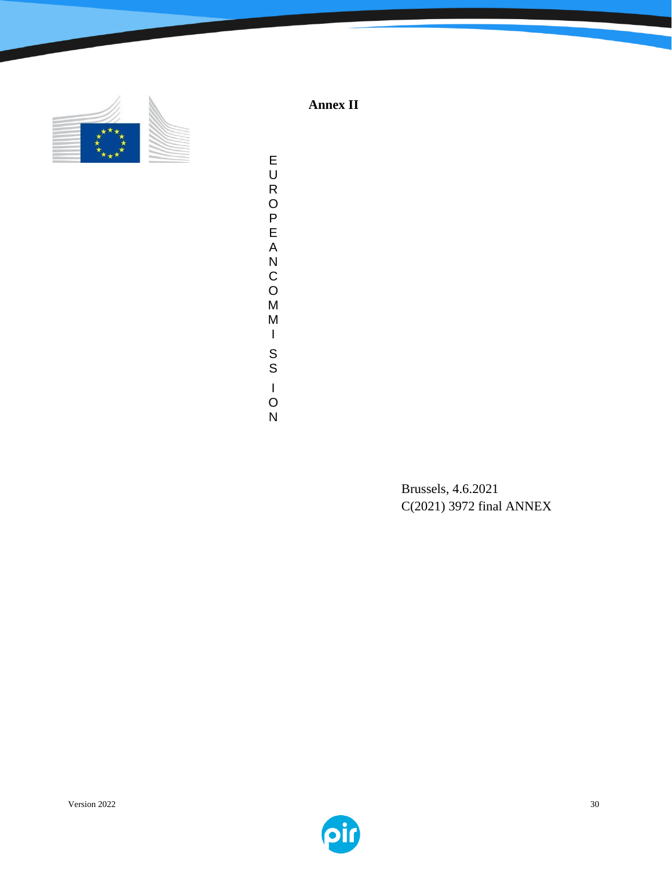

**Annex II**

E U R O P E A N C O M M I S S I O N

> Brussels, 4.6.2021 C(2021) 3972 final ANNEX

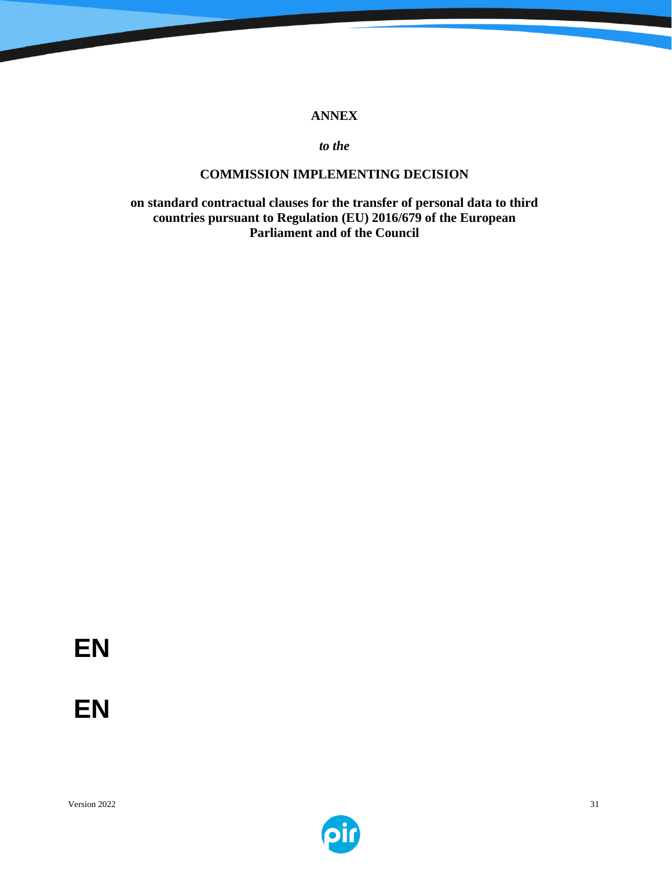# **ANNEX**

# *to the*

# **COMMISSION IMPLEMENTING DECISION**

**on standard contractual clauses for the transfer of personal data to third countries pursuant to Regulation (EU) 2016/679 of the European Parliament and of the Council**

# **EN**

**EN**

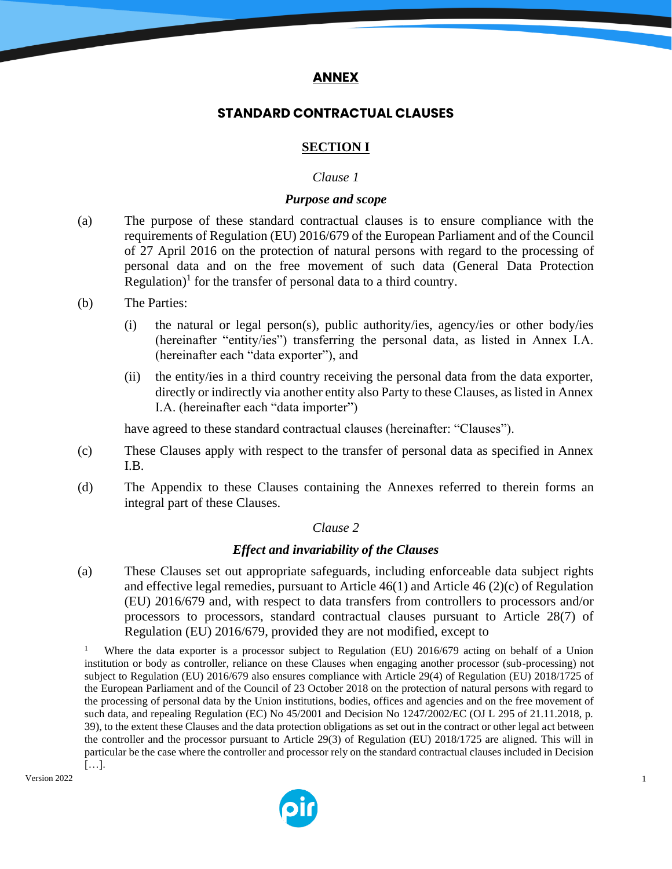# **ANNEX**

# **STANDARD CONTRACTUAL CLAUSES**

# **SECTION I**

#### *Clause 1*

#### *Purpose and scope*

- (a) The purpose of these standard contractual clauses is to ensure compliance with the requirements of Regulation (EU) 2016/679 of the European Parliament and of the Council of 27 April 2016 on the protection of natural persons with regard to the processing of personal data and on the free movement of such data (General Data Protection Regulation)<sup>1</sup> for the transfer of personal data to a third country.
- (b) The Parties:
	- (i) the natural or legal person(s), public authority/ies, agency/ies or other body/ies (hereinafter "entity/ies") transferring the personal data, as listed in Annex I.A. (hereinafter each "data exporter"), and
	- (ii) the entity/ies in a third country receiving the personal data from the data exporter, directly or indirectly via another entity also Party to these Clauses, as listed in Annex I.A. (hereinafter each "data importer")

have agreed to these standard contractual clauses (hereinafter: "Clauses").

- (c) These Clauses apply with respect to the transfer of personal data as specified in Annex I.B.
- (d) The Appendix to these Clauses containing the Annexes referred to therein forms an integral part of these Clauses.

#### *Clause 2*

# *Effect and invariability of the Clauses*

(a) These Clauses set out appropriate safeguards, including enforceable data subject rights and effective legal remedies, pursuant to Article 46(1) and Article 46 (2)(c) of Regulation (EU) 2016/679 and, with respect to data transfers from controllers to processors and/or processors to processors, standard contractual clauses pursuant to Article 28(7) of Regulation (EU) 2016/679, provided they are not modified, except to

<sup>1</sup> Where the data exporter is a processor subject to Regulation (EU) 2016/679 acting on behalf of a Union institution or body as controller, reliance on these Clauses when engaging another processor (sub-processing) not subject to Regulation (EU) 2016/679 also ensures compliance with Article 29(4) of Regulation (EU) 2018/1725 of the European Parliament and of the Council of 23 October 2018 on the protection of natural persons with regard to the processing of personal data by the Union institutions, bodies, offices and agencies and on the free movement of such data, and repealing Regulation (EC) No 45/2001 and Decision No 1247/2002/EC (OJ L 295 of 21.11.2018, p. 39), to the extent these Clauses and the data protection obligations as set out in the contract or other legal act between the controller and the processor pursuant to Article 29(3) of Regulation (EU) 2018/1725 are aligned. This will in particular be the case where the controller and processor rely on the standard contractual clauses included in Decision […].

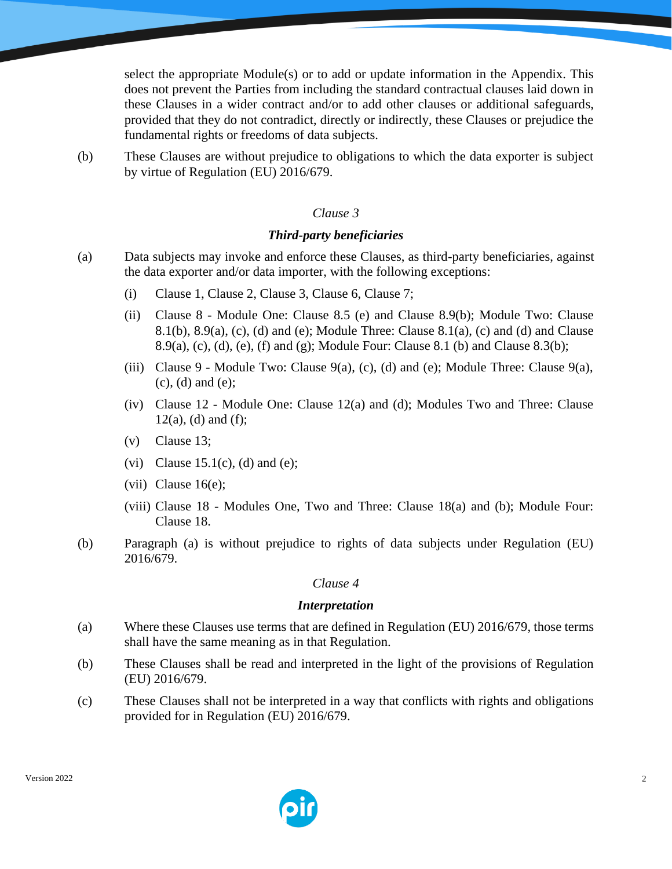select the appropriate Module(s) or to add or update information in the Appendix. This does not prevent the Parties from including the standard contractual clauses laid down in these Clauses in a wider contract and/or to add other clauses or additional safeguards, provided that they do not contradict, directly or indirectly, these Clauses or prejudice the fundamental rights or freedoms of data subjects.

(b) These Clauses are without prejudice to obligations to which the data exporter is subject by virtue of Regulation (EU) 2016/679.

#### *Clause 3*

#### *Third-party beneficiaries*

- (a) Data subjects may invoke and enforce these Clauses, as third-party beneficiaries, against the data exporter and/or data importer, with the following exceptions:
	- (i) Clause 1, Clause 2, Clause 3, Clause 6, Clause 7;
	- (ii) Clause 8 Module One: Clause 8.5 (e) and Clause 8.9(b); Module Two: Clause 8.1(b), 8.9(a), (c), (d) and (e); Module Three: Clause 8.1(a), (c) and (d) and Clause 8.9(a), (c), (d), (e), (f) and (g); Module Four: Clause 8.1 (b) and Clause 8.3(b);
	- (iii) Clause 9 Module Two: Clause  $9(a)$ , (c), (d) and (e); Module Three: Clause  $9(a)$ , (c), (d) and (e);
	- (iv) Clause 12 Module One: Clause 12(a) and (d); Modules Two and Three: Clause  $12(a)$ , (d) and (f);
	- (v) Clause 13;
	- (vi) Clause 15.1(c), (d) and (e);
	- (vii) Clause  $16(e)$ ;
	- (viii) Clause 18 Modules One, Two and Three: Clause 18(a) and (b); Module Four: Clause 18.
- (b) Paragraph (a) is without prejudice to rights of data subjects under Regulation (EU) 2016/679.

#### *Clause 4*

#### *Interpretation*

- (a) Where these Clauses use terms that are defined in Regulation (EU) 2016/679, those terms shall have the same meaning as in that Regulation.
- (b) These Clauses shall be read and interpreted in the light of the provisions of Regulation (EU) 2016/679.
- (c) These Clauses shall not be interpreted in a way that conflicts with rights and obligations provided for in Regulation (EU) 2016/679.

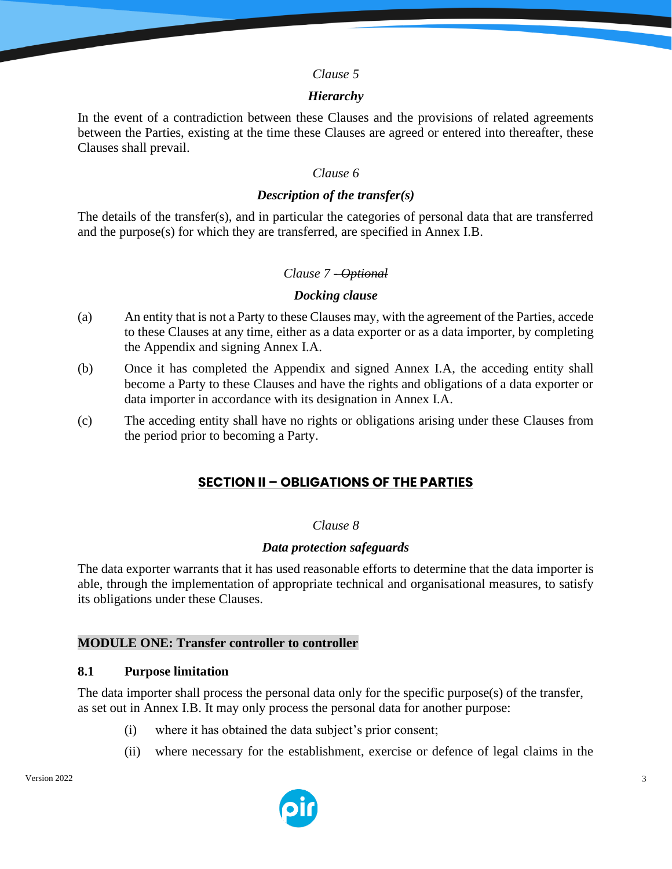# *Clause 5*

# *Hierarchy*

In the event of a contradiction between these Clauses and the provisions of related agreements between the Parties, existing at the time these Clauses are agreed or entered into thereafter, these Clauses shall prevail.

# *Clause 6*

# *Description of the transfer(s)*

The details of the transfer(s), and in particular the categories of personal data that are transferred and the purpose(s) for which they are transferred, are specified in Annex I.B.

# *Clause 7 - Optional*

### *Docking clause*

- (a) An entity that is not a Party to these Clauses may, with the agreement of the Parties, accede to these Clauses at any time, either as a data exporter or as a data importer, by completing the Appendix and signing Annex I.A.
- (b) Once it has completed the Appendix and signed Annex I.A, the acceding entity shall become a Party to these Clauses and have the rights and obligations of a data exporter or data importer in accordance with its designation in Annex I.A.
- (c) The acceding entity shall have no rights or obligations arising under these Clauses from the period prior to becoming a Party.

# **SECTION II – OBLIGATIONS OF THE PARTIES**

#### *Clause 8*

#### *Data protection safeguards*

The data exporter warrants that it has used reasonable efforts to determine that the data importer is able, through the implementation of appropriate technical and organisational measures, to satisfy its obligations under these Clauses.

# **MODULE ONE: Transfer controller to controller**

#### **8.1 Purpose limitation**

The data importer shall process the personal data only for the specific purpose(s) of the transfer, as set out in Annex I.B. It may only process the personal data for another purpose:

- (i) where it has obtained the data subject's prior consent;
- (ii) where necessary for the establishment, exercise or defence of legal claims in the

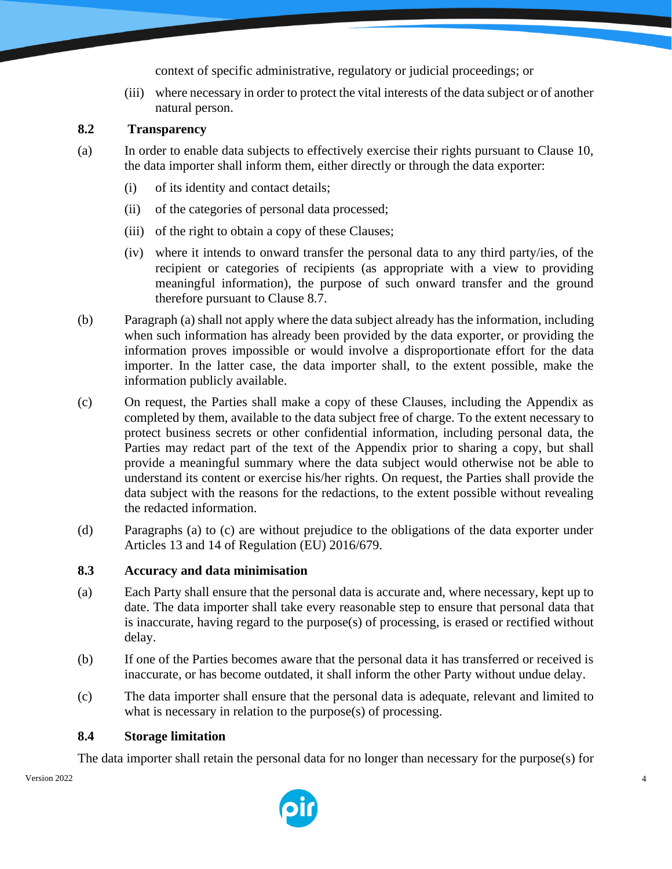context of specific administrative, regulatory or judicial proceedings; or

(iii) where necessary in order to protect the vital interests of the data subject or of another natural person.

# **8.2 Transparency**

- (a) In order to enable data subjects to effectively exercise their rights pursuant to Clause 10, the data importer shall inform them, either directly or through the data exporter:
	- (i) of its identity and contact details;
	- (ii) of the categories of personal data processed;
	- (iii) of the right to obtain a copy of these Clauses;
	- (iv) where it intends to onward transfer the personal data to any third party/ies, of the recipient or categories of recipients (as appropriate with a view to providing meaningful information), the purpose of such onward transfer and the ground therefore pursuant to Clause 8.7.
- (b) Paragraph (a) shall not apply where the data subject already has the information, including when such information has already been provided by the data exporter, or providing the information proves impossible or would involve a disproportionate effort for the data importer. In the latter case, the data importer shall, to the extent possible, make the information publicly available.
- (c) On request, the Parties shall make a copy of these Clauses, including the Appendix as completed by them, available to the data subject free of charge. To the extent necessary to protect business secrets or other confidential information, including personal data, the Parties may redact part of the text of the Appendix prior to sharing a copy, but shall provide a meaningful summary where the data subject would otherwise not be able to understand its content or exercise his/her rights. On request, the Parties shall provide the data subject with the reasons for the redactions, to the extent possible without revealing the redacted information.
- (d) Paragraphs (a) to (c) are without prejudice to the obligations of the data exporter under Articles 13 and 14 of Regulation (EU) 2016/679.

# **8.3 Accuracy and data minimisation**

- (a) Each Party shall ensure that the personal data is accurate and, where necessary, kept up to date. The data importer shall take every reasonable step to ensure that personal data that is inaccurate, having regard to the purpose(s) of processing, is erased or rectified without delay.
- (b) If one of the Parties becomes aware that the personal data it has transferred or received is inaccurate, or has become outdated, it shall inform the other Party without undue delay.
- (c) The data importer shall ensure that the personal data is adequate, relevant and limited to what is necessary in relation to the purpose(s) of processing.

# **8.4 Storage limitation**

The data importer shall retain the personal data for no longer than necessary for the purpose(s) for

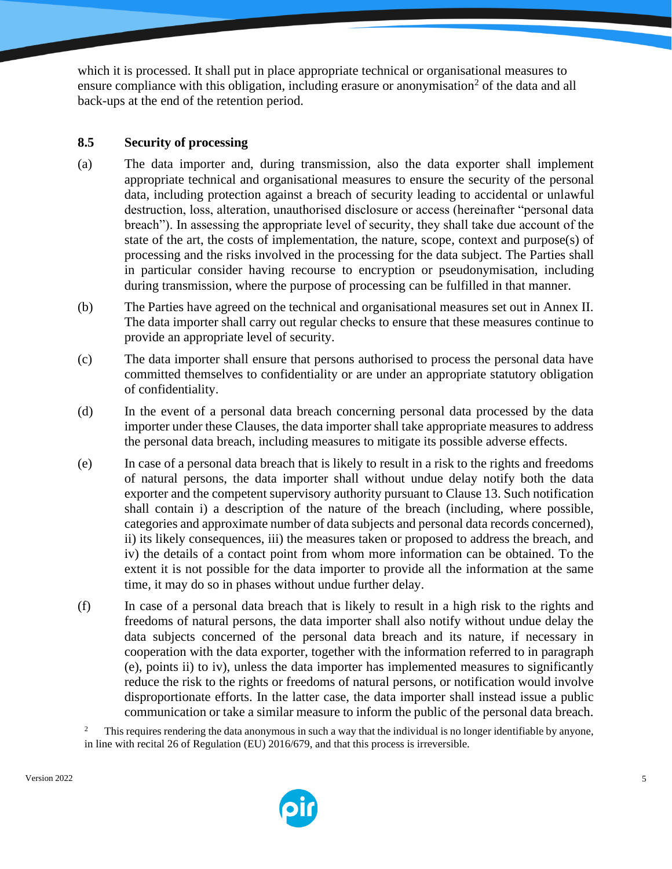which it is processed. It shall put in place appropriate technical or organisational measures to ensure compliance with this obligation, including erasure or anonymisation<sup>2</sup> of the data and all back-ups at the end of the retention period.

# **8.5 Security of processing**

- (a) The data importer and, during transmission, also the data exporter shall implement appropriate technical and organisational measures to ensure the security of the personal data, including protection against a breach of security leading to accidental or unlawful destruction, loss, alteration, unauthorised disclosure or access (hereinafter "personal data breach"). In assessing the appropriate level of security, they shall take due account of the state of the art, the costs of implementation, the nature, scope, context and purpose $(s)$  of processing and the risks involved in the processing for the data subject. The Parties shall in particular consider having recourse to encryption or pseudonymisation, including during transmission, where the purpose of processing can be fulfilled in that manner.
- (b) The Parties have agreed on the technical and organisational measures set out in Annex II. The data importer shall carry out regular checks to ensure that these measures continue to provide an appropriate level of security.
- (c) The data importer shall ensure that persons authorised to process the personal data have committed themselves to confidentiality or are under an appropriate statutory obligation of confidentiality.
- (d) In the event of a personal data breach concerning personal data processed by the data importer under these Clauses, the data importer shall take appropriate measures to address the personal data breach, including measures to mitigate its possible adverse effects.
- (e) In case of a personal data breach that is likely to result in a risk to the rights and freedoms of natural persons, the data importer shall without undue delay notify both the data exporter and the competent supervisory authority pursuant to Clause 13. Such notification shall contain i) a description of the nature of the breach (including, where possible, categories and approximate number of data subjects and personal data records concerned), ii) its likely consequences, iii) the measures taken or proposed to address the breach, and iv) the details of a contact point from whom more information can be obtained. To the extent it is not possible for the data importer to provide all the information at the same time, it may do so in phases without undue further delay.
- (f) In case of a personal data breach that is likely to result in a high risk to the rights and freedoms of natural persons, the data importer shall also notify without undue delay the data subjects concerned of the personal data breach and its nature, if necessary in cooperation with the data exporter, together with the information referred to in paragraph (e), points ii) to iv), unless the data importer has implemented measures to significantly reduce the risk to the rights or freedoms of natural persons, or notification would involve disproportionate efforts. In the latter case, the data importer shall instead issue a public communication or take a similar measure to inform the public of the personal data breach.

<sup>2</sup> This requires rendering the data anonymous in such a way that the individual is no longer identifiable by anyone, in line with recital 26 of Regulation (EU) 2016/679, and that this process is irreversible.

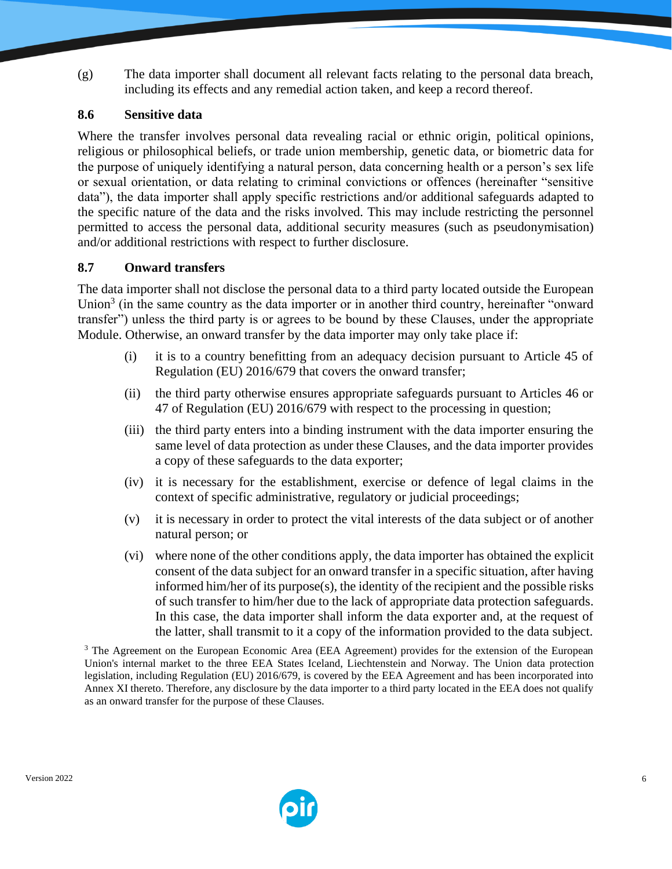(g) The data importer shall document all relevant facts relating to the personal data breach, including its effects and any remedial action taken, and keep a record thereof.

# **8.6 Sensitive data**

Where the transfer involves personal data revealing racial or ethnic origin, political opinions, religious or philosophical beliefs, or trade union membership, genetic data, or biometric data for the purpose of uniquely identifying a natural person, data concerning health or a person's sex life or sexual orientation, or data relating to criminal convictions or offences (hereinafter "sensitive data"), the data importer shall apply specific restrictions and/or additional safeguards adapted to the specific nature of the data and the risks involved. This may include restricting the personnel permitted to access the personal data, additional security measures (such as pseudonymisation) and/or additional restrictions with respect to further disclosure.

### **8.7 Onward transfers**

The data importer shall not disclose the personal data to a third party located outside the European Union<sup>3</sup> (in the same country as the data importer or in another third country, hereinafter "onward transfer") unless the third party is or agrees to be bound by these Clauses, under the appropriate Module. Otherwise, an onward transfer by the data importer may only take place if:

- (i) it is to a country benefitting from an adequacy decision pursuant to Article 45 of Regulation (EU) 2016/679 that covers the onward transfer;
- (ii) the third party otherwise ensures appropriate safeguards pursuant to Articles 46 or 47 of Regulation (EU) 2016/679 with respect to the processing in question;
- (iii) the third party enters into a binding instrument with the data importer ensuring the same level of data protection as under these Clauses, and the data importer provides a copy of these safeguards to the data exporter;
- (iv) it is necessary for the establishment, exercise or defence of legal claims in the context of specific administrative, regulatory or judicial proceedings;
- (v) it is necessary in order to protect the vital interests of the data subject or of another natural person; or
- (vi) where none of the other conditions apply, the data importer has obtained the explicit consent of the data subject for an onward transfer in a specific situation, after having informed him/her of its purpose(s), the identity of the recipient and the possible risks of such transfer to him/her due to the lack of appropriate data protection safeguards. In this case, the data importer shall inform the data exporter and, at the request of the latter, shall transmit to it a copy of the information provided to the data subject.

<sup>3</sup> The Agreement on the European Economic Area (EEA Agreement) provides for the extension of the European Union's internal market to the three EEA States Iceland, Liechtenstein and Norway. The Union data protection legislation, including Regulation (EU) 2016/679, is covered by the EEA Agreement and has been incorporated into Annex XI thereto. Therefore, any disclosure by the data importer to a third party located in the EEA does not qualify as an onward transfer for the purpose of these Clauses.

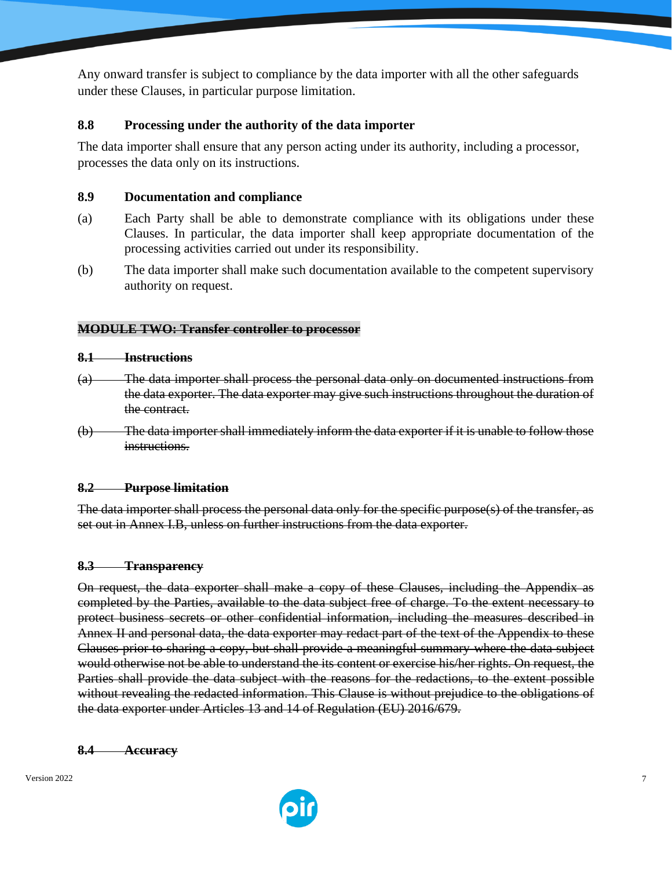Any onward transfer is subject to compliance by the data importer with all the other safeguards under these Clauses, in particular purpose limitation.

# **8.8 Processing under the authority of the data importer**

The data importer shall ensure that any person acting under its authority, including a processor, processes the data only on its instructions.

### **8.9 Documentation and compliance**

- (a) Each Party shall be able to demonstrate compliance with its obligations under these Clauses. In particular, the data importer shall keep appropriate documentation of the processing activities carried out under its responsibility.
- (b) The data importer shall make such documentation available to the competent supervisory authority on request.

## **MODULE TWO: Transfer controller to processor**

#### **8.1 Instructions**

- (a) The data importer shall process the personal data only on documented instructions from the data exporter. The data exporter may give such instructions throughout the duration of the contract.
- (b) The data importer shall immediately inform the data exporter if it is unable to follow those instructions.

#### **8.2 Purpose limitation**

The data importer shall process the personal data only for the specific purpose(s) of the transfer, as set out in Annex I.B, unless on further instructions from the data exporter.

#### **8.3 Transparency**

On request, the data exporter shall make a copy of these Clauses, including the Appendix as completed by the Parties, available to the data subject free of charge. To the extent necessary to protect business secrets or other confidential information, including the measures described in Annex II and personal data, the data exporter may redact part of the text of the Appendix to these Clauses prior to sharing a copy, but shall provide a meaningful summary where the data subject would otherwise not be able to understand the its content or exercise his/her rights. On request, the Parties shall provide the data subject with the reasons for the redactions, to the extent possible without revealing the redacted information. This Clause is without prejudice to the obligations of the data exporter under Articles 13 and 14 of Regulation (EU) 2016/679.

#### **8.4 Accuracy**

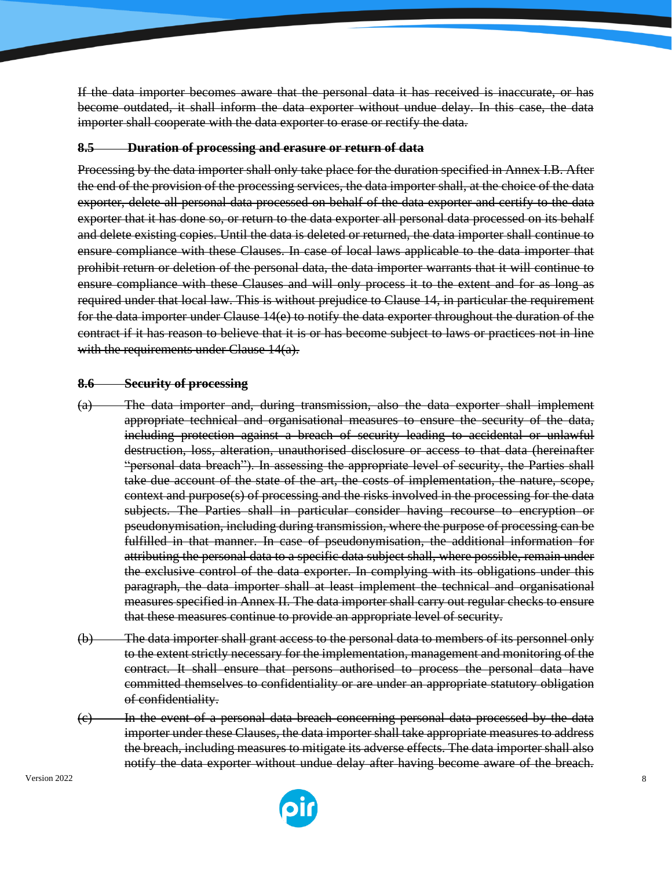If the data importer becomes aware that the personal data it has received is inaccurate, or has become outdated, it shall inform the data exporter without undue delay. In this case, the data importer shall cooperate with the data exporter to erase or rectify the data.

#### **8.5 Duration of processing and erasure or return of data**

Processing by the data importer shall only take place for the duration specified in Annex I.B. After the end of the provision of the processing services, the data importer shall, at the choice of the data exporter, delete all personal data processed on behalf of the data exporter and certify to the data exporter that it has done so, or return to the data exporter all personal data processed on its behalf and delete existing copies. Until the data is deleted or returned, the data importer shall continue to ensure compliance with these Clauses. In case of local laws applicable to the data importer that prohibit return or deletion of the personal data, the data importer warrants that it will continue to ensure compliance with these Clauses and will only process it to the extent and for as long as required under that local law. This is without prejudice to Clause 14, in particular the requirement for the data importer under Clause 14(e) to notify the data exporter throughout the duration of the contract if it has reason to believe that it is or has become subject to laws or practices not in line with the requirements under Clause 14(a).

#### **8.6 Security of processing**

- (a) The data importer and, during transmission, also the data exporter shall implement appropriate technical and organisational measures to ensure the security of the data, including protection against a breach of security leading to accidental or unlawful destruction, loss, alteration, unauthorised disclosure or access to that data (hereinafter "personal data breach"). In assessing the appropriate level of security, the Parties shall take due account of the state of the art, the costs of implementation, the nature, scope, context and purpose(s) of processing and the risks involved in the processing for the data subjects. The Parties shall in particular consider having recourse to encryption or pseudonymisation, including during transmission, where the purpose of processing can be fulfilled in that manner. In case of pseudonymisation, the additional information for attributing the personal data to a specific data subject shall, where possible, remain under the exclusive control of the data exporter. In complying with its obligations under this paragraph, the data importer shall at least implement the technical and organisational measures specified in Annex II. The data importer shall carry out regular checks to ensure that these measures continue to provide an appropriate level of security.
- (b) The data importer shall grant access to the personal data to members of its personnel only to the extent strictly necessary for the implementation, management and monitoring of the contract. It shall ensure that persons authorised to process the personal data have committed themselves to confidentiality or are under an appropriate statutory obligation of confidentiality.
- (c) In the event of a personal data breach concerning personal data processed by the data importer under these Clauses, the data importer shall take appropriate measures to address the breach, including measures to mitigate its adverse effects. The data importer shall also notify the data exporter without undue delay after having become aware of the breach.

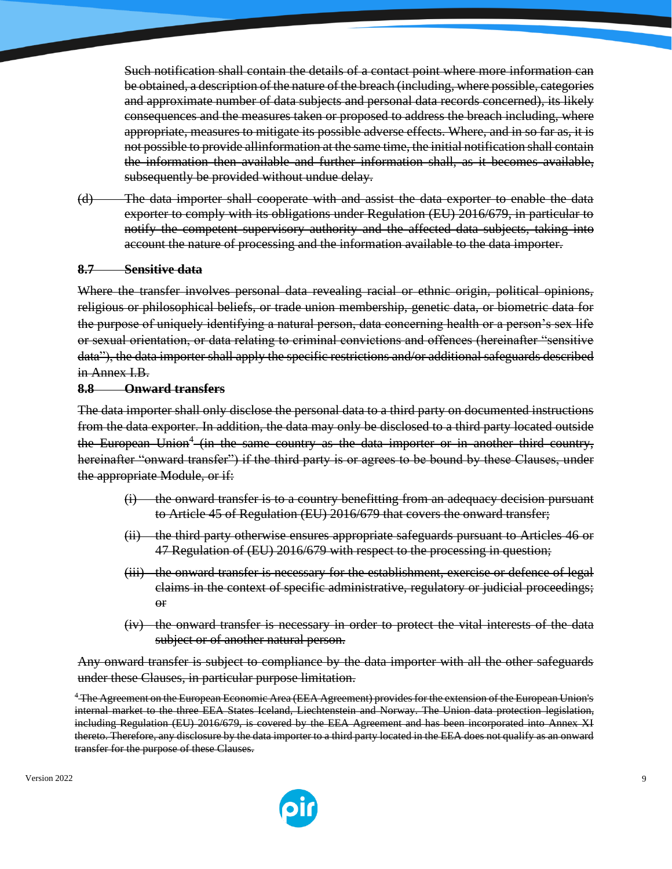Such notification shall contain the details of a contact point where more information can be obtained, a description of the nature of the breach (including, where possible, categories and approximate number of data subjects and personal data records concerned), its likely consequences and the measures taken or proposed to address the breach including, where appropriate, measures to mitigate its possible adverse effects. Where, and in so far as, it is not possible to provide allinformation at the same time, the initial notification shall contain the information then available and further information shall, as it becomes available, subsequently be provided without undue delay.

(d) The data importer shall cooperate with and assist the data exporter to enable the data exporter to comply with its obligations under Regulation (EU) 2016/679, in particular to notify the competent supervisory authority and the affected data subjects, taking into account the nature of processing and the information available to the data importer.

#### **8.7 Sensitive data**

Where the transfer involves personal data revealing racial or ethnic origin, political opinions, religious or philosophical beliefs, or trade union membership, genetic data, or biometric data for the purpose of uniquely identifying a natural person, data concerning health or a person's sex life or sexual orientation, or data relating to criminal convictions and offences (hereinafter "sensitive data"), the data importer shall apply the specific restrictions and/or additional safeguards described in Annex I.B.

#### **8.8 Onward transfers**

The data importer shall only disclose the personal data to a third party on documented instructions from the data exporter. In addition, the data may only be disclosed to a third party located outside the European Union<sup>4</sup> (in the same country as the data importer or in another third country, hereinafter "onward transfer") if the third party is or agrees to be bound by these Clauses, under the appropriate Module, or if:

- (i) the onward transfer is to a country benefitting from an adequacy decision pursuant to Article 45 of Regulation (EU) 2016/679 that covers the onward transfer;
- (ii) the third party otherwise ensures appropriate safeguards pursuant to Articles 46 or 47 Regulation of (EU) 2016/679 with respect to the processing in question;
- (iii) the onward transfer is necessary for the establishment, exercise or defence of legal claims in the context of specific administrative, regulatory or judicial proceedings; or
- (iv) the onward transfer is necessary in order to protect the vital interests of the data subject or of another natural person.

Any onward transfer is subject to compliance by the data importer with all the other safeguards under these Clauses, in particular purpose limitation.

<sup>4</sup> The Agreement on the European Economic Area (EEA Agreement) provides for the extension of the European Union's internal market to the three EEA States Iceland, Liechtenstein and Norway. The Union data protection legislation, including Regulation (EU) 2016/679, is covered by the EEA Agreement and has been incorporated into Annex XI thereto. Therefore, any disclosure by the data importer to a third party located in the EEA does not qualify as an onward transfer for the purpose of these Clauses.

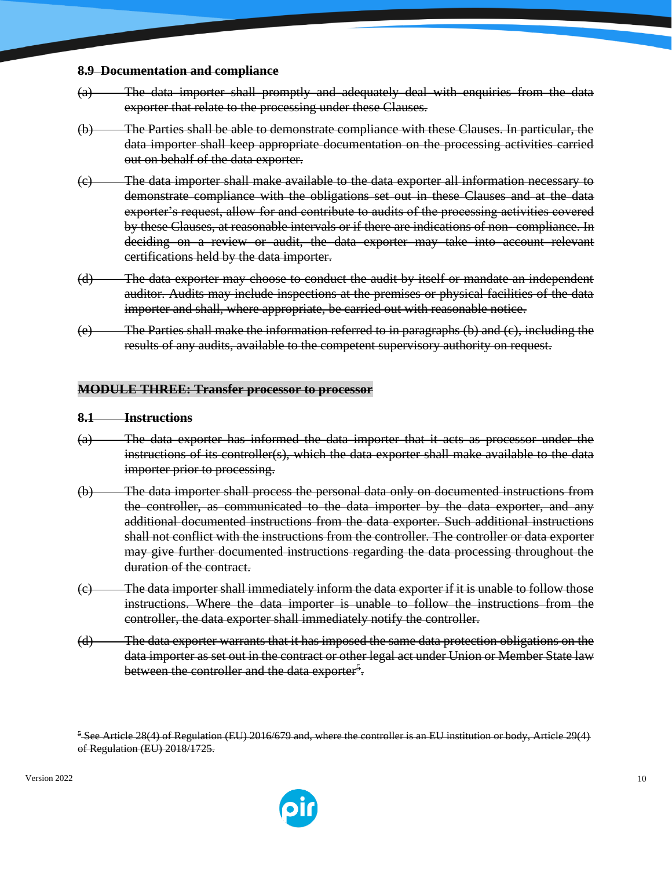#### **8.9 Documentation and compliance**

- (a) The data importer shall promptly and adequately deal with enquiries from the data exporter that relate to the processing under these Clauses.
- (b) The Parties shall be able to demonstrate compliance with these Clauses. In particular, the data importer shall keep appropriate documentation on the processing activities carried out on behalf of the data exporter.
- (c) The data importer shall make available to the data exporter all information necessary to demonstrate compliance with the obligations set out in these Clauses and at the data exporter's request, allow for and contribute to audits of the processing activities covered by these Clauses, at reasonable intervals or if there are indications of non- compliance. In deciding on a review or audit, the data exporter may take into account relevant certifications held by the data importer.
- (d) The data exporter may choose to conduct the audit by itself or mandate an independent auditor. Audits may include inspections at the premises or physical facilities of the data importer and shall, where appropriate, be carried out with reasonable notice.
- (e) The Parties shall make the information referred to in paragraphs (b) and (c), including the results of any audits, available to the competent supervisory authority on request.

#### **MODULE THREE: Transfer processor to processor**

#### **8.1 Instructions**

- (a) The data exporter has informed the data importer that it acts as processor under the instructions of its controller(s), which the data exporter shall make available to the data importer prior to processing.
- (b) The data importer shall process the personal data only on documented instructions from the controller, as communicated to the data importer by the data exporter, and any additional documented instructions from the data exporter. Such additional instructions shall not conflict with the instructions from the controller. The controller or data exporter may give further documented instructions regarding the data processing throughout the duration of the contract.
- (c) The data importer shall immediately inform the data exporter if it is unable to follow those instructions. Where the data importer is unable to follow the instructions from the controller, the data exporter shall immediately notify the controller.
- (d) The data exporter warrants that it has imposed the same data protection obligations on the data importer as set out in the contract or other legal act under Union or Member State law between the controller and the data exporter<sup>5</sup>.

 $5$  See Article 28(4) of Regulation (EU) 2016/679 and, where the controller is an EU institution or body, Article 29(4) of Regulation (EU) 2018/1725.

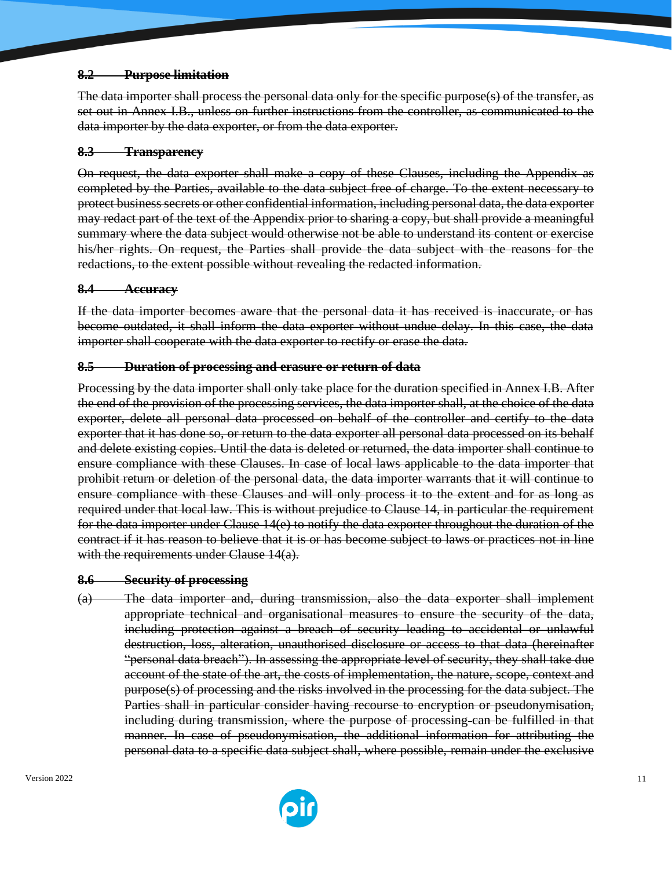#### **8.2 Purpose limitation**

The data importer shall process the personal data only for the specific purpose(s) of the transfer, as set out in Annex I.B., unless on further instructions from the controller, as communicated to the data importer by the data exporter, or from the data exporter.

#### **8.3 Transparency**

On request, the data exporter shall make a copy of these Clauses, including the Appendix as completed by the Parties, available to the data subject free of charge. To the extent necessary to protect business secrets or other confidential information, including personal data, the data exporter may redact part of the text of the Appendix prior to sharing a copy, but shall provide a meaningful summary where the data subject would otherwise not be able to understand its content or exercise his/her rights. On request, the Parties shall provide the data subject with the reasons for the redactions, to the extent possible without revealing the redacted information.

### **8.4 Accuracy**

If the data importer becomes aware that the personal data it has received is inaccurate, or has become outdated, it shall inform the data exporter without undue delay. In this case, the data importer shall cooperate with the data exporter to rectify or erase the data.

### **8.5 Duration of processing and erasure or return of data**

Processing by the data importer shall only take place for the duration specified in Annex I.B. After the end of the provision of the processing services, the data importer shall, at the choice of the data exporter, delete all personal data processed on behalf of the controller and certify to the data exporter that it has done so, or return to the data exporter all personal data processed on its behalf and delete existing copies. Until the data is deleted or returned, the data importer shall continue to ensure compliance with these Clauses. In case of local laws applicable to the data importer that prohibit return or deletion of the personal data, the data importer warrants that it will continue to ensure compliance with these Clauses and will only process it to the extent and for as long as required under that local law. This is without prejudice to Clause 14, in particular the requirement for the data importer under Clause 14(e) to notify the data exporter throughout the duration of the contract if it has reason to believe that it is or has become subject to laws or practices not in line with the requirements under Clause 14(a).

#### **8.6 Security of processing**

(a) The data importer and, during transmission, also the data exporter shall implement appropriate technical and organisational measures to ensure the security of the data, including protection against a breach of security leading to accidental or unlawful destruction, loss, alteration, unauthorised disclosure or access to that data (hereinafter "personal data breach"). In assessing the appropriate level of security, they shall take due account of the state of the art, the costs of implementation, the nature, scope, context and purpose(s) of processing and the risks involved in the processing for the data subject. The Parties shall in particular consider having recourse to encryption or pseudonymisation, including during transmission, where the purpose of processing can be fulfilled in that manner. In case of pseudonymisation, the additional information for attributing the personal data to a specific data subject shall, where possible, remain under the exclusive

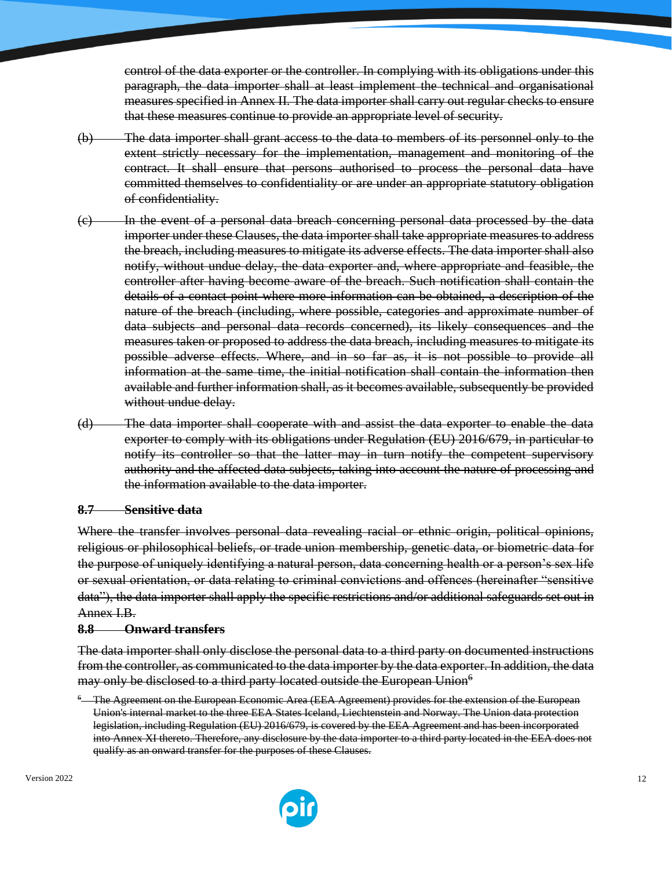control of the data exporter or the controller. In complying with its obligations under this paragraph, the data importer shall at least implement the technical and organisational measures specified in Annex II. The data importer shall carry out regular checks to ensure that these measures continue to provide an appropriate level of security.

- (b) The data importer shall grant access to the data to members of its personnel only to the extent strictly necessary for the implementation, management and monitoring of the contract. It shall ensure that persons authorised to process the personal data have committed themselves to confidentiality or are under an appropriate statutory obligation of confidentiality.
- (c) In the event of a personal data breach concerning personal data processed by the data importer under these Clauses, the data importer shall take appropriate measures to address the breach, including measures to mitigate its adverse effects. The data importer shall also notify, without undue delay, the data exporter and, where appropriate and feasible, the controller after having become aware of the breach. Such notification shall contain the details of a contact point where more information can be obtained, a description of the nature of the breach (including, where possible, categories and approximate number of data subjects and personal data records concerned), its likely consequences and the measures taken or proposed to address the data breach, including measures to mitigate its possible adverse effects. Where, and in so far as, it is not possible to provide all information at the same time, the initial notification shall contain the information then available and further information shall, as it becomes available, subsequently be provided without undue delay.
- (d) The data importer shall cooperate with and assist the data exporter to enable the data exporter to comply with its obligations under Regulation (EU) 2016/679, in particular to notify its controller so that the latter may in turn notify the competent supervisory authority and the affected data subjects, taking into account the nature of processing and the information available to the data importer.

#### **8.7 Sensitive data**

Where the transfer involves personal data revealing racial or ethnic origin, political opinions, religious or philosophical beliefs, or trade union membership, genetic data, or biometric data for the purpose of uniquely identifying a natural person, data concerning health or a person's sex life or sexual orientation, or data relating to criminal convictions and offences (hereinafter "sensitive data"), the data importer shall apply the specific restrictions and/or additional safeguards set out in Annex I.B.

#### **8.8 Onward transfers**

The data importer shall only disclose the personal data to a third party on documented instructions from the controller, as communicated to the data importer by the data exporter. In addition, the data may only be disclosed to a third party located outside the European Union<sup>6</sup>



<sup>6</sup> The Agreement on the European Economic Area (EEA Agreement) provides for the extension of the European Union's internal market to the three EEA States Iceland, Liechtenstein and Norway. The Union data protection legislation, including Regulation (EU) 2016/679, is covered by the EEA Agreement and has been incorporated into Annex XI thereto. Therefore, any disclosure by the data importer to a third party located in the EEA does not qualify as an onward transfer for the purposes of these Clauses.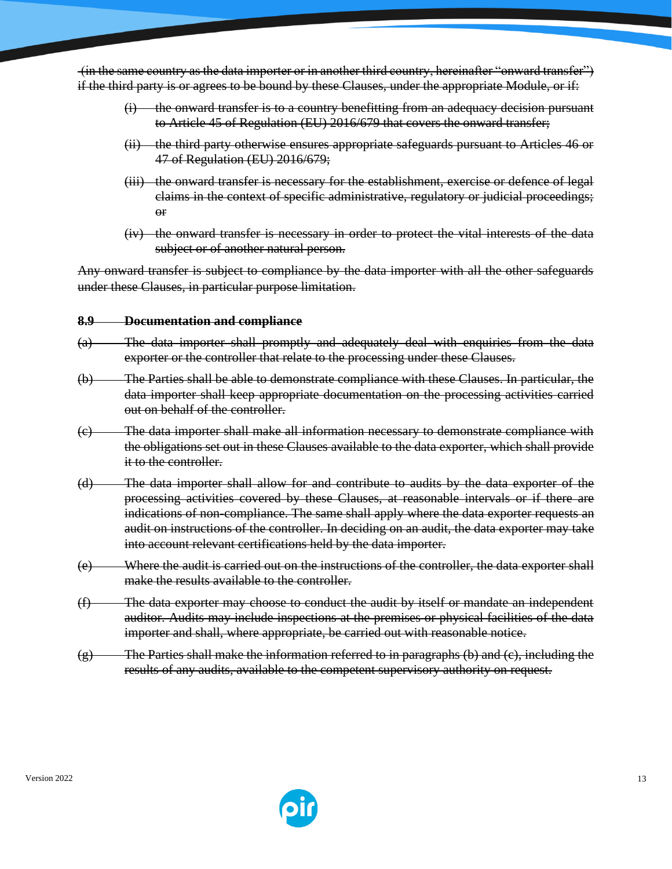(in the same country as the data importer or in another third country, hereinafter "onward transfer") if the third party is or agrees to be bound by these Clauses, under the appropriate Module, or if:

- (i) the onward transfer is to a country benefitting from an adequacy decision pursuant to Article 45 of Regulation (EU) 2016/679 that covers the onward transfer;
- (ii) the third party otherwise ensures appropriate safeguards pursuant to Articles 46 or 47 of Regulation (EU) 2016/679;
- (iii) the onward transfer is necessary for the establishment, exercise or defence of legal claims in the context of specific administrative, regulatory or judicial proceedings;  $\Theta$ **r**
- (iv) the onward transfer is necessary in order to protect the vital interests of the data subject or of another natural person.

Any onward transfer is subject to compliance by the data importer with all the other safeguards under these Clauses, in particular purpose limitation.

#### **8.9 Documentation and compliance**

- (a) The data importer shall promptly and adequately deal with enquiries from the data exporter or the controller that relate to the processing under these Clauses.
- (b) The Parties shall be able to demonstrate compliance with these Clauses. In particular, the data importer shall keep appropriate documentation on the processing activities carried out on behalf of the controller.
- (c) The data importer shall make all information necessary to demonstrate compliance with the obligations set out in these Clauses available to the data exporter, which shall provide it to the controller.
- (d) The data importer shall allow for and contribute to audits by the data exporter of the processing activities covered by these Clauses, at reasonable intervals or if there are indications of non-compliance. The same shall apply where the data exporter requests an audit on instructions of the controller. In deciding on an audit, the data exporter may take into account relevant certifications held by the data importer.
- (e) Where the audit is carried out on the instructions of the controller, the data exporter shall make the results available to the controller.
- (f) The data exporter may choose to conduct the audit by itself or mandate an independent auditor. Audits may include inspections at the premises or physical facilities of the data importer and shall, where appropriate, be carried out with reasonable notice.
- $(g)$  The Parties shall make the information referred to in paragraphs (b) and (c), including the results of any audits, available to the competent supervisory authority on request.

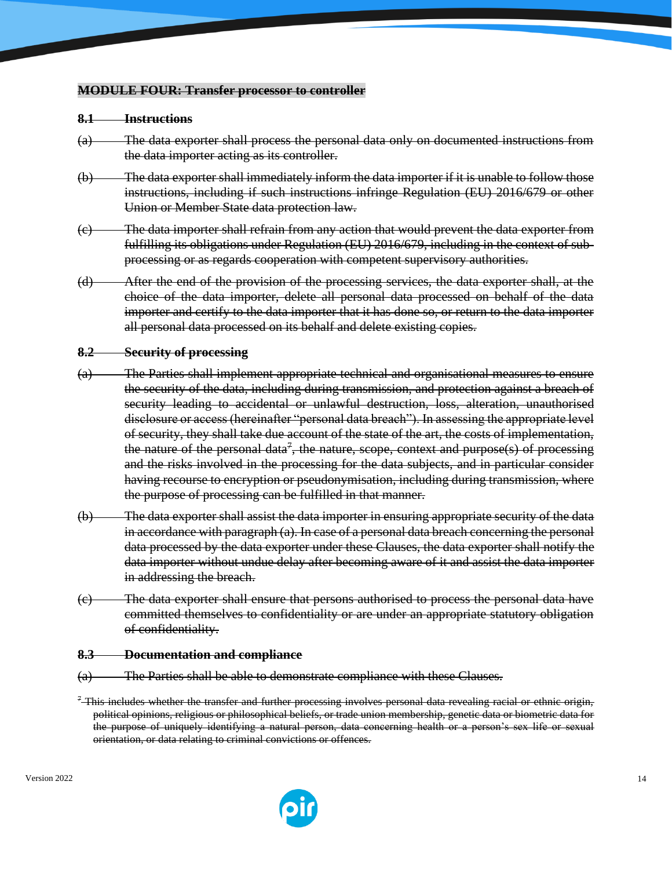#### **MODULE FOUR: Transfer processor to controller**

#### **8.1 Instructions**

- (a) The data exporter shall process the personal data only on documented instructions from the data importer acting as its controller.
- (b) The data exporter shall immediately inform the data importer if it is unable to follow those instructions, including if such instructions infringe Regulation (EU) 2016/679 or other Union or Member State data protection law.
- (c) The data importer shall refrain from any action that would prevent the data exporter from fulfilling its obligations under Regulation (EU) 2016/679, including in the context of subprocessing or as regards cooperation with competent supervisory authorities.
- (d) After the end of the provision of the processing services, the data exporter shall, at the choice of the data importer, delete all personal data processed on behalf of the data importer and certify to the data importer that it has done so, or return to the data importer all personal data processed on its behalf and delete existing copies.

#### **8.2 Security of processing**

- (a) The Parties shall implement appropriate technical and organisational measures to ensure the security of the data, including during transmission, and protection against a breach of security leading to accidental or unlawful destruction, loss, alteration, unauthorised disclosure or access (hereinafter "personal data breach"). In assessing the appropriate level of security, they shall take due account of the state of the art, the costs of implementation, the nature of the personal data<sup>7</sup>, the nature, scope, context and purpose(s) of processing and the risks involved in the processing for the data subjects, and in particular consider having recourse to encryption or pseudonymisation, including during transmission, where the purpose of processing can be fulfilled in that manner.
- (b) The data exporter shall assist the data importer in ensuring appropriate security of the data in accordance with paragraph (a). In case of a personal data breach concerning the personal data processed by the data exporter under these Clauses, the data exporter shall notify the data importer without undue delay after becoming aware of it and assist the data importer in addressing the breach.
- (c) The data exporter shall ensure that persons authorised to process the personal data have committed themselves to confidentiality or are under an appropriate statutory obligation of confidentiality.

#### **8.3 Documentation and compliance**

(a) The Parties shall be able to demonstrate compliance with these Clauses.



 $7$  This includes whether the transfer and further processing involves personal data revealing racial or ethnic origin, political opinions, religious or philosophical beliefs, or trade union membership, genetic data or biometric data for the purpose of uniquely identifying a natural person, data concerning health or a person's sex life or sexual orientation, or data relating to criminal convictions or offences.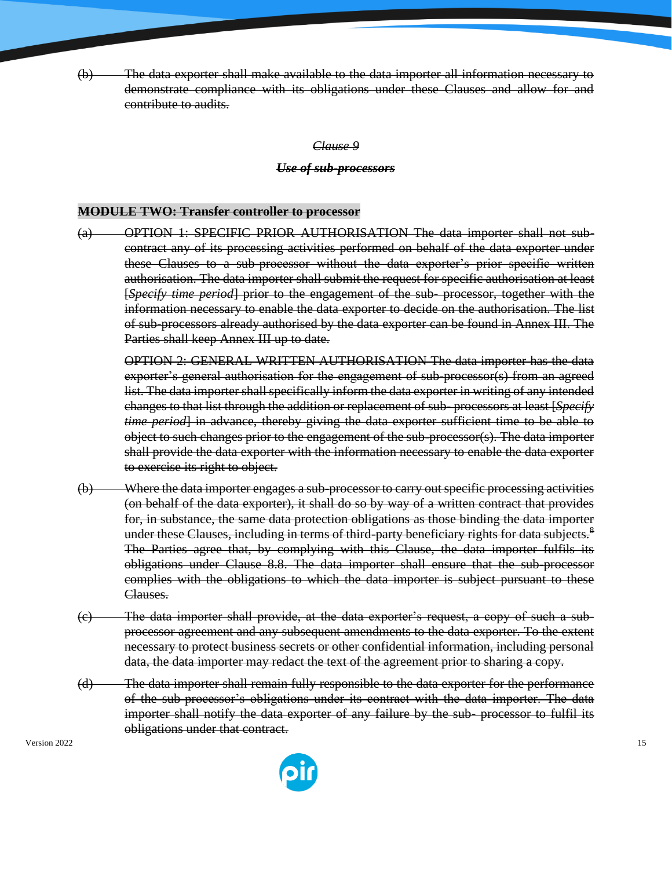(b) The data exporter shall make available to the data importer all information necessary to demonstrate compliance with its obligations under these Clauses and allow for and contribute to audits.

#### *Clause 9*

#### *Use of sub-processors*

#### **MODULE TWO: Transfer controller to processor**

(a) OPTION 1: SPECIFIC PRIOR AUTHORISATION The data importer shall not subcontract any of its processing activities performed on behalf of the data exporter under these Clauses to a sub-processor without the data exporter's prior specific written authorisation. The data importer shall submit the request for specific authorisation at least [*Specify time period*] prior to the engagement of the sub- processor, together with the information necessary to enable the data exporter to decide on the authorisation. The list of sub-processors already authorised by the data exporter can be found in Annex III. The Parties shall keep Annex III up to date.

OPTION 2: GENERAL WRITTEN AUTHORISATION The data importer has the data exporter's general authorisation for the engagement of sub-processor(s) from an agreed list. The data importer shall specifically inform the data exporter in writing of any intended changes to that list through the addition or replacement of sub- processors at least [*Specify time period*] in advance, thereby giving the data exporter sufficient time to be able to object to such changes prior to the engagement of the sub-processor(s). The data importer shall provide the data exporter with the information necessary to enable the data exporter to exercise its right to object.

- (b) Where the data importer engages a sub-processor to carry out specific processing activities (on behalf of the data exporter), it shall do so by way of a written contract that provides for, in substance, the same data protection obligations as those binding the data importer under these Clauses, including in terms of third-party beneficiary rights for data subjects.<sup>8</sup> The Parties agree that, by complying with this Clause, the data importer fulfils its obligations under Clause 8.8. The data importer shall ensure that the sub-processor complies with the obligations to which the data importer is subject pursuant to these Clauses.
- (c) The data importer shall provide, at the data exporter's request, a copy of such a subprocessor agreement and any subsequent amendments to the data exporter. To the extent necessary to protect business secrets or other confidential information, including personal data, the data importer may redact the text of the agreement prior to sharing a copy.
- (d) The data importer shall remain fully responsible to the data exporter for the performance of the sub-processor's obligations under its contract with the data importer. The data importer shall notify the data exporter of any failure by the sub- processor to fulfil its obligations under that contract.

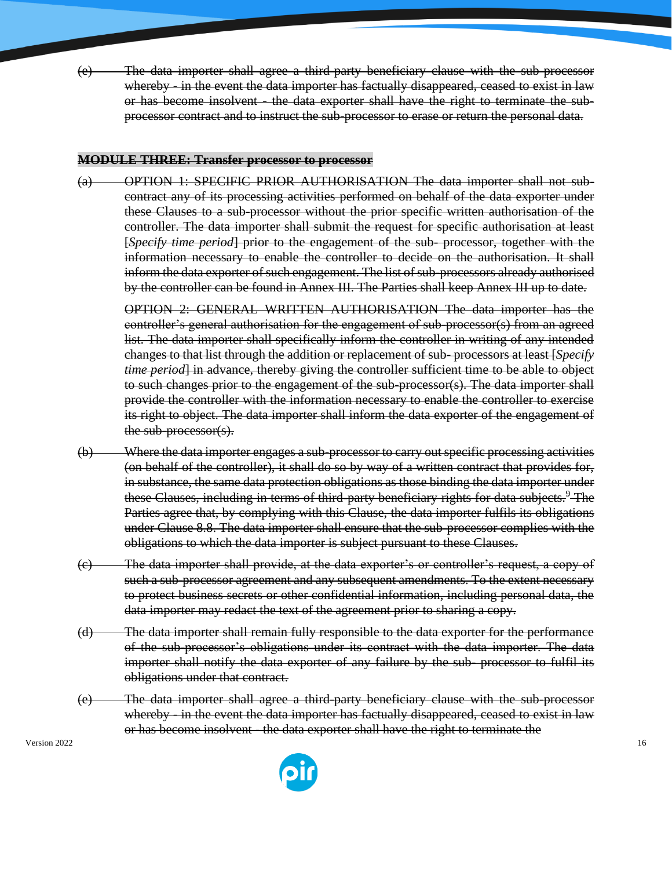(e) The data importer shall agree a third-party beneficiary clause with the sub-processor whereby - in the event the data importer has factually disappeared, ceased to exist in law or has become insolvent - the data exporter shall have the right to terminate the subprocessor contract and to instruct the sub-processor to erase or return the personal data.

#### **MODULE THREE: Transfer processor to processor**

(a) OPTION 1: SPECIFIC PRIOR AUTHORISATION The data importer shall not subcontract any of its processing activities performed on behalf of the data exporter under these Clauses to a sub-processor without the prior specific written authorisation of the controller. The data importer shall submit the request for specific authorisation at least [*Specify time period*] prior to the engagement of the sub- processor, together with the information necessary to enable the controller to decide on the authorisation. It shall inform the data exporter of such engagement. The list of sub-processors already authorised by the controller can be found in Annex III. The Parties shall keep Annex III up to date.

OPTION 2: GENERAL WRITTEN AUTHORISATION The data importer has the controller's general authorisation for the engagement of sub-processor(s) from an agreed list. The data importer shall specifically inform the controller in writing of any intended changes to that list through the addition or replacement of sub- processors at least [*Specify time period*] in advance, thereby giving the controller sufficient time to be able to object to such changes prior to the engagement of the sub-processor(s). The data importer shall provide the controller with the information necessary to enable the controller to exercise its right to object. The data importer shall inform the data exporter of the engagement of the sub-processor(s).

- (b) Where the data importer engages a sub-processor to carry out specific processing activities (on behalf of the controller), it shall do so by way of a written contract that provides for, in substance, the same data protection obligations as those binding the data importer under these Clauses, including in terms of third-party beneficiary rights for data subjects.<sup>9</sup> The Parties agree that, by complying with this Clause, the data importer fulfils its obligations under Clause 8.8. The data importer shall ensure that the sub-processor complies with the obligations to which the data importer is subject pursuant to these Clauses.
- (c) The data importer shall provide, at the data exporter's or controller's request, a copy of such a sub-processor agreement and any subsequent amendments. To the extent necessary to protect business secrets or other confidential information, including personal data, the data importer may redact the text of the agreement prior to sharing a copy.
- (d) The data importer shall remain fully responsible to the data exporter for the performance of the sub-processor's obligations under its contract with the data importer. The data importer shall notify the data exporter of any failure by the sub- processor to fulfil its obligations under that contract.
- (e) The data importer shall agree a third-party beneficiary clause with the sub-processor whereby - in the event the data importer has factually disappeared, ceased to exist in law or has become insolvent - the data exporter shall have the right to terminate the

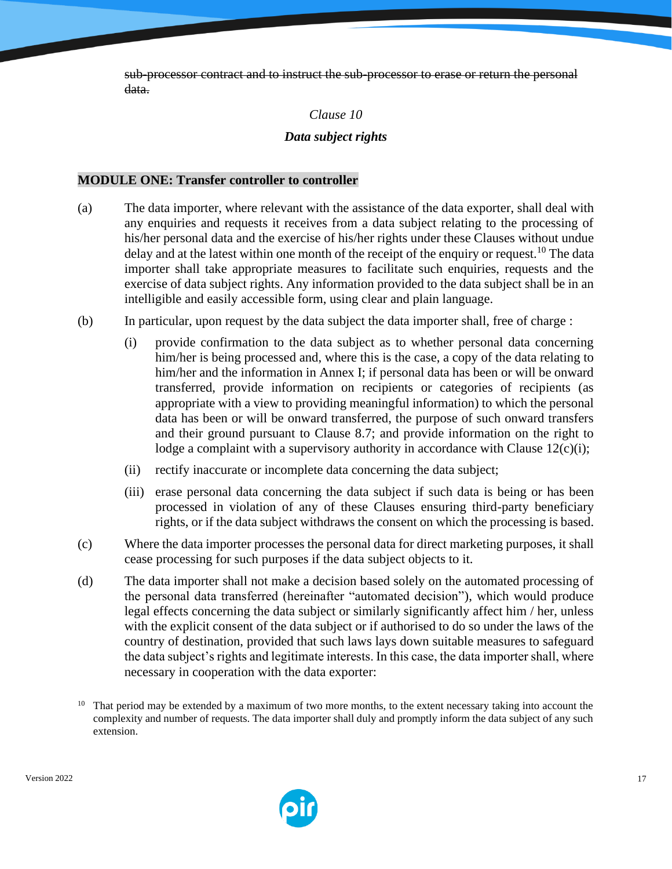sub-processor contract and to instruct the sub-processor to erase or return the personal data.

## *Clause 10*

# *Data subject rights*

### **MODULE ONE: Transfer controller to controller**

- (a) The data importer, where relevant with the assistance of the data exporter, shall deal with any enquiries and requests it receives from a data subject relating to the processing of his/her personal data and the exercise of his/her rights under these Clauses without undue delay and at the latest within one month of the receipt of the enquiry or request.<sup>10</sup> The data importer shall take appropriate measures to facilitate such enquiries, requests and the exercise of data subject rights. Any information provided to the data subject shall be in an intelligible and easily accessible form, using clear and plain language.
- (b) In particular, upon request by the data subject the data importer shall, free of charge :
	- (i) provide confirmation to the data subject as to whether personal data concerning him/her is being processed and, where this is the case, a copy of the data relating to him/her and the information in Annex I; if personal data has been or will be onward transferred, provide information on recipients or categories of recipients (as appropriate with a view to providing meaningful information) to which the personal data has been or will be onward transferred, the purpose of such onward transfers and their ground pursuant to Clause 8.7; and provide information on the right to lodge a complaint with a supervisory authority in accordance with Clause  $12(c)(i)$ ;
	- (ii) rectify inaccurate or incomplete data concerning the data subject;
	- (iii) erase personal data concerning the data subject if such data is being or has been processed in violation of any of these Clauses ensuring third-party beneficiary rights, or if the data subject withdraws the consent on which the processing is based.
- (c) Where the data importer processes the personal data for direct marketing purposes, it shall cease processing for such purposes if the data subject objects to it.
- (d) The data importer shall not make a decision based solely on the automated processing of the personal data transferred (hereinafter "automated decision"), which would produce legal effects concerning the data subject or similarly significantly affect him / her, unless with the explicit consent of the data subject or if authorised to do so under the laws of the country of destination, provided that such laws lays down suitable measures to safeguard the data subject's rights and legitimate interests. In this case, the data importer shall, where necessary in cooperation with the data exporter:



<sup>&</sup>lt;sup>10</sup> That period may be extended by a maximum of two more months, to the extent necessary taking into account the complexity and number of requests. The data importer shall duly and promptly inform the data subject of any such extension.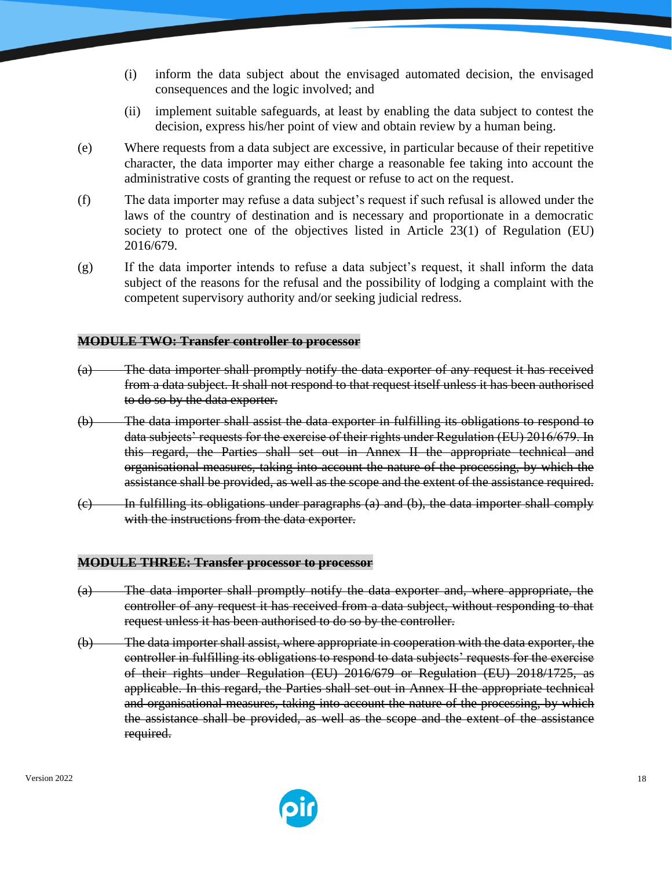- (i) inform the data subject about the envisaged automated decision, the envisaged consequences and the logic involved; and
- (ii) implement suitable safeguards, at least by enabling the data subject to contest the decision, express his/her point of view and obtain review by a human being.
- (e) Where requests from a data subject are excessive, in particular because of their repetitive character, the data importer may either charge a reasonable fee taking into account the administrative costs of granting the request or refuse to act on the request.
- (f) The data importer may refuse a data subject's request if such refusal is allowed under the laws of the country of destination and is necessary and proportionate in a democratic society to protect one of the objectives listed in Article 23(1) of Regulation (EU) 2016/679.
- (g) If the data importer intends to refuse a data subject's request, it shall inform the data subject of the reasons for the refusal and the possibility of lodging a complaint with the competent supervisory authority and/or seeking judicial redress.

#### **MODULE TWO: Transfer controller to processor**

- (a) The data importer shall promptly notify the data exporter of any request it has received from a data subject. It shall not respond to that request itself unless it has been authorised to do so by the data exporter.
- (b) The data importer shall assist the data exporter in fulfilling its obligations to respond to data subjects' requests for the exercise of their rights under Regulation (EU) 2016/679. In this regard, the Parties shall set out in Annex II the appropriate technical and organisational measures, taking into account the nature of the processing, by which the assistance shall be provided, as well as the scope and the extent of the assistance required.
- (c) In fulfilling its obligations under paragraphs (a) and (b), the data importer shall comply with the instructions from the data exporter.

#### **MODULE THREE: Transfer processor to processor**

- (a) The data importer shall promptly notify the data exporter and, where appropriate, the controller of any request it has received from a data subject, without responding to that request unless it has been authorised to do so by the controller.
- (b) The data importer shall assist, where appropriate in cooperation with the data exporter, the controller in fulfilling its obligations to respond to data subjects' requests for the exercise of their rights under Regulation (EU) 2016/679 or Regulation (EU) 2018/1725, as applicable. In this regard, the Parties shall set out in Annex II the appropriate technical and organisational measures, taking into account the nature of the processing, by which the assistance shall be provided, as well as the scope and the extent of the assistance required.

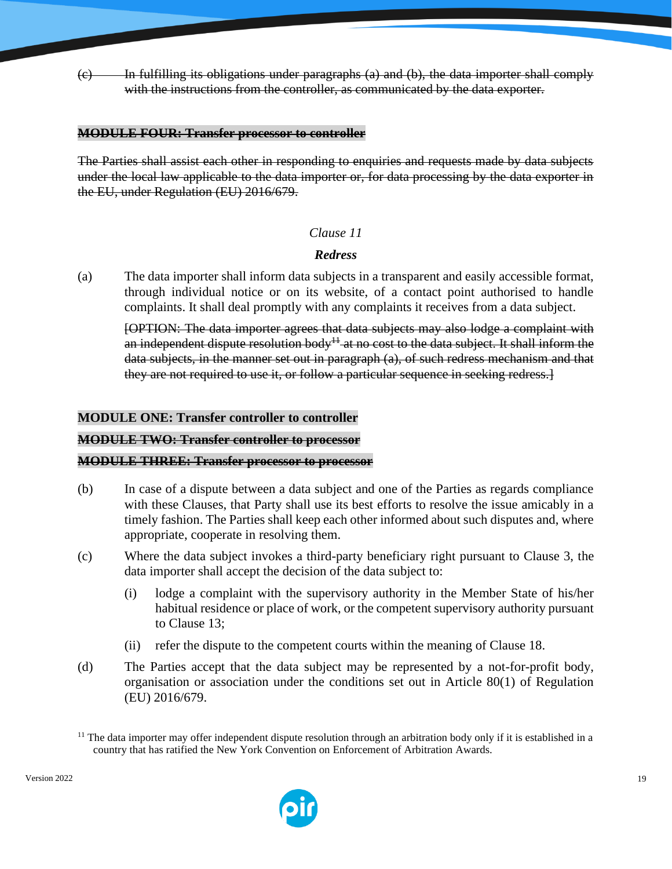(c) In fulfilling its obligations under paragraphs (a) and (b), the data importer shall comply with the instructions from the controller, as communicated by the data exporter.

#### **MODULE FOUR: Transfer processor to controller**

The Parties shall assist each other in responding to enquiries and requests made by data subjects under the local law applicable to the data importer or, for data processing by the data exporter in the EU, under Regulation (EU) 2016/679.

# *Clause 11*

# *Redress*

(a) The data importer shall inform data subjects in a transparent and easily accessible format, through individual notice or on its website, of a contact point authorised to handle complaints. It shall deal promptly with any complaints it receives from a data subject.

[OPTION: The data importer agrees that data subjects may also lodge a complaint with an independent dispute resolution body<sup> $+1$ </sup> at no cost to the data subject. It shall inform the data subjects, in the manner set out in paragraph (a), of such redress mechanism and that they are not required to use it, or follow a particular sequence in seeking redress.]

# **MODULE ONE: Transfer controller to controller**

#### **MODULE TWO: Transfer controller to processor**

#### **MODULE THREE: Transfer processor to processor**

- (b) In case of a dispute between a data subject and one of the Parties as regards compliance with these Clauses, that Party shall use its best efforts to resolve the issue amicably in a timely fashion. The Parties shall keep each other informed about such disputes and, where appropriate, cooperate in resolving them.
- (c) Where the data subject invokes a third-party beneficiary right pursuant to Clause 3, the data importer shall accept the decision of the data subject to:
	- (i) lodge a complaint with the supervisory authority in the Member State of his/her habitual residence or place of work, or the competent supervisory authority pursuant to Clause 13;
	- (ii) refer the dispute to the competent courts within the meaning of Clause 18.
- (d) The Parties accept that the data subject may be represented by a not-for-profit body, organisation or association under the conditions set out in Article 80(1) of Regulation (EU) 2016/679.



 $11$  The data importer may offer independent dispute resolution through an arbitration body only if it is established in a country that has ratified the New York Convention on Enforcement of Arbitration Awards.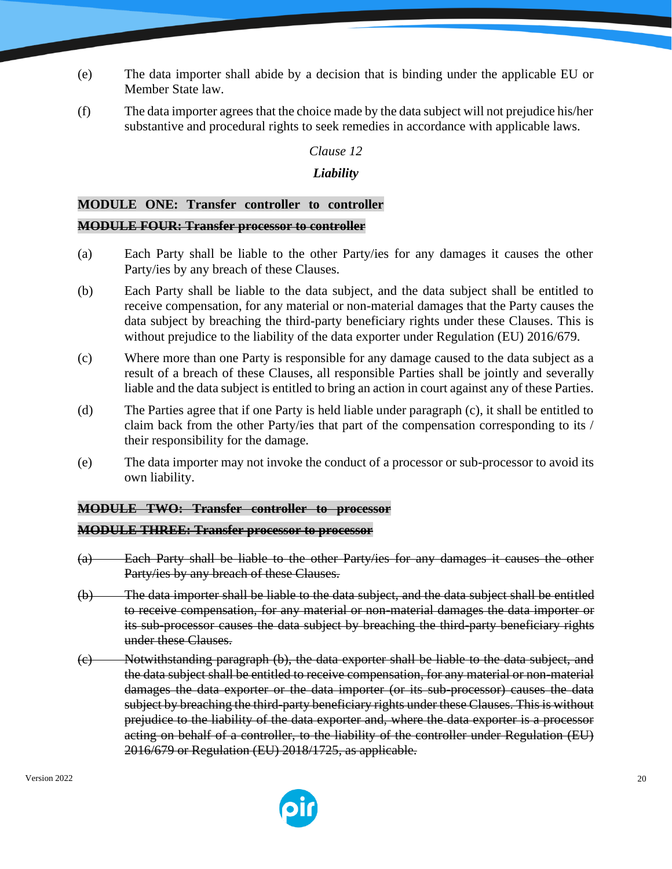- (e) The data importer shall abide by a decision that is binding under the applicable EU or Member State law.
- (f) The data importer agrees that the choice made by the data subject will not prejudice his/her substantive and procedural rights to seek remedies in accordance with applicable laws.

#### *Clause 12*

### *Liability*

# **MODULE ONE: Transfer controller to controller MODULE FOUR: Transfer processor to controller**

- (a) Each Party shall be liable to the other Party/ies for any damages it causes the other Party/ies by any breach of these Clauses.
- (b) Each Party shall be liable to the data subject, and the data subject shall be entitled to receive compensation, for any material or non-material damages that the Party causes the data subject by breaching the third-party beneficiary rights under these Clauses. This is without prejudice to the liability of the data exporter under Regulation (EU) 2016/679.
- (c) Where more than one Party is responsible for any damage caused to the data subject as a result of a breach of these Clauses, all responsible Parties shall be jointly and severally liable and the data subject is entitled to bring an action in court against any of these Parties.
- (d) The Parties agree that if one Party is held liable under paragraph (c), it shall be entitled to claim back from the other Party/ies that part of the compensation corresponding to its / their responsibility for the damage.
- (e) The data importer may not invoke the conduct of a processor or sub-processor to avoid its own liability.

#### **MODULE TWO: Transfer controller to processor**

#### **MODULE THREE: Transfer processor to processor**

- (a) Each Party shall be liable to the other Party/ies for any damages it causes the other Party/ies by any breach of these Clauses.
- (b) The data importer shall be liable to the data subject, and the data subject shall be entitled to receive compensation, for any material or non-material damages the data importer or its sub-processor causes the data subject by breaching the third-party beneficiary rights under these Clauses.
- (c) Notwithstanding paragraph (b), the data exporter shall be liable to the data subject, and the data subject shall be entitled to receive compensation, for any material or non-material damages the data exporter or the data importer (or its sub-processor) causes the data subject by breaching the third-party beneficiary rights under these Clauses. This is without prejudice to the liability of the data exporter and, where the data exporter is a processor acting on behalf of a controller, to the liability of the controller under Regulation (EU) 2016/679 or Regulation (EU) 2018/1725, as applicable.

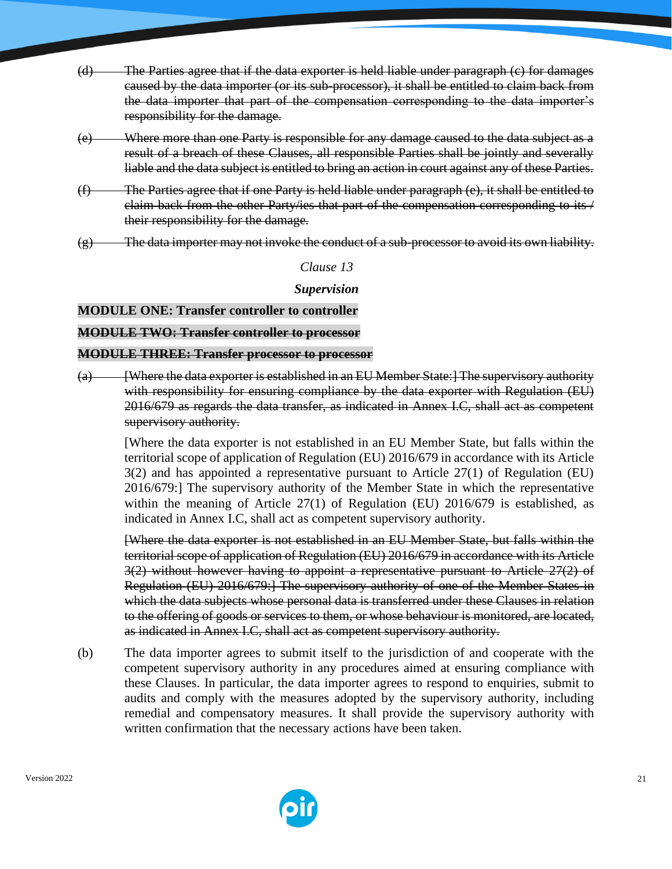- (d) The Parties agree that if the data exporter is held liable under paragraph (c) for damages caused by the data importer (or its sub-processor), it shall be entitled to claim back from the data importer that part of the compensation corresponding to the data importer's responsibility for the damage.
- (e) Where more than one Party is responsible for any damage caused to the data subject as a result of a breach of these Clauses, all responsible Parties shall be jointly and severally liable and the data subject is entitled to bring an action in court against any of these Parties.
- (f) The Parties agree that if one Party is held liable under paragraph (e), it shall be entitled to claim back from the other Party/ies that part of the compensation corresponding to its / their responsibility for the damage.
- $(g)$  The data importer may not invoke the conduct of a sub-processor to avoid its own liability.

#### *Clause 13*

#### *Supervision*

### **MODULE ONE: Transfer controller to controller**

#### **MODULE TWO: Transfer controller to processor**

#### **MODULE THREE: Transfer processor to processor**

(a) Where the data exporter is established in an EU Member State:] The supervisory authority with responsibility for ensuring compliance by the data exporter with Regulation (EU) 2016/679 as regards the data transfer, as indicated in Annex I.C, shall act as competent supervisory authority.

[Where the data exporter is not established in an EU Member State, but falls within the territorial scope of application of Regulation (EU) 2016/679 in accordance with its Article 3(2) and has appointed a representative pursuant to Article 27(1) of Regulation (EU) 2016/679:] The supervisory authority of the Member State in which the representative within the meaning of Article 27(1) of Regulation (EU) 2016/679 is established, as indicated in Annex I.C, shall act as competent supervisory authority.

[Where the data exporter is not established in an EU Member State, but falls within the territorial scope of application of Regulation (EU) 2016/679 in accordance with its Article 3(2) without however having to appoint a representative pursuant to Article 27(2) of Regulation (EU) 2016/679:] The supervisory authority of one of the Member States in which the data subjects whose personal data is transferred under these Clauses in relation to the offering of goods or services to them, or whose behaviour is monitored, are located, as indicated in Annex I.C, shall act as competent supervisory authority.

(b) The data importer agrees to submit itself to the jurisdiction of and cooperate with the competent supervisory authority in any procedures aimed at ensuring compliance with these Clauses. In particular, the data importer agrees to respond to enquiries, submit to audits and comply with the measures adopted by the supervisory authority, including remedial and compensatory measures. It shall provide the supervisory authority with written confirmation that the necessary actions have been taken.

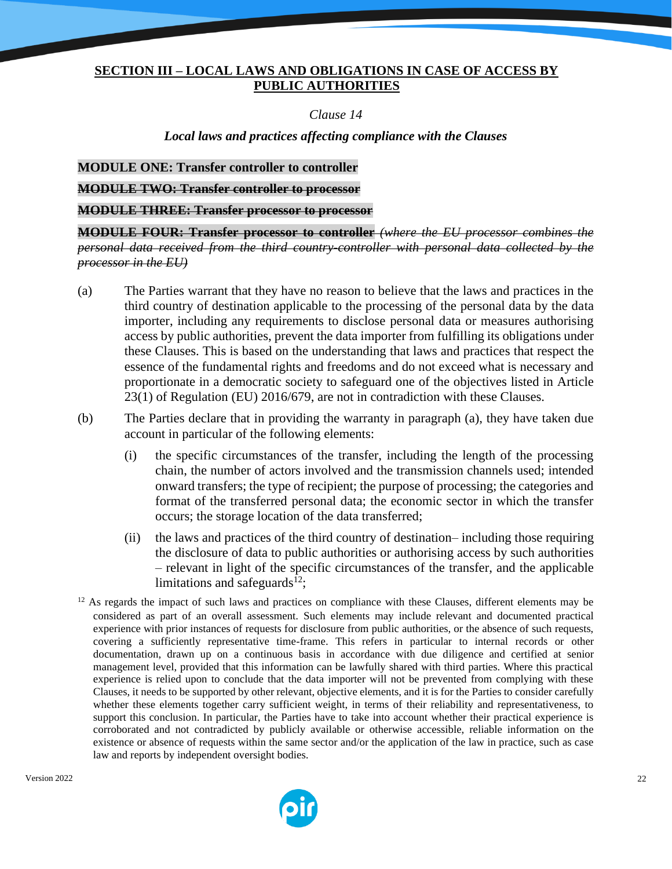# **SECTION III – LOCAL LAWS AND OBLIGATIONS IN CASE OF ACCESS BY PUBLIC AUTHORITIES**

#### *Clause 14*

# *Local laws and practices affecting compliance with the Clauses*

**MODULE ONE: Transfer controller to controller**

**MODULE TWO: Transfer controller to processor**

**MODULE THREE: Transfer processor to processor**

**MODULE FOUR: Transfer processor to controller** *(where the EU processor combines the personal data received from the third country-controller with personal data collected by the processor in the EU)*

- (a) The Parties warrant that they have no reason to believe that the laws and practices in the third country of destination applicable to the processing of the personal data by the data importer, including any requirements to disclose personal data or measures authorising access by public authorities, prevent the data importer from fulfilling its obligations under these Clauses. This is based on the understanding that laws and practices that respect the essence of the fundamental rights and freedoms and do not exceed what is necessary and proportionate in a democratic society to safeguard one of the objectives listed in Article 23(1) of Regulation (EU) 2016/679, are not in contradiction with these Clauses.
- (b) The Parties declare that in providing the warranty in paragraph (a), they have taken due account in particular of the following elements:
	- (i) the specific circumstances of the transfer, including the length of the processing chain, the number of actors involved and the transmission channels used; intended onward transfers; the type of recipient; the purpose of processing; the categories and format of the transferred personal data; the economic sector in which the transfer occurs; the storage location of the data transferred;
	- (ii) the laws and practices of the third country of destination– including those requiring the disclosure of data to public authorities or authorising access by such authorities – relevant in light of the specific circumstances of the transfer, and the applicable limitations and safeguards $^{12}$ ;
- $12$  As regards the impact of such laws and practices on compliance with these Clauses, different elements may be considered as part of an overall assessment. Such elements may include relevant and documented practical experience with prior instances of requests for disclosure from public authorities, or the absence of such requests, covering a sufficiently representative time-frame. This refers in particular to internal records or other documentation, drawn up on a continuous basis in accordance with due diligence and certified at senior management level, provided that this information can be lawfully shared with third parties. Where this practical experience is relied upon to conclude that the data importer will not be prevented from complying with these Clauses, it needs to be supported by other relevant, objective elements, and it is for the Parties to consider carefully whether these elements together carry sufficient weight, in terms of their reliability and representativeness, to support this conclusion. In particular, the Parties have to take into account whether their practical experience is corroborated and not contradicted by publicly available or otherwise accessible, reliable information on the existence or absence of requests within the same sector and/or the application of the law in practice, such as case law and reports by independent oversight bodies.

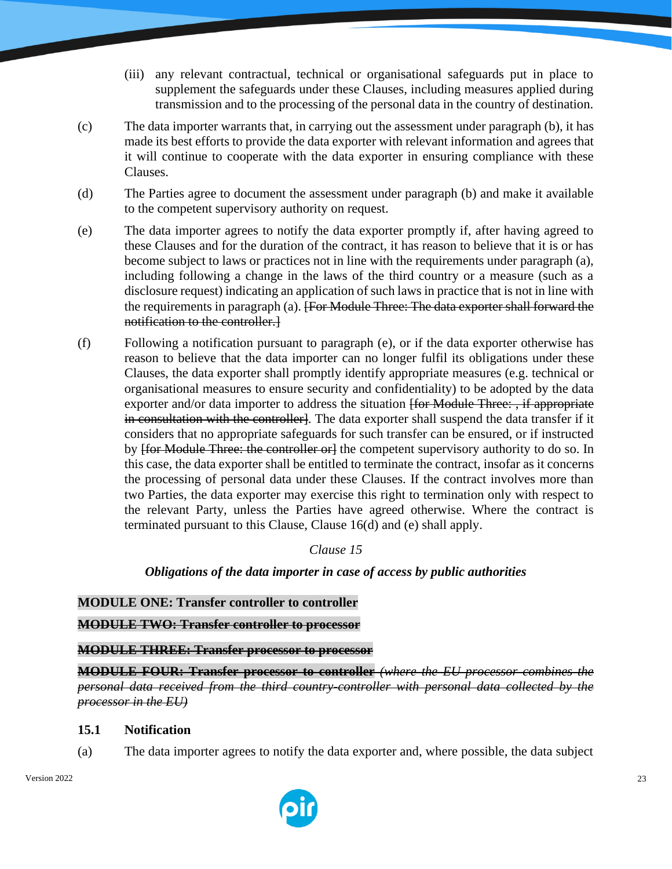- (iii) any relevant contractual, technical or organisational safeguards put in place to supplement the safeguards under these Clauses, including measures applied during transmission and to the processing of the personal data in the country of destination.
- (c) The data importer warrants that, in carrying out the assessment under paragraph (b), it has made its best efforts to provide the data exporter with relevant information and agrees that it will continue to cooperate with the data exporter in ensuring compliance with these Clauses.
- (d) The Parties agree to document the assessment under paragraph (b) and make it available to the competent supervisory authority on request.
- (e) The data importer agrees to notify the data exporter promptly if, after having agreed to these Clauses and for the duration of the contract, it has reason to believe that it is or has become subject to laws or practices not in line with the requirements under paragraph (a), including following a change in the laws of the third country or a measure (such as a disclosure request) indicating an application of such laws in practice that is not in line with the requirements in paragraph (a). <del>[For Module Three: The data exporter shall forward the</del> notification to the controller.]
- (f) Following a notification pursuant to paragraph (e), or if the data exporter otherwise has reason to believe that the data importer can no longer fulfil its obligations under these Clauses, the data exporter shall promptly identify appropriate measures (e.g. technical or organisational measures to ensure security and confidentiality) to be adopted by the data exporter and/or data importer to address the situation [for Module Three: , if appropriate in consultation with the controller]. The data exporter shall suspend the data transfer if it considers that no appropriate safeguards for such transfer can be ensured, or if instructed by <del>[for Module Three: the controller or]</del> the competent supervisory authority to do so. In this case, the data exporter shall be entitled to terminate the contract, insofar as it concerns the processing of personal data under these Clauses. If the contract involves more than two Parties, the data exporter may exercise this right to termination only with respect to the relevant Party, unless the Parties have agreed otherwise. Where the contract is terminated pursuant to this Clause, Clause 16(d) and (e) shall apply.

*Clause 15*

# *Obligations of the data importer in case of access by public authorities*

# **MODULE ONE: Transfer controller to controller**

# **MODULE TWO: Transfer controller to processor**

# **MODULE THREE: Transfer processor to processor**

**MODULE FOUR: Transfer processor to controller** *(where the EU processor combines the personal data received from the third country-controller with personal data collected by the processor in the EU)*

# **15.1 Notification**

(a) The data importer agrees to notify the data exporter and, where possible, the data subject

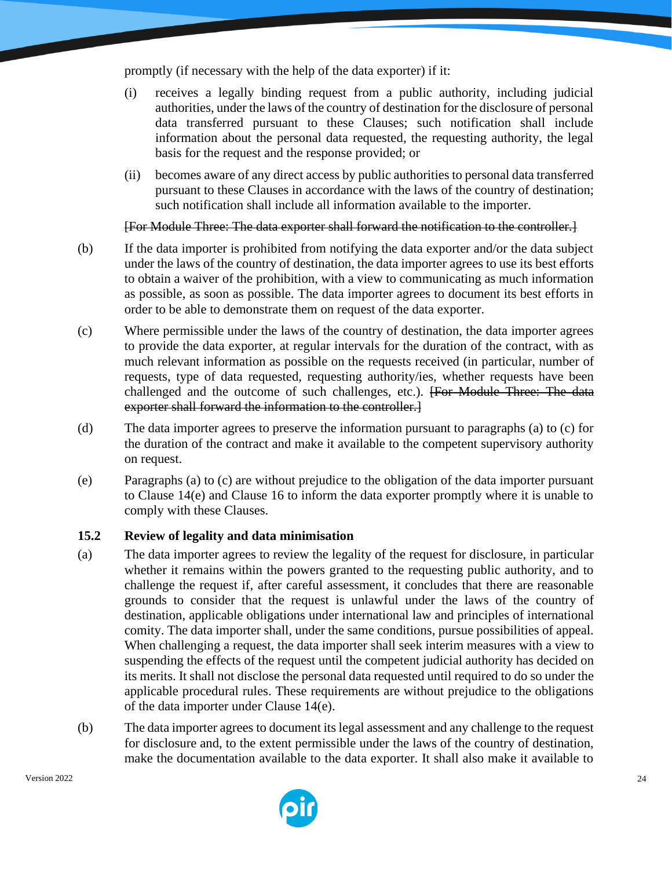promptly (if necessary with the help of the data exporter) if it:

- (i) receives a legally binding request from a public authority, including judicial authorities, under the laws of the country of destination for the disclosure of personal data transferred pursuant to these Clauses; such notification shall include information about the personal data requested, the requesting authority, the legal basis for the request and the response provided; or
- (ii) becomes aware of any direct access by public authorities to personal data transferred pursuant to these Clauses in accordance with the laws of the country of destination; such notification shall include all information available to the importer.

#### [For Module Three: The data exporter shall forward the notification to the controller.]

- (b) If the data importer is prohibited from notifying the data exporter and/or the data subject under the laws of the country of destination, the data importer agrees to use its best efforts to obtain a waiver of the prohibition, with a view to communicating as much information as possible, as soon as possible. The data importer agrees to document its best efforts in order to be able to demonstrate them on request of the data exporter.
- (c) Where permissible under the laws of the country of destination, the data importer agrees to provide the data exporter, at regular intervals for the duration of the contract, with as much relevant information as possible on the requests received (in particular, number of requests, type of data requested, requesting authority/ies, whether requests have been challenged and the outcome of such challenges, etc.). [For Module Three: The data exporter shall forward the information to the controller.]
- (d) The data importer agrees to preserve the information pursuant to paragraphs (a) to (c) for the duration of the contract and make it available to the competent supervisory authority on request.
- (e) Paragraphs (a) to (c) are without prejudice to the obligation of the data importer pursuant to Clause 14(e) and Clause 16 to inform the data exporter promptly where it is unable to comply with these Clauses.

#### **15.2 Review of legality and data minimisation**

- (a) The data importer agrees to review the legality of the request for disclosure, in particular whether it remains within the powers granted to the requesting public authority, and to challenge the request if, after careful assessment, it concludes that there are reasonable grounds to consider that the request is unlawful under the laws of the country of destination, applicable obligations under international law and principles of international comity. The data importer shall, under the same conditions, pursue possibilities of appeal. When challenging a request, the data importer shall seek interim measures with a view to suspending the effects of the request until the competent judicial authority has decided on its merits. It shall not disclose the personal data requested until required to do so under the applicable procedural rules. These requirements are without prejudice to the obligations of the data importer under Clause 14(e).
- (b) The data importer agrees to document its legal assessment and any challenge to the request for disclosure and, to the extent permissible under the laws of the country of destination, make the documentation available to the data exporter. It shall also make it available to

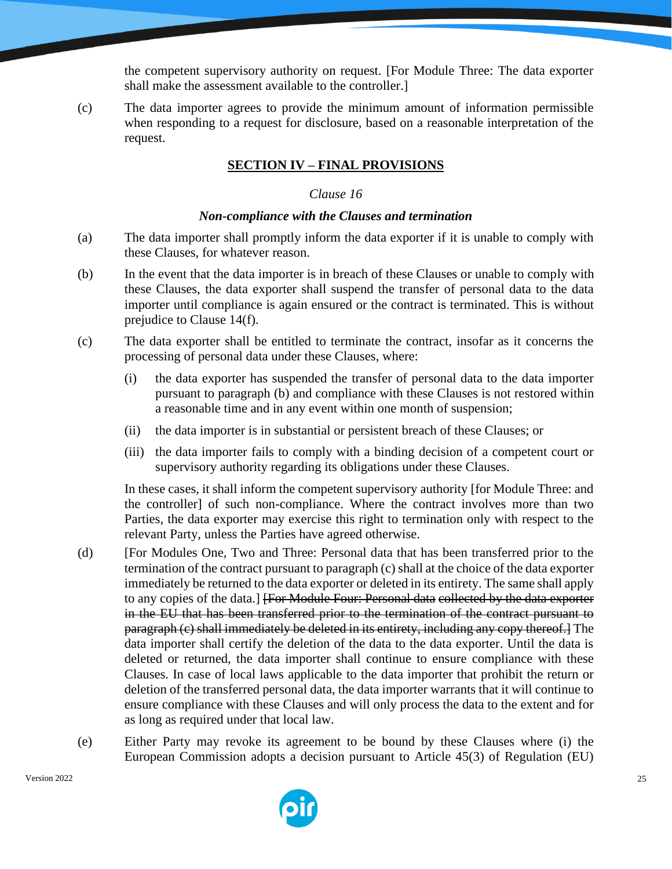the competent supervisory authority on request. [For Module Three: The data exporter shall make the assessment available to the controller.]

(c) The data importer agrees to provide the minimum amount of information permissible when responding to a request for disclosure, based on a reasonable interpretation of the request.

# **SECTION IV – FINAL PROVISIONS**

# *Clause 16*

#### *Non-compliance with the Clauses and termination*

- (a) The data importer shall promptly inform the data exporter if it is unable to comply with these Clauses, for whatever reason.
- (b) In the event that the data importer is in breach of these Clauses or unable to comply with these Clauses, the data exporter shall suspend the transfer of personal data to the data importer until compliance is again ensured or the contract is terminated. This is without prejudice to Clause 14(f).
- (c) The data exporter shall be entitled to terminate the contract, insofar as it concerns the processing of personal data under these Clauses, where:
	- (i) the data exporter has suspended the transfer of personal data to the data importer pursuant to paragraph (b) and compliance with these Clauses is not restored within a reasonable time and in any event within one month of suspension;
	- (ii) the data importer is in substantial or persistent breach of these Clauses; or
	- (iii) the data importer fails to comply with a binding decision of a competent court or supervisory authority regarding its obligations under these Clauses.

In these cases, it shall inform the competent supervisory authority [for Module Three: and the controller] of such non-compliance. Where the contract involves more than two Parties, the data exporter may exercise this right to termination only with respect to the relevant Party, unless the Parties have agreed otherwise.

- (d) [For Modules One, Two and Three: Personal data that has been transferred prior to the termination of the contract pursuant to paragraph (c) shall at the choice of the data exporter immediately be returned to the data exporter or deleted in its entirety. The same shall apply to any copies of the data.] [For Module Four: Personal data collected by the data exporter in the EU that has been transferred prior to the termination of the contract pursuant to paragraph (c) shall immediately be deleted in its entirety, including any copy thereof.] The data importer shall certify the deletion of the data to the data exporter. Until the data is deleted or returned, the data importer shall continue to ensure compliance with these Clauses. In case of local laws applicable to the data importer that prohibit the return or deletion of the transferred personal data, the data importer warrants that it will continue to ensure compliance with these Clauses and will only process the data to the extent and for as long as required under that local law.
- (e) Either Party may revoke its agreement to be bound by these Clauses where (i) the European Commission adopts a decision pursuant to Article 45(3) of Regulation (EU)

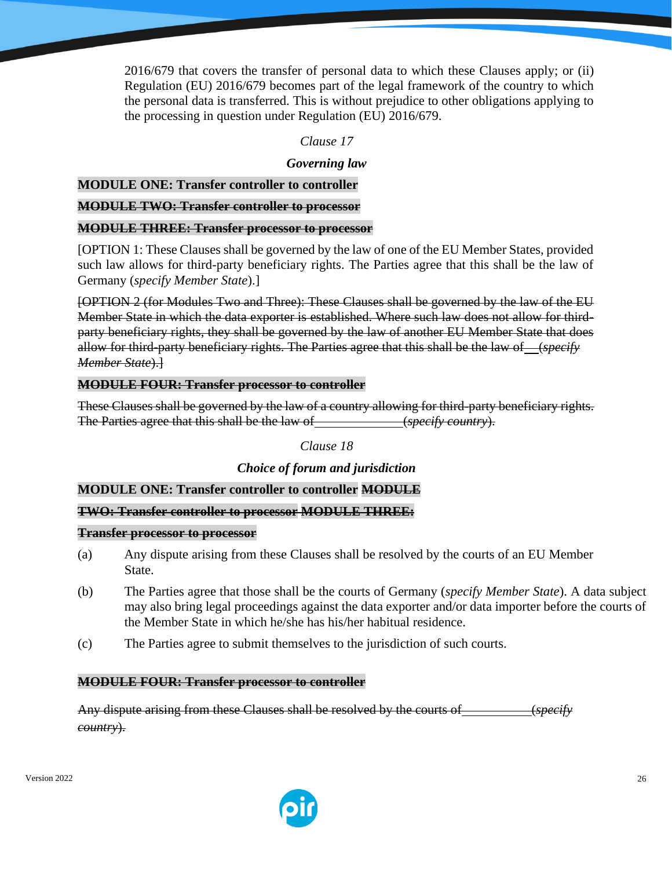2016/679 that covers the transfer of personal data to which these Clauses apply; or (ii) Regulation (EU) 2016/679 becomes part of the legal framework of the country to which the personal data is transferred. This is without prejudice to other obligations applying to the processing in question under Regulation (EU) 2016/679.

# *Clause 17*

# *Governing law*

# **MODULE ONE: Transfer controller to controller**

# **MODULE TWO: Transfer controller to processor**

# **MODULE THREE: Transfer processor to processor**

[OPTION 1: These Clauses shall be governed by the law of one of the EU Member States, provided such law allows for third-party beneficiary rights. The Parties agree that this shall be the law of Germany (*specify Member State*).]

[OPTION 2 (for Modules Two and Three): These Clauses shall be governed by the law of the EU Member State in which the data exporter is established. Where such law does not allow for thirdparty beneficiary rights, they shall be governed by the law of another EU Member State that does allow for third-party beneficiary rights. The Parties agree that this shall be the law of (*specify Member State*).]

# **MODULE FOUR: Transfer processor to controller**

These Clauses shall be governed by the law of a country allowing for third-party beneficiary rights. The Parties agree that this shall be the law of (*specify country*).

# *Clause 18*

# *Choice of forum and jurisdiction*

# **MODULE ONE: Transfer controller to controller MODULE**

# **TWO: Transfer controller to processor MODULE THREE:**

# **Transfer processor to processor**

- (a) Any dispute arising from these Clauses shall be resolved by the courts of an EU Member State.
- (b) The Parties agree that those shall be the courts of Germany (*specify Member State*). A data subject may also bring legal proceedings against the data exporter and/or data importer before the courts of the Member State in which he/she has his/her habitual residence.
- (c) The Parties agree to submit themselves to the jurisdiction of such courts.

# **MODULE FOUR: Transfer processor to controller**

Any dispute arising from these Clauses shall be resolved by the courts of (*specify country*).

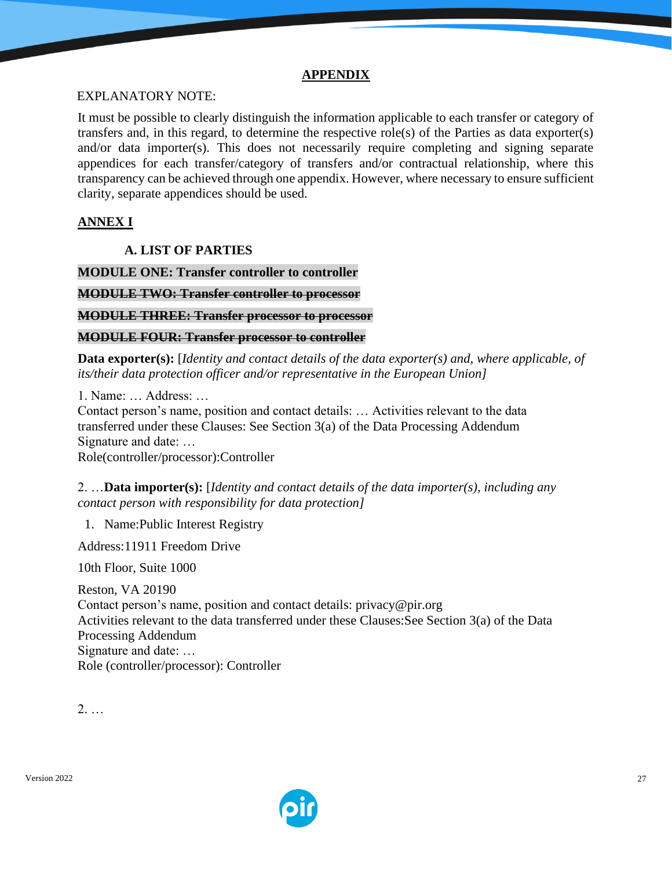### **APPENDIX**

#### EXPLANATORY NOTE:

It must be possible to clearly distinguish the information applicable to each transfer or category of transfers and, in this regard, to determine the respective role(s) of the Parties as data exporter(s) and/or data importer(s). This does not necessarily require completing and signing separate appendices for each transfer/category of transfers and/or contractual relationship, where this transparency can be achieved through one appendix. However, where necessary to ensure sufficient clarity, separate appendices should be used.

# **ANNEX I**

**A. LIST OF PARTIES**

**MODULE ONE: Transfer controller to controller**

**MODULE TWO: Transfer controller to processor**

**MODULE THREE: Transfer processor to processor**

**MODULE FOUR: Transfer processor to controller**

**Data exporter(s):** [*Identity and contact details of the data exporter(s) and, where applicable, of its/their data protection officer and/or representative in the European Union]*

1. Name: … Address: … Contact person's name, position and contact details: … Activities relevant to the data transferred under these Clauses: See Section 3(a) of the Data Processing Addendum Signature and date: … Role(controller/processor):Controller

2. …**Data importer(s):** [*Identity and contact details of the data importer(s), including any contact person with responsibility for data protection]*

1. Name:Public Interest Registry

Address:11911 Freedom Drive

10th Floor, Suite 1000

Reston, VA 20190 Contact person's name, position and contact details: privacy@pir.org Activities relevant to the data transferred under these Clauses:See Section 3(a) of the Data Processing Addendum Signature and date: … Role (controller/processor): Controller

2. …

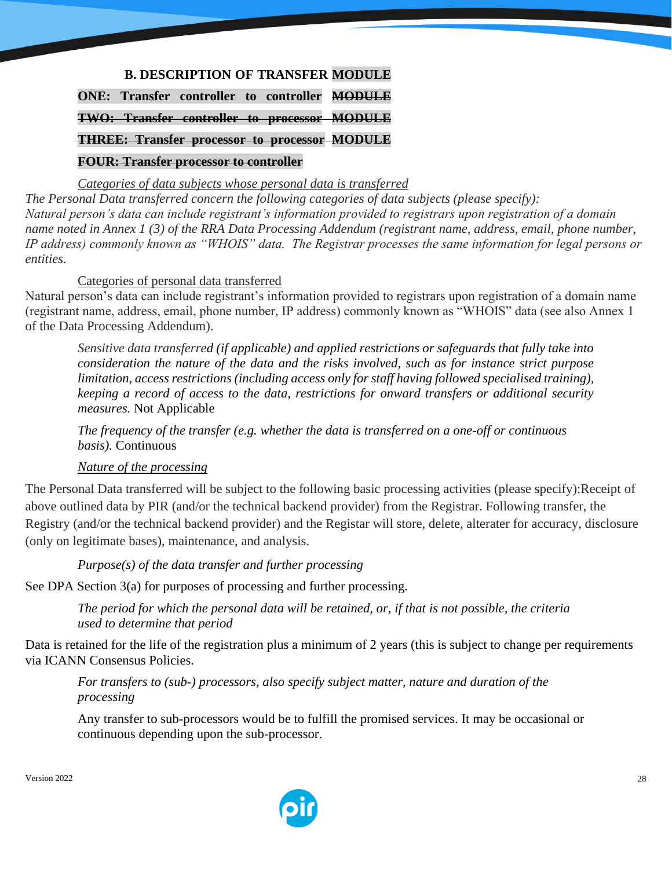# **B. DESCRIPTION OF TRANSFER MODULE**

**ONE: Transfer controller to controller MODULE TWO: Transfer controller to processor MODULE THREE: Transfer processor to processor MODULE** 

**FOUR: Transfer processor to controller**

#### *Categories of data subjects whose personal data is transferred*

*The Personal Data transferred concern the following categories of data subjects (please specify): Natural person's data can include registrant's information provided to registrars upon registration of a domain name noted in Annex 1 (3) of the RRA Data Processing Addendum (registrant name, address, email, phone number, IP address) commonly known as "WHOIS" data. The Registrar processes the same information for legal persons or entities.*

### Categories of personal data transferred

Natural person's data can include registrant's information provided to registrars upon registration of a domain name (registrant name, address, email, phone number, IP address) commonly known as "WHOIS" data (see also Annex 1 of the Data Processing Addendum).

*Sensitive data transferred (if applicable) and applied restrictions or safeguards that fully take into consideration the nature of the data and the risks involved, such as for instance strict purpose limitation, access restrictions (including access only for staff having followed specialised training), keeping a record of access to the data, restrictions for onward transfers or additional security measures.* Not Applicable

*The frequency of the transfer (e.g. whether the data is transferred on a one-off or continuous basis).* Continuous

# *Nature of the processing*

The Personal Data transferred will be subject to the following basic processing activities (please specify):Receipt of above outlined data by PIR (and/or the technical backend provider) from the Registrar. Following transfer, the Registry (and/or the technical backend provider) and the Registar will store, delete, alterater for accuracy, disclosure (only on legitimate bases), maintenance, and analysis.

*Purpose(s) of the data transfer and further processing*

See DPA Section 3(a) for purposes of processing and further processing.

*The period for which the personal data will be retained, or, if that is not possible, the criteria used to determine that period*

Data is retained for the life of the registration plus a minimum of 2 years (this is subject to change per requirements via ICANN Consensus Policies.

*For transfers to (sub-) processors, also specify subject matter, nature and duration of the processing*

Any transfer to sub-processors would be to fulfill the promised services. It may be occasional or continuous depending upon the sub-processor.

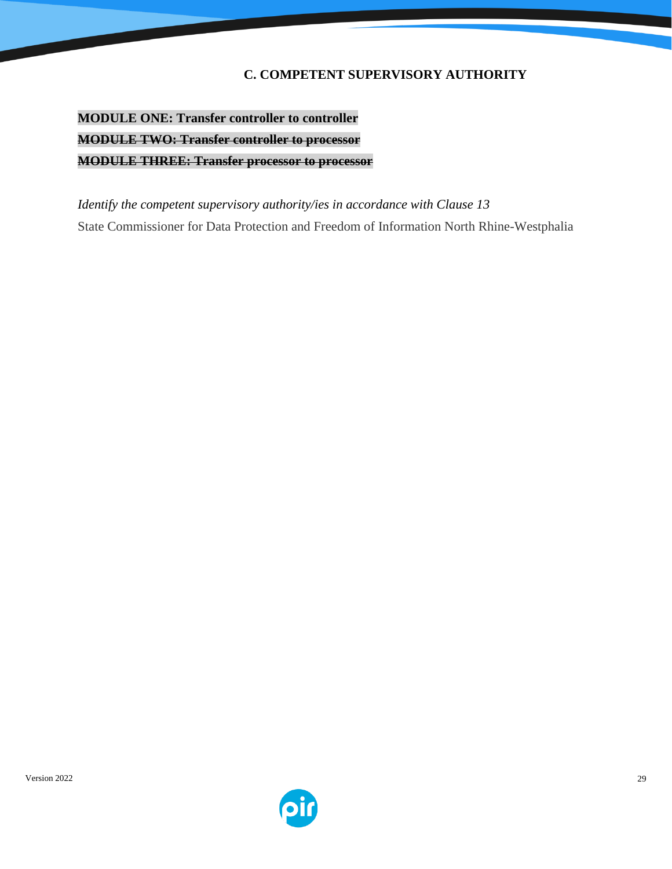# **C. COMPETENT SUPERVISORY AUTHORITY**

**MODULE ONE: Transfer controller to controller MODULE TWO: Transfer controller to processor MODULE THREE: Transfer processor to processor**

*Identify the competent supervisory authority/ies in accordance with Clause 13* State Commissioner for Data Protection and Freedom of Information North Rhine-Westphalia